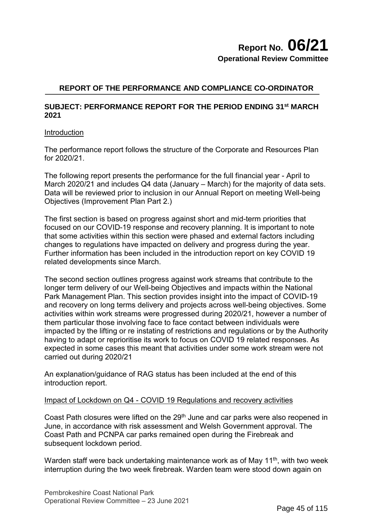# **Report No. 06/21 Operational Review Committee**

### **REPORT OF THE PERFORMANCE AND COMPLIANCE CO-ORDINATOR**

#### **SUBJECT: PERFORMANCE REPORT FOR THE PERIOD ENDING 31st MARCH 2021**

#### **Introduction**

The performance report follows the structure of the Corporate and Resources Plan for 2020/21.

The following report presents the performance for the full financial year - April to March 2020/21 and includes Q4 data (January – March) for the majority of data sets. Data will be reviewed prior to inclusion in our Annual Report on meeting Well-being Objectives (Improvement Plan Part 2.)

The first section is based on progress against short and mid-term priorities that focused on our COVID-19 response and recovery planning. It is important to note that some activities within this section were phased and external factors including changes to regulations have impacted on delivery and progress during the year. Further information has been included in the introduction report on key COVID 19 related developments since March.

The second section outlines progress against work streams that contribute to the longer term delivery of our Well-being Objectives and impacts within the National Park Management Plan. This section provides insight into the impact of COVID-19 and recovery on long terms delivery and projects across well-being objectives. Some activities within work streams were progressed during 2020/21, however a number of them particular those involving face to face contact between individuals were impacted by the lifting or re instating of restrictions and regulations or by the Authority having to adapt or reprioritise its work to focus on COVID 19 related responses. As expected in some cases this meant that activities under some work stream were not carried out during 2020/21

An explanation/guidance of RAG status has been included at the end of this introduction report.

#### Impact of Lockdown on Q4 - COVID 19 Regulations and recovery activities

Coast Path closures were lifted on the 29<sup>th</sup> June and car parks were also reopened in June, in accordance with risk assessment and Welsh Government approval. The Coast Path and PCNPA car parks remained open during the Firebreak and subsequent lockdown period.

Warden staff were back undertaking maintenance work as of May 11<sup>th</sup>, with two week interruption during the two week firebreak. Warden team were stood down again on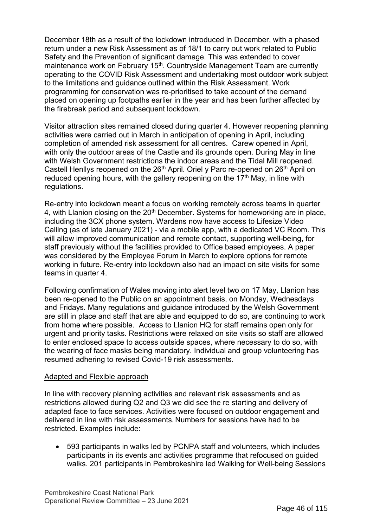December 18th as a result of the lockdown introduced in December, with a phased return under a new Risk Assessment as of 18/1 to carry out work related to Public Safety and the Prevention of significant damage. This was extended to cover maintenance work on February 15<sup>th</sup>. Countryside Management Team are currently operating to the COVID Risk Assessment and undertaking most outdoor work subject to the limitations and guidance outlined within the Risk Assessment. Work programming for conservation was re-prioritised to take account of the demand placed on opening up footpaths earlier in the year and has been further affected by the firebreak period and subsequent lockdown.

Visitor attraction sites remained closed during quarter 4. However reopening planning activities were carried out in March in anticipation of opening in April, including completion of amended risk assessment for all centres. Carew opened in April, with only the outdoor areas of the Castle and its grounds open. During May in line with Welsh Government restrictions the indoor areas and the Tidal Mill reopened. Castell Henllys reopened on the 26<sup>th</sup> April. Oriel y Parc re-opened on 26<sup>th</sup> April on reduced opening hours, with the gallery reopening on the  $17<sup>th</sup>$  May, in line with regulations.

Re-entry into lockdown meant a focus on working remotely across teams in quarter 4, with Llanion closing on the 20<sup>th</sup> December. Systems for homeworking are in place, including the 3CX phone system. Wardens now have access to Lifesize Video Calling (as of late January 2021) - via a mobile app, with a dedicated VC Room. This will allow improved communication and remote contact, supporting well-being, for staff previously without the facilities provided to Office based employees. A paper was considered by the Employee Forum in March to explore options for remote working in future. Re-entry into lockdown also had an impact on site visits for some teams in quarter 4.

Following confirmation of Wales moving into alert level two on 17 May, Llanion has been re-opened to the Public on an appointment basis, on Monday, Wednesdays and Fridays. Many regulations and guidance introduced by the Welsh Government are still in place and staff that are able and equipped to do so, are continuing to work from home where possible. Access to Llanion HQ for staff remains open only for urgent and priority tasks. Restrictions were relaxed on site visits so staff are allowed to enter enclosed space to access outside spaces, where necessary to do so, with the wearing of face masks being mandatory. Individual and group volunteering has resumed adhering to revised Covid-19 risk assessments.

#### Adapted and Flexible approach

In line with recovery planning activities and relevant risk assessments and as restrictions allowed during Q2 and Q3 we did see the re starting and delivery of adapted face to face services. Activities were focused on outdoor engagement and delivered in line with risk assessments. Numbers for sessions have had to be restricted. Examples include:

• 593 participants in walks led by PCNPA staff and volunteers, which includes participants in its events and activities programme that refocused on guided walks. 201 participants in Pembrokeshire led Walking for Well-being Sessions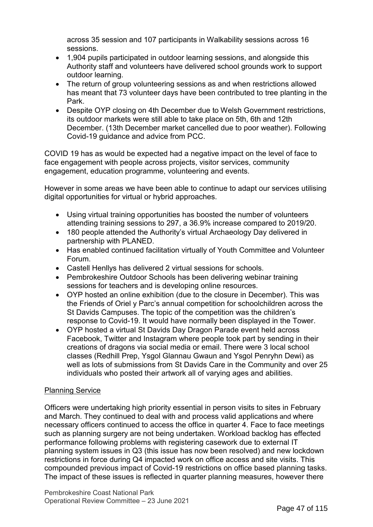across 35 session and 107 participants in Walkability sessions across 16 sessions.

- 1,904 pupils participated in outdoor learning sessions, and alongside this Authority staff and volunteers have delivered school grounds work to support outdoor learning.
- The return of group volunteering sessions as and when restrictions allowed has meant that 73 volunteer days have been contributed to tree planting in the Park.
- Despite OYP closing on 4th December due to Welsh Government restrictions, its outdoor markets were still able to take place on 5th, 6th and 12th December. (13th December market cancelled due to poor weather). Following Covid-19 guidance and advice from PCC.

COVID 19 has as would be expected had a negative impact on the level of face to face engagement with people across projects, visitor services, community engagement, education programme, volunteering and events.

However in some areas we have been able to continue to adapt our services utilising digital opportunities for virtual or hybrid approaches.

- Using virtual training opportunities has boosted the number of volunteers attending training sessions to 297, a 36.9% increase compared to 2019/20.
- 180 people attended the Authority's virtual Archaeology Day delivered in partnership with PLANED.
- Has enabled continued facilitation virtually of Youth Committee and Volunteer Forum.
- Castell Henllys has delivered 2 virtual sessions for schools.
- Pembrokeshire Outdoor Schools has been delivering webinar training sessions for teachers and is developing online resources.
- OYP hosted an online exhibition (due to the closure in December). This was the Friends of Oriel y Parc's annual competition for schoolchildren across the St Davids Campuses. The topic of the competition was the children's response to Covid-19. It would have normally been displayed in the Tower.
- OYP hosted a virtual St Davids Day Dragon Parade event held across Facebook, Twitter and Instagram where people took part by sending in their creations of dragons via social media or email. There were 3 local school classes (Redhill Prep, Ysgol Glannau Gwaun and Ysgol Penryhn Dewi) as well as lots of submissions from St Davids Care in the Community and over 25 individuals who posted their artwork all of varying ages and abilities.

#### Planning Service

Officers were undertaking high priority essential in person visits to sites in February and March. They continued to deal with and process valid applications and where necessary officers continued to access the office in quarter 4. Face to face meetings such as planning surgery are not being undertaken. Workload backlog has effected performance following problems with registering casework due to external IT planning system issues in Q3 (this issue has now been resolved) and new lockdown restrictions in force during Q4 impacted work on office access and site visits. This compounded previous impact of Covid-19 restrictions on office based planning tasks. The impact of these issues is reflected in quarter planning measures, however there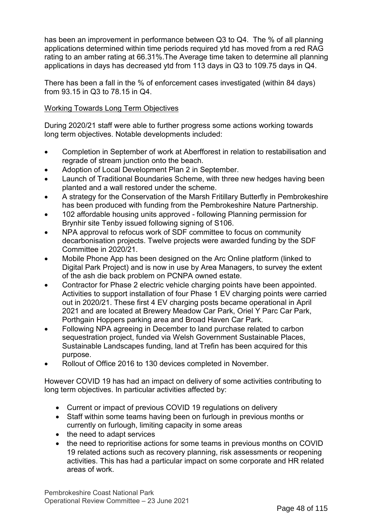has been an improvement in performance between Q3 to Q4. The % of all planning applications determined within time periods required ytd has moved from a red RAG rating to an amber rating at 66.31%.The Average time taken to determine all planning applications in days has decreased ytd from 113 days in Q3 to 109.75 days in Q4.

There has been a fall in the % of enforcement cases investigated (within 84 days) from 93.15 in Q3 to 78.15 in Q4.

### Working Towards Long Term Objectives

During 2020/21 staff were able to further progress some actions working towards long term objectives. Notable developments included:

- Completion in September of work at Aberfforest in relation to restabilisation and regrade of stream junction onto the beach.
- Adoption of Local Development Plan 2 in September.
- Launch of Traditional Boundaries Scheme, with three new hedges having been planted and a wall restored under the scheme.
- A strategy for the Conservation of the Marsh Fritillary Butterfly in Pembrokeshire has been produced with funding from the Pembrokeshire Nature Partnership.
- 102 affordable housing units approved following Planning permission for Brynhir site Tenby issued following signing of S106.
- NPA approval to refocus work of SDF committee to focus on community decarbonisation projects. Twelve projects were awarded funding by the SDF Committee in 2020/21.
- Mobile Phone App has been designed on the Arc Online platform (linked to Digital Park Project) and is now in use by Area Managers, to survey the extent of the ash die back problem on PCNPA owned estate.
- Contractor for Phase 2 electric vehicle charging points have been appointed. Activities to support installation of four Phase 1 EV charging points were carried out in 2020/21. These first 4 EV charging posts became operational in April 2021 and are located at Brewery Meadow Car Park, Oriel Y Parc Car Park, Porthgain Hoppers parking area and Broad Haven Car Park.
- Following NPA agreeing in December to land purchase related to carbon sequestration project, funded via Welsh Government Sustainable Places, Sustainable Landscapes funding, land at Trefin has been acquired for this purpose.
- Rollout of Office 2016 to 130 devices completed in November.

However COVID 19 has had an impact on delivery of some activities contributing to long term objectives. In particular activities affected by:

- Current or impact of previous COVID 19 regulations on delivery
- Staff within some teams having been on furlough in previous months or currently on furlough, limiting capacity in some areas
- the need to adapt services
- the need to reprioritise actions for some teams in previous months on COVID 19 related actions such as recovery planning, risk assessments or reopening activities. This has had a particular impact on some corporate and HR related areas of work.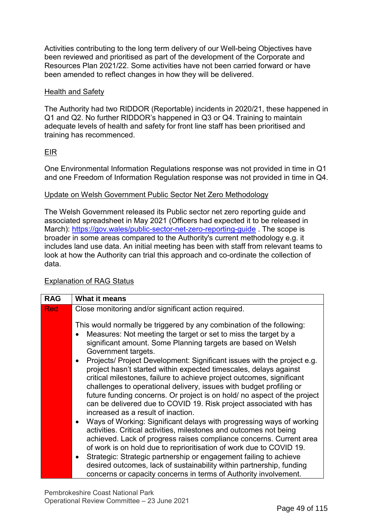Activities contributing to the long term delivery of our Well-being Objectives have been reviewed and prioritised as part of the development of the Corporate and Resources Plan 2021/22. Some activities have not been carried forward or have been amended to reflect changes in how they will be delivered.

#### Health and Safety

The Authority had two RIDDOR (Reportable) incidents in 2020/21, these happened in Q1 and Q2. No further RIDDOR's happened in Q3 or Q4. Training to maintain adequate levels of health and safety for front line staff has been prioritised and training has recommenced.

### EIR

One Environmental Information Regulations response was not provided in time in Q1 and one Freedom of Information Regulation response was not provided in time in Q4.

### Update on Welsh Government Public Sector Net Zero Methodology

The Welsh Government released its Public sector net zero reporting guide and associated spreadsheet in May 2021 [\(Officers had expected it to](https://gov.wales/public-sector-net-zero-reporting-guide) be released in March): https://gov.wales/public-sector-net-zero-reporting-guide . The scope is broader in some areas compared to the Authority's current methodology e.g. it includes land use data. An initial meeting has been with staff from relevant teams to look at how the Authority can trial this approach and co-ordinate the collection of data.

### Explanation of RAG Status

| <b>RAG</b> | What it means                                                                                                                                                                                                                                                                                                                                                                                                                                                                                                                                                                                                                                                                                         |
|------------|-------------------------------------------------------------------------------------------------------------------------------------------------------------------------------------------------------------------------------------------------------------------------------------------------------------------------------------------------------------------------------------------------------------------------------------------------------------------------------------------------------------------------------------------------------------------------------------------------------------------------------------------------------------------------------------------------------|
| <b>Red</b> | Close monitoring and/or significant action required.<br>This would normally be triggered by any combination of the following:<br>Measures: Not meeting the target or set to miss the target by a<br>significant amount. Some Planning targets are based on Welsh<br>Government targets.<br>Projects/ Project Development: Significant issues with the project e.g.<br>$\bullet$<br>project hasn't started within expected timescales, delays against<br>critical milestones, failure to achieve project outcomes, significant<br>challenges to operational delivery, issues with budget profiling or                                                                                                  |
|            | future funding concerns. Or project is on hold/ no aspect of the project<br>can be delivered due to COVID 19. Risk project associated with has<br>increased as a result of inaction.<br>• Ways of Working: Significant delays with progressing ways of working<br>activities. Critical activities, milestones and outcomes not being<br>achieved. Lack of progress raises compliance concerns. Current area<br>of work is on hold due to reprioritisation of work due to COVID 19.<br>• Strategic: Strategic partnership or engagement failing to achieve<br>desired outcomes, lack of sustainability within partnership, funding<br>concerns or capacity concerns in terms of Authority involvement. |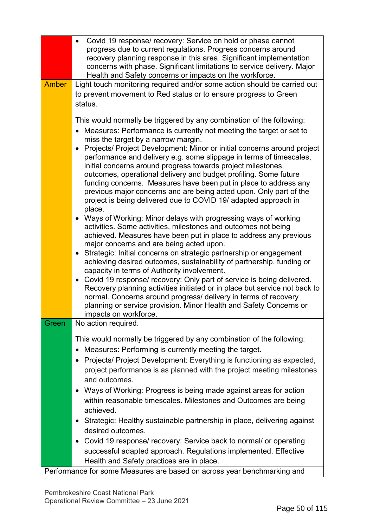|              | Covid 19 response/ recovery: Service on hold or phase cannot<br>$\bullet$<br>progress due to current regulations. Progress concerns around |
|--------------|--------------------------------------------------------------------------------------------------------------------------------------------|
|              | recovery planning response in this area. Significant implementation                                                                        |
|              | concerns with phase. Significant limitations to service delivery. Major<br>Health and Safety concerns or impacts on the workforce.         |
| <b>Amber</b> | Light touch monitoring required and/or some action should be carried out                                                                   |
|              | to prevent movement to Red status or to ensure progress to Green                                                                           |
|              | status.                                                                                                                                    |
|              |                                                                                                                                            |
|              | This would normally be triggered by any combination of the following:                                                                      |
|              | Measures: Performance is currently not meeting the target or set to<br>$\bullet$<br>miss the target by a narrow margin.                    |
|              | Projects/ Project Development: Minor or initial concerns around project<br>$\bullet$                                                       |
|              | performance and delivery e.g. some slippage in terms of timescales,<br>initial concerns around progress towards project milestones,        |
|              | outcomes, operational delivery and budget profiling. Some future                                                                           |
|              | funding concerns. Measures have been put in place to address any                                                                           |
|              | previous major concerns and are being acted upon. Only part of the                                                                         |
|              | project is being delivered due to COVID 19/ adapted approach in<br>place.                                                                  |
|              | • Ways of Working: Minor delays with progressing ways of working                                                                           |
|              | activities. Some activities, milestones and outcomes not being                                                                             |
|              | achieved. Measures have been put in place to address any previous                                                                          |
|              | major concerns and are being acted upon.<br>• Strategic: Initial concerns on strategic partnership or engagement                           |
|              | achieving desired outcomes, sustainability of partnership, funding or                                                                      |
|              | capacity in terms of Authority involvement.                                                                                                |
|              | • Covid 19 response/ recovery: Only part of service is being delivered.                                                                    |
|              | Recovery planning activities initiated or in place but service not back to                                                                 |
|              | normal. Concerns around progress/ delivery in terms of recovery<br>planning or service provision. Minor Health and Safety Concerns or      |
|              | impacts on workforce.                                                                                                                      |
| Green        | No action required.                                                                                                                        |
|              | This would normally be triggered by any combination of the following:                                                                      |
|              | Measures: Performing is currently meeting the target.                                                                                      |
|              | Projects/ Project Development: Everything is functioning as expected,<br>٠                                                                 |
|              | project performance is as planned with the project meeting milestones                                                                      |
|              | and outcomes.                                                                                                                              |
|              | Ways of Working: Progress is being made against areas for action<br>$\bullet$                                                              |
|              | within reasonable timescales. Milestones and Outcomes are being                                                                            |
|              | achieved.                                                                                                                                  |
|              | • Strategic: Healthy sustainable partnership in place, delivering against                                                                  |
|              | desired outcomes.                                                                                                                          |
|              | Covid 19 response/ recovery: Service back to normal/ or operating<br>٠                                                                     |
|              | successful adapted approach. Regulations implemented. Effective                                                                            |
|              | Health and Safety practices are in place.                                                                                                  |
|              | Performance for some Measures are based on across year benchmarking and                                                                    |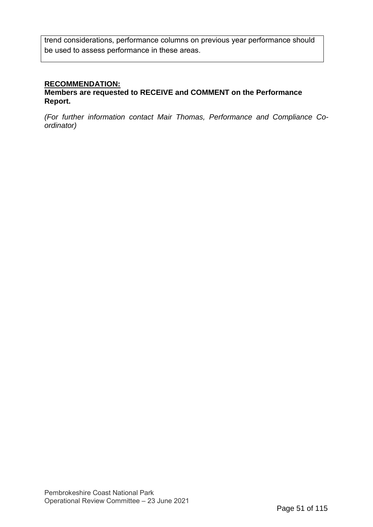trend considerations, performance columns on previous year performance should be used to assess performance in these areas.

### **RECOMMENDATION:**

#### **Members are requested to RECEIVE and COMMENT on the Performance Report.**

*(For further information contact Mair Thomas, Performance and Compliance Coordinator)*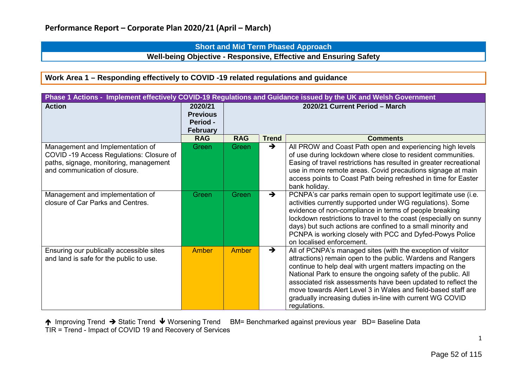### **Short and Mid Term Phased Approach**

**Well-being Objective - Responsive, Effective and Ensuring Safety**

### **Work Area 1 – Responding effectively to COVID -19 related regulations and guidance**

| Phase 1 Actions - Implement effectively COVID-19 Regulations and Guidance issued by the UK and Welsh Government                                        |                                                           |                                |               |                                                                                                                                                                                                                                                                                                                                                                                                                                                                         |  |  |
|--------------------------------------------------------------------------------------------------------------------------------------------------------|-----------------------------------------------------------|--------------------------------|---------------|-------------------------------------------------------------------------------------------------------------------------------------------------------------------------------------------------------------------------------------------------------------------------------------------------------------------------------------------------------------------------------------------------------------------------------------------------------------------------|--|--|
| <b>Action</b>                                                                                                                                          | 2020/21<br><b>Previous</b><br>Period -<br><b>February</b> | 2020/21 Current Period - March |               |                                                                                                                                                                                                                                                                                                                                                                                                                                                                         |  |  |
|                                                                                                                                                        | <b>RAG</b>                                                | <b>RAG</b>                     | <b>Trend</b>  | <b>Comments</b>                                                                                                                                                                                                                                                                                                                                                                                                                                                         |  |  |
| Management and Implementation of<br>COVID-19 Access Regulations: Closure of<br>paths, signage, monitoring, management<br>and communication of closure. | Green                                                     | Green                          | $\rightarrow$ | All PROW and Coast Path open and experiencing high levels<br>of use during lockdown where close to resident communities.<br>Easing of travel restrictions has resulted in greater recreational<br>use in more remote areas. Covid precautions signage at main<br>access points to Coast Path being refreshed in time for Easter<br>bank holiday.                                                                                                                        |  |  |
| Management and implementation of<br>closure of Car Parks and Centres.                                                                                  | Green                                                     | Green                          | $\rightarrow$ | PCNPA's car parks remain open to support legitimate use (i.e.<br>activities currently supported under WG regulations). Some<br>evidence of non-compliance in terms of people breaking<br>lockdown restrictions to travel to the coast (especially on sunny<br>days) but such actions are confined to a small minority and<br>PCNPA is working closely with PCC and Dyfed-Powys Police<br>on localised enforcement.                                                      |  |  |
| Ensuring our publically accessible sites<br>and land is safe for the public to use.                                                                    | Amber                                                     | Amber                          | $\rightarrow$ | All of PCNPA's managed sites (with the exception of visitor<br>attractions) remain open to the public. Wardens and Rangers<br>continue to help deal with urgent matters impacting on the<br>National Park to ensure the ongoing safety of the public. All<br>associated risk assessments have been updated to reflect the<br>move towards Alert Level 3 in Wales and field-based staff are<br>gradually increasing duties in-line with current WG COVID<br>regulations. |  |  |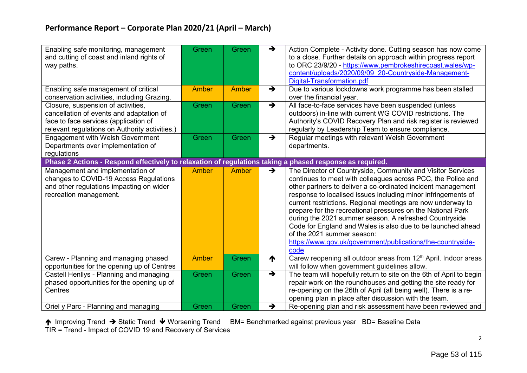| Enabling safe monitoring, management<br>and cutting of coast and inland rights of<br>way paths.                                                                           | Green        | Green | $\rightarrow$ | Action Complete - Activity done. Cutting season has now come<br>to a close. Further details on approach within progress report<br>to ORC 23/9/20 - https://www.pembrokeshirecoast.wales/wp-<br>content/uploads/2020/09/09 20-Countryside-Management-<br>Digital-Transformation.pdf                                                                                                                                                                                                                                                                                                                                       |
|---------------------------------------------------------------------------------------------------------------------------------------------------------------------------|--------------|-------|---------------|--------------------------------------------------------------------------------------------------------------------------------------------------------------------------------------------------------------------------------------------------------------------------------------------------------------------------------------------------------------------------------------------------------------------------------------------------------------------------------------------------------------------------------------------------------------------------------------------------------------------------|
| Enabling safe management of critical<br>conservation activities, including Grazing.                                                                                       | Amber        | Amber | $\rightarrow$ | Due to various lockdowns work programme has been stalled<br>over the financial year.                                                                                                                                                                                                                                                                                                                                                                                                                                                                                                                                     |
| Closure, suspension of activities,<br>cancellation of events and adaptation of<br>face to face services (application of<br>relevant regulations on Authority activities.) | Green        | Green | $\rightarrow$ | All face-to-face services have been suspended (unless<br>outdoors) in-line with current WG COVID restrictions. The<br>Authority's COVID Recovery Plan and risk register is reviewed<br>regularly by Leadership Team to ensure compliance.                                                                                                                                                                                                                                                                                                                                                                                |
| <b>Engagement with Welsh Government</b><br>Departments over implementation of<br>regulations                                                                              | Green        | Green | $\rightarrow$ | Regular meetings with relevant Welsh Government<br>departments.                                                                                                                                                                                                                                                                                                                                                                                                                                                                                                                                                          |
| Phase 2 Actions - Respond effectively to relaxation of regulations taking a phased response as required.                                                                  |              |       |               |                                                                                                                                                                                                                                                                                                                                                                                                                                                                                                                                                                                                                          |
| Management and implementation of<br>changes to COVID-19 Access Regulations<br>and other regulations impacting on wider<br>recreation management.                          | <b>Amber</b> | Amber | $\rightarrow$ | The Director of Countryside, Community and Visitor Services<br>continues to meet with colleagues across PCC, the Police and<br>other partners to deliver a co-ordinated incident management<br>response to localised issues including minor infringements of<br>current restrictions. Regional meetings are now underway to<br>prepare for the recreational pressures on the National Park<br>during the 2021 summer season. A refreshed Countryside<br>Code for England and Wales is also due to be launched ahead<br>of the 2021 summer season:<br>https://www.gov.uk/government/publications/the-countryside-<br>code |
| Carew - Planning and managing phased<br>opportunities for the opening up of Centres                                                                                       | <b>Amber</b> | Green | ↑             | Carew reopening all outdoor areas from 12 <sup>th</sup> April. Indoor areas<br>will follow when government guidelines allow.                                                                                                                                                                                                                                                                                                                                                                                                                                                                                             |
| Castell Henllys - Planning and managing<br>phased opportunities for the opening up of<br>Centres                                                                          | Green        | Green | $\rightarrow$ | The team will hopefully return to site on the 6th of April to begin<br>repair work on the roundhouses and getting the site ready for<br>re-opening on the 26th of April (all being well). There is a re-<br>opening plan in place after discussion with the team.                                                                                                                                                                                                                                                                                                                                                        |
| Oriel y Parc - Planning and managing                                                                                                                                      | Green        | Green | $\rightarrow$ | Re-opening plan and risk assessment have been reviewed and                                                                                                                                                                                                                                                                                                                                                                                                                                                                                                                                                               |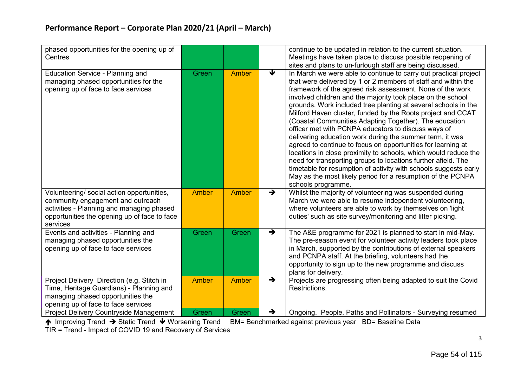| phased opportunities for the opening up of<br>Centres                                                                                                                                    |              |              |               | continue to be updated in relation to the current situation.<br>Meetings have taken place to discuss possible reopening of<br>sites and plans to un-furlough staff are being discussed.                                                                                                                                                                                                                                                                                                                                                                                                                                                                                                                                                                                                                                                                                                                                                  |
|------------------------------------------------------------------------------------------------------------------------------------------------------------------------------------------|--------------|--------------|---------------|------------------------------------------------------------------------------------------------------------------------------------------------------------------------------------------------------------------------------------------------------------------------------------------------------------------------------------------------------------------------------------------------------------------------------------------------------------------------------------------------------------------------------------------------------------------------------------------------------------------------------------------------------------------------------------------------------------------------------------------------------------------------------------------------------------------------------------------------------------------------------------------------------------------------------------------|
| <b>Education Service - Planning and</b><br>managing phased opportunities for the<br>opening up of face to face services                                                                  | Green        | <b>Amber</b> | ↓             | In March we were able to continue to carry out practical project<br>that were delivered by 1 or 2 members of staff and within the<br>framework of the agreed risk assessment. None of the work<br>involved children and the majority took place on the school<br>grounds. Work included tree planting at several schools in the<br>Milford Haven cluster, funded by the Roots project and CCAT<br>(Coastal Communities Adapting Together). The education<br>officer met with PCNPA educators to discuss ways of<br>delivering education work during the summer term, it was<br>agreed to continue to focus on opportunities for learning at<br>locations in close proximity to schools, which would reduce the<br>need for transporting groups to locations further afield. The<br>timetable for resumption of activity with schools suggests early<br>May as the most likely period for a resumption of the PCNPA<br>schools programme. |
| Volunteering/ social action opportunities,<br>community engagement and outreach<br>activities - Planning and managing phased<br>opportunities the opening up of face to face<br>services | <b>Amber</b> | <b>Amber</b> | $\rightarrow$ | Whilst the majority of volunteering was suspended during<br>March we were able to resume independent volunteering,<br>where volunteers are able to work by themselves on 'light<br>duties' such as site survey/monitoring and litter picking.                                                                                                                                                                                                                                                                                                                                                                                                                                                                                                                                                                                                                                                                                            |
| Events and activities - Planning and<br>managing phased opportunities the<br>opening up of face to face services                                                                         | Green        | Green        | $\rightarrow$ | The A&E programme for 2021 is planned to start in mid-May.<br>The pre-season event for volunteer activity leaders took place<br>in March, supported by the contributions of external speakers<br>and PCNPA staff. At the briefing, volunteers had the<br>opportunity to sign up to the new programme and discuss<br>plans for delivery.                                                                                                                                                                                                                                                                                                                                                                                                                                                                                                                                                                                                  |
| Project Delivery Direction (e.g. Stitch in<br>Time, Heritage Guardians) - Planning and<br>managing phased opportunities the<br>opening up of face to face services                       | <b>Amber</b> | Amber        | $\rightarrow$ | Projects are progressing often being adapted to suit the Covid<br>Restrictions.                                                                                                                                                                                                                                                                                                                                                                                                                                                                                                                                                                                                                                                                                                                                                                                                                                                          |
| Project Delivery Countryside Management                                                                                                                                                  | Green        | Green        | $\rightarrow$ | Ongoing. People, Paths and Pollinators - Surveying resumed                                                                                                                                                                                                                                                                                                                                                                                                                                                                                                                                                                                                                                                                                                                                                                                                                                                                               |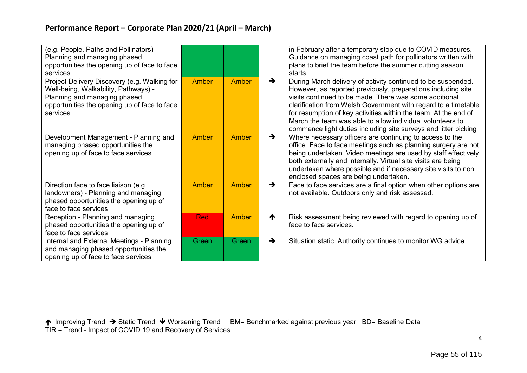| (e.g. People, Paths and Pollinators) -<br>Planning and managing phased<br>opportunities the opening up of face to face<br>services                                               |              |              |               | in February after a temporary stop due to COVID measures.<br>Guidance on managing coast path for pollinators written with<br>plans to brief the team before the summer cutting season<br>starts.                                                                                                                                                                                                                                                            |
|----------------------------------------------------------------------------------------------------------------------------------------------------------------------------------|--------------|--------------|---------------|-------------------------------------------------------------------------------------------------------------------------------------------------------------------------------------------------------------------------------------------------------------------------------------------------------------------------------------------------------------------------------------------------------------------------------------------------------------|
| Project Delivery Discovery (e.g. Walking for<br>Well-being, Walkability, Pathways) -<br>Planning and managing phased<br>opportunities the opening up of face to face<br>services | <b>Amber</b> | Amber        | $\rightarrow$ | During March delivery of activity continued to be suspended.<br>However, as reported previously, preparations including site<br>visits continued to be made. There was some additional<br>clarification from Welsh Government with regard to a timetable<br>for resumption of key activities within the team. At the end of<br>March the team was able to allow individual volunteers to<br>commence light duties including site surveys and litter picking |
| Development Management - Planning and<br>managing phased opportunities the<br>opening up of face to face services                                                                | <b>Amber</b> | <b>Amber</b> | $\rightarrow$ | Where necessary officers are continuing to access to the<br>office. Face to face meetings such as planning surgery are not<br>being undertaken. Video meetings are used by staff effectively<br>both externally and internally. Virtual site visits are being<br>undertaken where possible and if necessary site visits to non<br>enclosed spaces are being undertaken.                                                                                     |
| Direction face to face liaison (e.g.<br>landowners) - Planning and managing<br>phased opportunities the opening up of<br>face to face services                                   | <b>Amber</b> | <b>Amber</b> | $\rightarrow$ | Face to face services are a final option when other options are<br>not available. Outdoors only and risk assessed.                                                                                                                                                                                                                                                                                                                                          |
| Reception - Planning and managing<br>phased opportunities the opening up of<br>face to face services                                                                             | <b>Red</b>   | Amber        | ↑             | Risk assessment being reviewed with regard to opening up of<br>face to face services.                                                                                                                                                                                                                                                                                                                                                                       |
| Internal and External Meetings - Planning<br>and managing phased opportunities the<br>opening up of face to face services                                                        | Green        | Green        | $\rightarrow$ | Situation static. Authority continues to monitor WG advice                                                                                                                                                                                                                                                                                                                                                                                                  |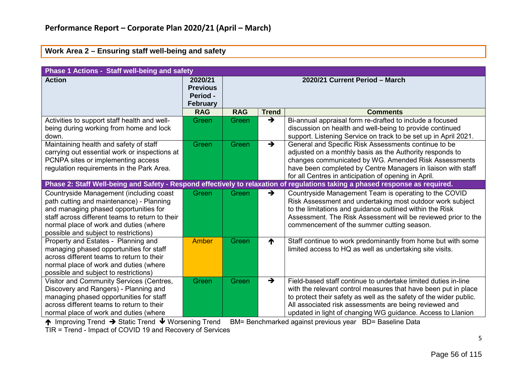#### **Work Area 2 – Ensuring staff well-being and safety**

| Phase 1 Actions - Staff well-being and safety                                                                                                                                                                                                                      |                                                           |                                |               |                                                                                                                                                                                                                                                                                                                                 |  |  |  |
|--------------------------------------------------------------------------------------------------------------------------------------------------------------------------------------------------------------------------------------------------------------------|-----------------------------------------------------------|--------------------------------|---------------|---------------------------------------------------------------------------------------------------------------------------------------------------------------------------------------------------------------------------------------------------------------------------------------------------------------------------------|--|--|--|
| <b>Action</b>                                                                                                                                                                                                                                                      | 2020/21<br><b>Previous</b><br>Period -<br><b>February</b> | 2020/21 Current Period - March |               |                                                                                                                                                                                                                                                                                                                                 |  |  |  |
|                                                                                                                                                                                                                                                                    | <b>RAG</b>                                                | <b>RAG</b>                     | <b>Trend</b>  | <b>Comments</b>                                                                                                                                                                                                                                                                                                                 |  |  |  |
| Activities to support staff health and well-<br>being during working from home and lock<br>down.                                                                                                                                                                   | Green                                                     | Green                          | $\rightarrow$ | Bi-annual appraisal form re-drafted to include a focused<br>discussion on health and well-being to provide continued<br>support. Listening Service on track to be set up in April 2021.                                                                                                                                         |  |  |  |
| Maintaining health and safety of staff<br>carrying out essential work or inspections at<br>PCNPA sites or implementing access<br>regulation requirements in the Park Area.                                                                                         | Green                                                     | Green                          | $\rightarrow$ | General and Specific Risk Assessments continue to be<br>adjusted on a monthly basis as the Authority responds to<br>changes communicated by WG. Amended Risk Assessments<br>have been completed by Centre Managers in liaison with staff<br>for all Centres in anticipation of opening in April.                                |  |  |  |
|                                                                                                                                                                                                                                                                    |                                                           |                                |               | Phase 2: Staff Well-being and Safety - Respond effectively to relaxation of regulations taking a phased response as required.                                                                                                                                                                                                   |  |  |  |
| Countryside Management (including coast<br>path cutting and maintenance) - Planning<br>and managing phased opportunities for<br>staff across different teams to return to their<br>normal place of work and duties (where<br>possible and subject to restrictions) | Green                                                     | Green                          | $\rightarrow$ | Countryside Management Team is operating to the COVID<br>Risk Assessment and undertaking most outdoor work subject<br>to the limitations and guidance outlined within the Risk<br>Assessment. The Risk Assessment will be reviewed prior to the<br>commencement of the summer cutting season.                                   |  |  |  |
| Property and Estates - Planning and<br>managing phased opportunities for staff<br>across different teams to return to their<br>normal place of work and duties (where<br>possible and subject to restrictions)                                                     | Amber                                                     | Green                          | ↑             | Staff continue to work predominantly from home but with some<br>limited access to HQ as well as undertaking site visits.                                                                                                                                                                                                        |  |  |  |
| Visitor and Community Services (Centres,<br>Discovery and Rangers) - Planning and<br>managing phased opportunities for staff<br>across different teams to return to their<br>normal place of work and duties (where                                                | Green                                                     | Green                          | $\rightarrow$ | Field-based staff continue to undertake limited duties in-line<br>with the relevant control measures that have been put in place<br>to protect their safety as well as the safety of the wider public.<br>All associated risk assessments are being reviewed and<br>updated in light of changing WG guidance. Access to Llanion |  |  |  |

↑ Improving Trend → Static Trend ↓ Worsening Trend BM= Benchmarked against previous year BD= Baseline Data

TIR = Trend - Impact of COVID 19 and Recovery of Services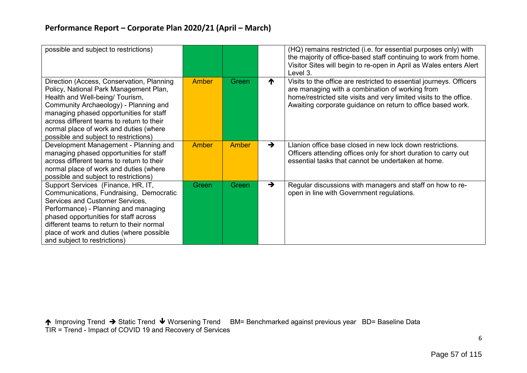| possible and subject to restrictions)                                                                                                                                                                                                                                                                                                      |              |              |               | (HQ) remains restricted (i.e. for essential purposes only) with<br>the majority of office-based staff continuing to work from home.<br>Visitor Sites will begin to re-open in April as Wales enters Alert<br>Level 3.                                       |
|--------------------------------------------------------------------------------------------------------------------------------------------------------------------------------------------------------------------------------------------------------------------------------------------------------------------------------------------|--------------|--------------|---------------|-------------------------------------------------------------------------------------------------------------------------------------------------------------------------------------------------------------------------------------------------------------|
| Direction (Access, Conservation, Planning<br>Policy, National Park Management Plan,<br>Health and Well-being/ Tourism,<br>Community Archaeology) - Planning and<br>managing phased opportunities for staff<br>across different teams to return to their<br>normal place of work and duties (where<br>possible and subject to restrictions) | Amber        | Green        | ↑             | Visits to the office are restricted to essential journeys. Officers<br>are managing with a combination of working from<br>home/restricted site visits and very limited visits to the office.<br>Awaiting corporate guidance on return to office based work. |
| Development Management - Planning and<br>managing phased opportunities for staff<br>across different teams to return to their<br>normal place of work and duties (where<br>possible and subject to restrictions)                                                                                                                           | <b>Amber</b> | <b>Amber</b> | $\rightarrow$ | Llanion office base closed in new lock down restrictions.<br>Officers attending offices only for short duration to carry out<br>essential tasks that cannot be undertaken at home.                                                                          |
| Support Services (Finance, HR, IT,<br>Communications, Fundraising, Democratic<br>Services and Customer Services,<br>Performance) - Planning and managing<br>phased opportunities for staff across<br>different teams to return to their normal<br>place of work and duties (where possible<br>and subject to restrictions)                 | Green        | Green        | $\rightarrow$ | Regular discussions with managers and staff on how to re-<br>open in line with Government regulations.                                                                                                                                                      |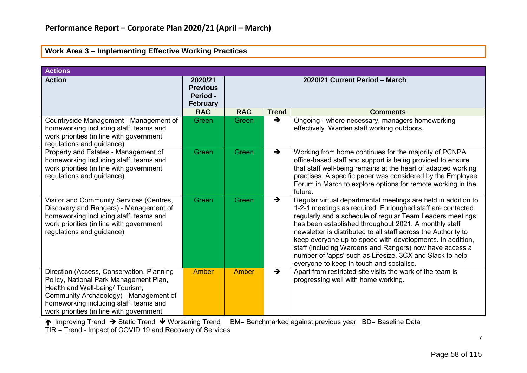| <b>Actions</b>                                                                                                                                                                                                                                         |                                                           |                                |               |                                                                                                                                                                                                                                                                                                                                                                                                                                                                                                                                                     |  |
|--------------------------------------------------------------------------------------------------------------------------------------------------------------------------------------------------------------------------------------------------------|-----------------------------------------------------------|--------------------------------|---------------|-----------------------------------------------------------------------------------------------------------------------------------------------------------------------------------------------------------------------------------------------------------------------------------------------------------------------------------------------------------------------------------------------------------------------------------------------------------------------------------------------------------------------------------------------------|--|
| <b>Action</b>                                                                                                                                                                                                                                          | 2020/21<br><b>Previous</b><br>Period -<br><b>February</b> | 2020/21 Current Period - March |               |                                                                                                                                                                                                                                                                                                                                                                                                                                                                                                                                                     |  |
|                                                                                                                                                                                                                                                        | <b>RAG</b>                                                | <b>RAG</b>                     | <b>Trend</b>  | <b>Comments</b>                                                                                                                                                                                                                                                                                                                                                                                                                                                                                                                                     |  |
| Countryside Management - Management of<br>homeworking including staff, teams and<br>work priorities (in line with government<br>regulations and guidance)                                                                                              | Green                                                     | Green                          | $\rightarrow$ | Ongoing - where necessary, managers homeworking<br>effectively. Warden staff working outdoors.                                                                                                                                                                                                                                                                                                                                                                                                                                                      |  |
| Property and Estates - Management of<br>homeworking including staff, teams and<br>work priorities (in line with government<br>regulations and guidance)                                                                                                | Green                                                     | Green                          | $\rightarrow$ | Working from home continues for the majority of PCNPA<br>office-based staff and support is being provided to ensure<br>that staff well-being remains at the heart of adapted working<br>practises. A specific paper was considered by the Employee<br>Forum in March to explore options for remote working in the<br>future.                                                                                                                                                                                                                        |  |
| Visitor and Community Services (Centres,<br>Discovery and Rangers) - Management of<br>homeworking including staff, teams and<br>work priorities (in line with government<br>regulations and guidance)                                                  | Green                                                     | Green                          | $\rightarrow$ | Regular virtual departmental meetings are held in addition to<br>1-2-1 meetings as required. Furloughed staff are contacted<br>regularly and a schedule of regular Team Leaders meetings<br>has been established throughout 2021. A monthly staff<br>newsletter is distributed to all staff across the Authority to<br>keep everyone up-to-speed with developments. In addition,<br>staff (including Wardens and Rangers) now have access a<br>number of 'apps' such as Lifesize, 3CX and Slack to help<br>everyone to keep in touch and socialise. |  |
| Direction (Access, Conservation, Planning<br>Policy, National Park Management Plan,<br>Health and Well-being/ Tourism,<br>Community Archaeology) - Management of<br>homeworking including staff, teams and<br>work priorities (in line with government | <b>Amber</b>                                              | Amber                          | $\rightarrow$ | Apart from restricted site visits the work of the team is<br>progressing well with home working.                                                                                                                                                                                                                                                                                                                                                                                                                                                    |  |

#### **Work Area 3 – Implementing Effective Working Practices**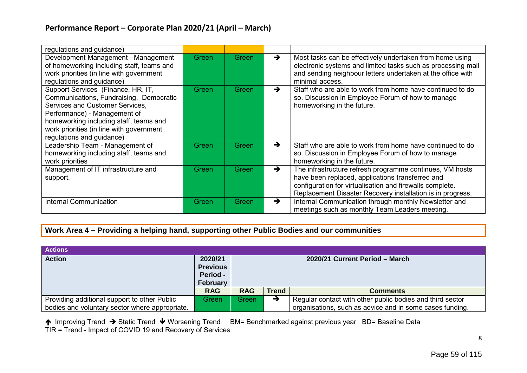| regulations and guidance)                                                                                                                                                                                                                                           |       |              |               |                                                                                                                                                                                                                                        |
|---------------------------------------------------------------------------------------------------------------------------------------------------------------------------------------------------------------------------------------------------------------------|-------|--------------|---------------|----------------------------------------------------------------------------------------------------------------------------------------------------------------------------------------------------------------------------------------|
| Development Management - Management<br>of homeworking including staff, teams and<br>work priorities (in line with government<br>regulations and guidance)                                                                                                           | Green | Green        | $\rightarrow$ | Most tasks can be effectively undertaken from home using<br>electronic systems and limited tasks such as processing mail<br>and sending neighbour letters undertaken at the office with<br>minimal access.                             |
| Support Services (Finance, HR, IT,<br>Communications, Fundraising, Democratic<br>Services and Customer Services,<br>Performance) - Management of<br>homeworking including staff, teams and<br>work priorities (in line with government<br>regulations and guidance) | Green | Green        | $\rightarrow$ | Staff who are able to work from home have continued to do<br>so. Discussion in Employee Forum of how to manage<br>homeworking in the future.                                                                                           |
| Leadership Team - Management of<br>homeworking including staff, teams and<br>work priorities                                                                                                                                                                        | Green | Green        | $\rightarrow$ | Staff who are able to work from home have continued to do<br>so. Discussion in Employee Forum of how to manage<br>homeworking in the future.                                                                                           |
| Management of IT infrastructure and<br>support.                                                                                                                                                                                                                     | Green | Green        | $\rightarrow$ | The infrastructure refresh programme continues, VM hosts<br>have been replaced, applications transferred and<br>configuration for virtualisation and firewalls complete.<br>Replacement Disaster Recovery installation is in progress. |
| <b>Internal Communication</b>                                                                                                                                                                                                                                       | Green | <b>Green</b> | $\rightarrow$ | Internal Communication through monthly Newsletter and<br>meetings such as monthly Team Leaders meeting.                                                                                                                                |

**Work Area 4 – Providing a helping hand, supporting other Public Bodies and our communities**

| <b>Actions</b>                                 |                                                                  |                                |              |                                                           |
|------------------------------------------------|------------------------------------------------------------------|--------------------------------|--------------|-----------------------------------------------------------|
| <b>Action</b>                                  | 2020/21<br><b>Previous</b><br><b>Period -</b><br><b>February</b> | 2020/21 Current Period - March |              |                                                           |
|                                                | <b>RAG</b>                                                       | <b>RAG</b>                     | <b>Trend</b> | <b>Comments</b>                                           |
| Providing additional support to other Public   | Green                                                            | Green                          | →            | Regular contact with other public bodies and third sector |
| bodies and voluntary sector where appropriate. |                                                                  |                                |              | organisations, such as advice and in some cases funding.  |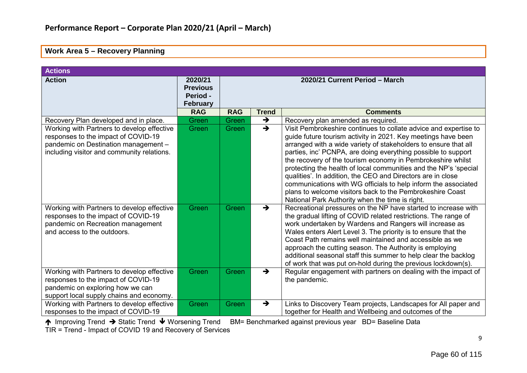#### **Work Area 5 – Recovery Planning**

| <b>Actions</b>                                                                                                                                                          |                                                           |                                |               |                                                                                                                                                                                                                                                                                                                                                                                                                                                                                                                                                                                                                                                           |  |  |
|-------------------------------------------------------------------------------------------------------------------------------------------------------------------------|-----------------------------------------------------------|--------------------------------|---------------|-----------------------------------------------------------------------------------------------------------------------------------------------------------------------------------------------------------------------------------------------------------------------------------------------------------------------------------------------------------------------------------------------------------------------------------------------------------------------------------------------------------------------------------------------------------------------------------------------------------------------------------------------------------|--|--|
| <b>Action</b>                                                                                                                                                           | 2020/21<br><b>Previous</b><br>Period -<br><b>February</b> | 2020/21 Current Period - March |               |                                                                                                                                                                                                                                                                                                                                                                                                                                                                                                                                                                                                                                                           |  |  |
|                                                                                                                                                                         | <b>RAG</b>                                                | <b>RAG</b>                     | <b>Trend</b>  | <b>Comments</b>                                                                                                                                                                                                                                                                                                                                                                                                                                                                                                                                                                                                                                           |  |  |
| Recovery Plan developed and in place.                                                                                                                                   | Green                                                     | Green                          | $\rightarrow$ | Recovery plan amended as required.                                                                                                                                                                                                                                                                                                                                                                                                                                                                                                                                                                                                                        |  |  |
| Working with Partners to develop effective<br>responses to the impact of COVID-19<br>pandemic on Destination management -<br>including visitor and community relations. | Green                                                     | Green                          | $\rightarrow$ | Visit Pembrokeshire continues to collate advice and expertise to<br>guide future tourism activity in 2021. Key meetings have been<br>arranged with a wide variety of stakeholders to ensure that all<br>parties, inc' PCNPA, are doing everything possible to support<br>the recovery of the tourism economy in Pembrokeshire whilst<br>protecting the health of local communities and the NP's 'special<br>qualities'. In addition, the CEO and Directors are in close<br>communications with WG officials to help inform the associated<br>plans to welcome visitors back to the Pembrokeshire Coast<br>National Park Authority when the time is right. |  |  |
| Working with Partners to develop effective<br>responses to the impact of COVID-19<br>pandemic on Recreation management<br>and access to the outdoors.                   | Green                                                     | Green                          | $\rightarrow$ | Recreational pressures on the NP have started to increase with<br>the gradual lifting of COVID related restrictions. The range of<br>work undertaken by Wardens and Rangers will increase as<br>Wales enters Alert Level 3. The priority is to ensure that the<br>Coast Path remains well maintained and accessible as we<br>approach the cutting season. The Authority is employing<br>additional seasonal staff this summer to help clear the backlog<br>of work that was put on-hold during the previous lockdown(s).                                                                                                                                  |  |  |
| Working with Partners to develop effective<br>responses to the impact of COVID-19<br>pandemic on exploring how we can<br>support local supply chains and economy.       | Green                                                     | Green                          | $\rightarrow$ | Regular engagement with partners on dealing with the impact of<br>the pandemic.                                                                                                                                                                                                                                                                                                                                                                                                                                                                                                                                                                           |  |  |
| Working with Partners to develop effective<br>responses to the impact of COVID-19                                                                                       | Green                                                     | Green                          | $\rightarrow$ | Links to Discovery Team projects, Landscapes for All paper and<br>together for Health and Wellbeing and outcomes of the                                                                                                                                                                                                                                                                                                                                                                                                                                                                                                                                   |  |  |

↑ Improving Trend → Static Trend ↓ Worsening Trend BM= Benchmarked against previous year BD= Baseline Data

TIR = Trend - Impact of COVID 19 and Recovery of Services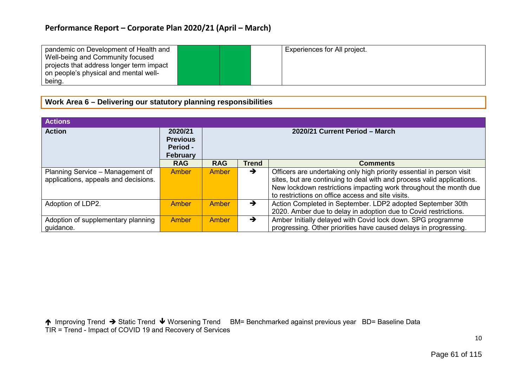| pandemic on Development of Health and    | Experiences for All project. |  |
|------------------------------------------|------------------------------|--|
| Well-being and Community focused         |                              |  |
| projects that address longer term impact |                              |  |
| on people's physical and mental well-    |                              |  |
| being.                                   |                              |  |

### **Work Area 6 – Delivering our statutory planning responsibilities**

| <b>Actions</b>                                                           |                                                    |                                |               |                                                                                                                                                                                                                                                                           |  |  |  |
|--------------------------------------------------------------------------|----------------------------------------------------|--------------------------------|---------------|---------------------------------------------------------------------------------------------------------------------------------------------------------------------------------------------------------------------------------------------------------------------------|--|--|--|
| <b>Action</b>                                                            | 2020/21<br><b>Previous</b><br>Period -<br>February | 2020/21 Current Period - March |               |                                                                                                                                                                                                                                                                           |  |  |  |
|                                                                          | <b>RAG</b>                                         | <b>RAG</b>                     | <b>Trend</b>  | <b>Comments</b>                                                                                                                                                                                                                                                           |  |  |  |
| Planning Service - Management of<br>applications, appeals and decisions. | <b>Amber</b>                                       | <b>Amber</b>                   | →             | Officers are undertaking only high priority essential in person visit<br>sites, but are continuing to deal with and process valid applications.<br>New lockdown restrictions impacting work throughout the month due<br>to restrictions on office access and site visits. |  |  |  |
| Adoption of LDP2.                                                        | Amber                                              | Amber                          | $\rightarrow$ | Action Completed in September. LDP2 adopted September 30th<br>2020. Amber due to delay in adoption due to Covid restrictions.                                                                                                                                             |  |  |  |
| Adoption of supplementary planning<br>guidance.                          | <b>Amber</b>                                       | Amber                          | →             | Amber Initially delayed with Covid lock down. SPG programme<br>progressing. Other priorities have caused delays in progressing.                                                                                                                                           |  |  |  |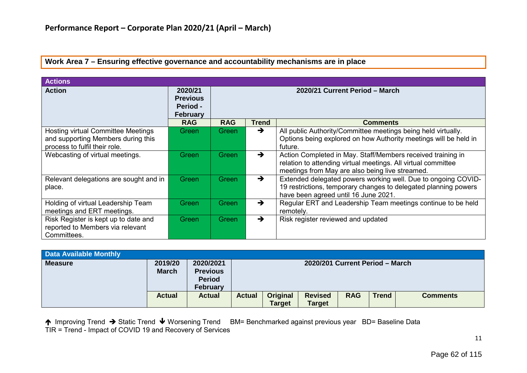#### **Work Area 7 – Ensuring effective governance and accountability mechanisms are in place**

| <b>Actions</b>                                                                                                   |                                                           |                                |               |                                                                                                                                                                                 |  |  |  |  |
|------------------------------------------------------------------------------------------------------------------|-----------------------------------------------------------|--------------------------------|---------------|---------------------------------------------------------------------------------------------------------------------------------------------------------------------------------|--|--|--|--|
| <b>Action</b>                                                                                                    | 2020/21<br><b>Previous</b><br>Period -<br><b>February</b> | 2020/21 Current Period - March |               |                                                                                                                                                                                 |  |  |  |  |
|                                                                                                                  | <b>RAG</b>                                                | <b>RAG</b>                     | <b>Trend</b>  | <b>Comments</b>                                                                                                                                                                 |  |  |  |  |
| <b>Hosting virtual Committee Meetings</b><br>and supporting Members during this<br>process to fulfil their role. | Green                                                     | Green                          | $\rightarrow$ | All public Authority/Committee meetings being held virtually.<br>Options being explored on how Authority meetings will be held in<br>future.                                    |  |  |  |  |
| Webcasting of virtual meetings.                                                                                  | Green                                                     | <b>Green</b>                   | $\rightarrow$ | Action Completed in May. Staff/Members received training in<br>relation to attending virtual meetings. All virtual committee<br>meetings from May are also being live streamed. |  |  |  |  |
| Relevant delegations are sought and in<br>place.                                                                 | Green                                                     | Green                          | $\rightarrow$ | Extended delegated powers working well. Due to ongoing COVID-<br>19 restrictions, temporary changes to delegated planning powers<br>have been agreed until 16 June 2021.        |  |  |  |  |
| Holding of virtual Leadership Team<br>meetings and ERT meetings.                                                 | Green                                                     | Green                          | $\rightarrow$ | Regular ERT and Leadership Team meetings continue to be held<br>remotely.                                                                                                       |  |  |  |  |
| Risk Register is kept up to date and<br>reported to Members via relevant<br>Committees.                          | Green                                                     | <b>Green</b>                   | $\rightarrow$ | Risk register reviewed and updated                                                                                                                                              |  |  |  |  |

| <b>Data Available Monthly</b> |                         |                                                                  |                                 |                                  |                                 |            |              |                 |  |
|-------------------------------|-------------------------|------------------------------------------------------------------|---------------------------------|----------------------------------|---------------------------------|------------|--------------|-----------------|--|
| <b>Measure</b>                | 2019/20<br><b>March</b> | 2020/2021<br><b>Previous</b><br><b>Period</b><br><b>February</b> | 2020/201 Current Period - March |                                  |                                 |            |              |                 |  |
|                               | <b>Actual</b>           | <b>Actual</b>                                                    | <b>Actual</b>                   | <b>Original</b><br><b>Target</b> | <b>Revised</b><br><b>Target</b> | <b>RAG</b> | <b>Trend</b> | <b>Comments</b> |  |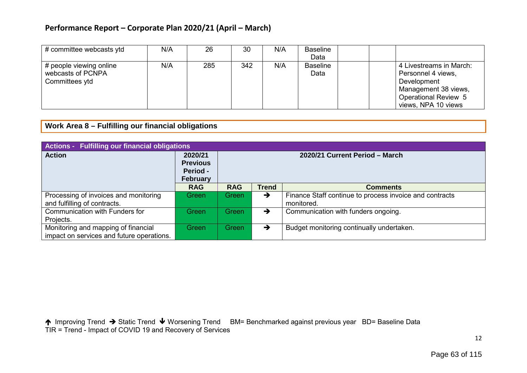| # committee webcasts ytd                                       | N/A | 26  | 30  | N/A | <b>Baseline</b><br>Data |                                                                                                                                            |
|----------------------------------------------------------------|-----|-----|-----|-----|-------------------------|--------------------------------------------------------------------------------------------------------------------------------------------|
| # people viewing online<br>webcasts of PCNPA<br>Committees ytd | N/A | 285 | 342 | N/A | <b>Baseline</b><br>Data | 4 Livestreams in March:<br>Personnel 4 views,<br>Development<br>Management 38 views,<br><b>Operational Review 5</b><br>views, NPA 10 views |

**Work Area 8 – Fulfilling our financial obligations**

| <b>Actions - Fulfilling our financial obligations</b>                            |                                                                  |                                |               |                                                                       |  |  |  |  |  |
|----------------------------------------------------------------------------------|------------------------------------------------------------------|--------------------------------|---------------|-----------------------------------------------------------------------|--|--|--|--|--|
| <b>Action</b>                                                                    | 2020/21<br><b>Previous</b><br><b>Period -</b><br><b>February</b> | 2020/21 Current Period - March |               |                                                                       |  |  |  |  |  |
|                                                                                  | <b>RAG</b>                                                       | <b>RAG</b>                     | <b>Trend</b>  | <b>Comments</b>                                                       |  |  |  |  |  |
| Processing of invoices and monitoring<br>and fulfilling of contracts.            | Greenl                                                           | Green                          | $\rightarrow$ | Finance Staff continue to process invoice and contracts<br>monitored. |  |  |  |  |  |
| Communication with Funders for<br>Projects.                                      | Green                                                            | Green                          | $\rightarrow$ | Communication with funders ongoing.                                   |  |  |  |  |  |
| Monitoring and mapping of financial<br>impact on services and future operations. | Green                                                            | Green                          | $\rightarrow$ | Budget monitoring continually undertaken.                             |  |  |  |  |  |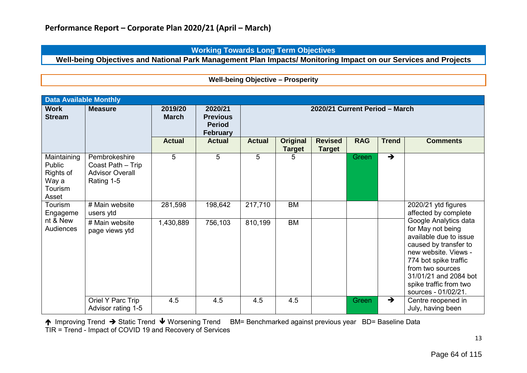**Working Towards Long Term Objectives**

**Well-being Objectives and National Park Management Plan Impacts/ Monitoring Impact on our Services and Projects**

**Well-being Objective – Prosperity**

| <b>Data Available Monthly</b>                                   |                                                                            |                         |                                                                |                                |                                  |                                 |            |               |                                                                                                                                                                                                                                              |  |
|-----------------------------------------------------------------|----------------------------------------------------------------------------|-------------------------|----------------------------------------------------------------|--------------------------------|----------------------------------|---------------------------------|------------|---------------|----------------------------------------------------------------------------------------------------------------------------------------------------------------------------------------------------------------------------------------------|--|
| <b>Work</b><br><b>Stream</b>                                    | <b>Measure</b>                                                             | 2019/20<br><b>March</b> | 2020/21<br><b>Previous</b><br><b>Period</b><br><b>February</b> | 2020/21 Current Period - March |                                  |                                 |            |               |                                                                                                                                                                                                                                              |  |
|                                                                 |                                                                            | <b>Actual</b>           | <b>Actual</b>                                                  | <b>Actual</b>                  | <b>Original</b><br><b>Target</b> | <b>Revised</b><br><b>Target</b> | <b>RAG</b> | <b>Trend</b>  | <b>Comments</b>                                                                                                                                                                                                                              |  |
| Maintaining<br>Public<br>Rights of<br>Way a<br>Tourism<br>Asset | Pembrokeshire<br>Coast Path - Trip<br><b>Advisor Overall</b><br>Rating 1-5 | 5                       | 5                                                              | 5                              | 5                                |                                 | Green      | $\rightarrow$ |                                                                                                                                                                                                                                              |  |
| Tourism<br>Engageme                                             | # Main website<br>users ytd                                                | 281,598                 | 198,642                                                        | 217,710                        | <b>BM</b>                        |                                 |            |               | 2020/21 ytd figures<br>affected by complete                                                                                                                                                                                                  |  |
| nt & New<br>Audiences                                           | # Main website<br>page views ytd                                           | 1,430,889               | 756,103                                                        | 810,199                        | <b>BM</b>                        |                                 |            |               | Google Analytics data<br>for May not being<br>available due to issue<br>caused by transfer to<br>new website. Views -<br>774 bot spike traffic<br>from two sources<br>31/01/21 and 2084 bot<br>spike traffic from two<br>sources - 01/02/21. |  |
|                                                                 | Oriel Y Parc Trip<br>Advisor rating 1-5                                    | 4.5                     | 4.5                                                            | 4.5                            | 4.5                              |                                 | Green      | $\rightarrow$ | Centre reopened in<br>July, having been                                                                                                                                                                                                      |  |

↑ Improving Trend → Static Trend ↓ Worsening Trend BM= Benchmarked against previous year BD= Baseline Data TIR = Trend - Impact of COVID 19 and Recovery of Services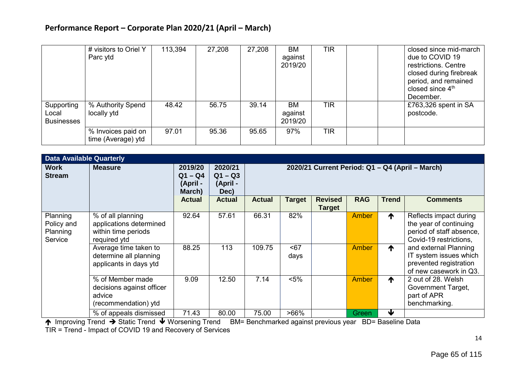|                                          | # visitors to Oriel Y<br>Parc ytd        | 113,394 | 27,208 | 27,208 | <b>BM</b><br>against<br>2019/20 | TIR | closed since mid-march<br>due to COVID 19<br>restrictions. Centre<br>closed during firebreak<br>period, and remained<br>closed since 4 <sup>th</sup><br>December. |
|------------------------------------------|------------------------------------------|---------|--------|--------|---------------------------------|-----|-------------------------------------------------------------------------------------------------------------------------------------------------------------------|
| Supporting<br>Local<br><b>Businesses</b> | % Authority Spend<br>locally ytd         | 48.42   | 56.75  | 39.14  | <b>BM</b><br>against<br>2019/20 | TIR | £763,326 spent in SA<br>postcode.                                                                                                                                 |
|                                          | % Invoices paid on<br>time (Average) ytd | 97.01   | 95.36  | 95.65  | 97%                             | TIR |                                                                                                                                                                   |

| <b>Data Available Quarterly</b>               |                                                                                     |                                            |                                          |                                                 |             |                                 |              |                 |                                                                                                        |  |  |
|-----------------------------------------------|-------------------------------------------------------------------------------------|--------------------------------------------|------------------------------------------|-------------------------------------------------|-------------|---------------------------------|--------------|-----------------|--------------------------------------------------------------------------------------------------------|--|--|
| <b>Work</b><br><b>Stream</b>                  | <b>Measure</b>                                                                      | 2019/20<br>$Q1 - Q4$<br>(April -<br>March) | 2020/21<br>$Q1 - Q3$<br>(April -<br>Dec) | 2020/21 Current Period: Q1 - Q4 (April - March) |             |                                 |              |                 |                                                                                                        |  |  |
|                                               |                                                                                     | <b>Actual</b>                              | <b>Actual</b>                            | <b>Actual</b>                                   | Target      | <b>Revised</b><br><b>Target</b> | <b>RAG</b>   | <b>Trend</b>    | <b>Comments</b>                                                                                        |  |  |
| Planning<br>Policy and<br>Planning<br>Service | % of all planning<br>applications determined<br>within time periods<br>required ytd | 92.64                                      | 57.61                                    | 66.31                                           | 82%         |                                 | Amber        | ↑               | Reflects impact during<br>the year of continuing<br>period of staff absence,<br>Covid-19 restrictions, |  |  |
|                                               | Average time taken to<br>determine all planning<br>applicants in days ytd           | 88.25                                      | 113                                      | 109.75                                          | 567<br>days |                                 | Amber        | 个               | and external Planning<br>IT system issues which<br>prevented registration<br>of new casework in Q3.    |  |  |
|                                               | % of Member made<br>decisions against officer<br>advice<br>(recommendation) ytd     | 9.09                                       | 12.50                                    | 7.14                                            | $< 5\%$     |                                 | <b>Amber</b> | $\blacklozenge$ | 2 out of 28. Welsh<br>Government Target,<br>part of APR<br>benchmarking.                               |  |  |
|                                               | % of appeals dismissed                                                              | 71.43                                      | 80.00                                    | 75.00                                           | $>66\%$     |                                 | Green        | ₩               |                                                                                                        |  |  |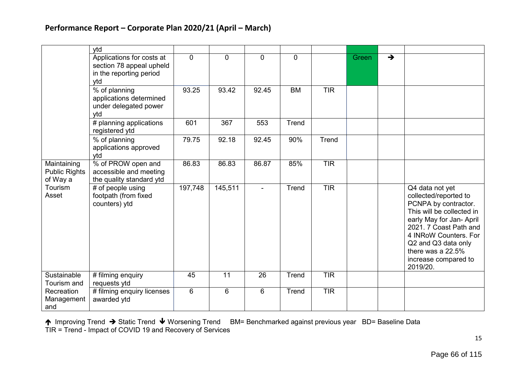|                                                 | ytd                                                                                     |          |          |                |                |            |       |               |                                                                                                                                                                                                                                                              |
|-------------------------------------------------|-----------------------------------------------------------------------------------------|----------|----------|----------------|----------------|------------|-------|---------------|--------------------------------------------------------------------------------------------------------------------------------------------------------------------------------------------------------------------------------------------------------------|
|                                                 | Applications for costs at<br>section 78 appeal upheld<br>in the reporting period<br>ytd | $\Omega$ | $\Omega$ | $\Omega$       | $\overline{0}$ |            | Green | $\rightarrow$ |                                                                                                                                                                                                                                                              |
|                                                 | % of planning<br>applications determined<br>under delegated power<br>ytd                | 93.25    | 93.42    | 92.45          | <b>BM</b>      | <b>TIR</b> |       |               |                                                                                                                                                                                                                                                              |
|                                                 | # planning applications<br>registered ytd                                               | 601      | 367      | 553            | Trend          |            |       |               |                                                                                                                                                                                                                                                              |
|                                                 | % of planning<br>applications approved<br>vtd                                           | 79.75    | 92.18    | 92.45          | 90%            | Trend      |       |               |                                                                                                                                                                                                                                                              |
| Maintaining<br><b>Public Rights</b><br>of Way a | % of PROW open and<br>accessible and meeting<br>the quality standard ytd                | 86.83    | 86.83    | 86.87          | 85%            | <b>TIR</b> |       |               |                                                                                                                                                                                                                                                              |
| Tourism<br>Asset                                | # of people using<br>footpath (from fixed<br>counters) ytd                              | 197,748  | 145,511  | $\blacksquare$ | Trend          | <b>TIR</b> |       |               | Q4 data not yet<br>collected/reported to<br>PCNPA by contractor.<br>This will be collected in<br>early May for Jan- April<br>2021. 7 Coast Path and<br>4 INRoW Counters. For<br>Q2 and Q3 data only<br>there was a 22.5%<br>increase compared to<br>2019/20. |
| Sustainable<br>Tourism and                      | # filming enquiry<br>requests ytd                                                       | 45       | 11       | 26             | Trend          | <b>TIR</b> |       |               |                                                                                                                                                                                                                                                              |
| Recreation<br>Management<br>and                 | # filming enquiry licenses<br>awarded ytd                                               | 6        | 6        | 6              | Trend          | <b>TIR</b> |       |               |                                                                                                                                                                                                                                                              |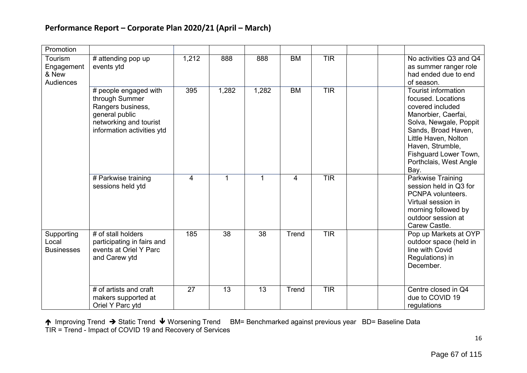| Promotion                                          |                                                                                                                                        |       |                 |                 |           |            |                                                                                                                                                                                                                                                     |
|----------------------------------------------------|----------------------------------------------------------------------------------------------------------------------------------------|-------|-----------------|-----------------|-----------|------------|-----------------------------------------------------------------------------------------------------------------------------------------------------------------------------------------------------------------------------------------------------|
| Tourism<br>Engagement<br>& New<br><b>Audiences</b> | # attending pop up<br>events ytd                                                                                                       | 1,212 | 888             | 888             | <b>BM</b> | <b>TIR</b> | No activities Q3 and Q4<br>as summer ranger role<br>had ended due to end<br>of season.                                                                                                                                                              |
|                                                    | # people engaged with<br>through Summer<br>Rangers business,<br>general public<br>networking and tourist<br>information activities ytd | 395   | 1,282           | 1,282           | <b>BM</b> | TIR        | <b>Tourist information</b><br>focused. Locations<br>covered included<br>Manorbier, Caerfai,<br>Solva, Newgale, Poppit<br>Sands, Broad Haven,<br>Little Haven, Nolton<br>Haven, Strumble,<br>Fishguard Lower Town,<br>Porthclais, West Angle<br>Bay. |
|                                                    | # Parkwise training<br>sessions held ytd                                                                                               | 4     | 1               | 1               | 4         | TIR        | Parkwise Training<br>session held in Q3 for<br>PCNPA volunteers.<br>Virtual session in<br>morning followed by<br>outdoor session at<br>Carew Castle.                                                                                                |
| Supporting<br>Local<br><b>Businesses</b>           | # of stall holders<br>participating in fairs and<br>events at Oriel Y Parc<br>and Carew ytd                                            | 185   | $\overline{38}$ | $\overline{38}$ | Trend     | TIR        | Pop up Markets at OYP<br>outdoor space (held in<br>line with Covid<br>Regulations) in<br>December.                                                                                                                                                  |
|                                                    | # of artists and craft<br>makers supported at<br>Oriel Y Parc ytd                                                                      | 27    | 13              | 13              | Trend     | <b>TIR</b> | Centre closed in Q4<br>due to COVID 19<br>regulations                                                                                                                                                                                               |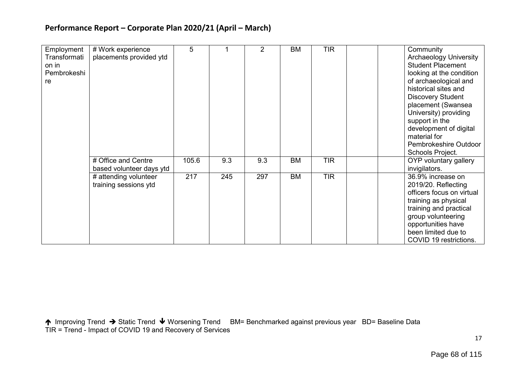| Employment   | # Work experience        | 5     |     | $\overline{2}$ | <b>BM</b> | <b>TIR</b> | Community                     |
|--------------|--------------------------|-------|-----|----------------|-----------|------------|-------------------------------|
| Transformati | placements provided ytd  |       |     |                |           |            | <b>Archaeology University</b> |
|              |                          |       |     |                |           |            | <b>Student Placement</b>      |
| on in        |                          |       |     |                |           |            |                               |
| Pembrokeshi  |                          |       |     |                |           |            | looking at the condition      |
| re           |                          |       |     |                |           |            | of archaeological and         |
|              |                          |       |     |                |           |            | historical sites and          |
|              |                          |       |     |                |           |            | <b>Discovery Student</b>      |
|              |                          |       |     |                |           |            | placement (Swansea            |
|              |                          |       |     |                |           |            | University) providing         |
|              |                          |       |     |                |           |            | support in the                |
|              |                          |       |     |                |           |            | development of digital        |
|              |                          |       |     |                |           |            | material for                  |
|              |                          |       |     |                |           |            | Pembrokeshire Outdoor         |
|              |                          |       |     |                |           |            | Schools Project.              |
|              |                          |       |     |                |           |            |                               |
|              | # Office and Centre      | 105.6 | 9.3 | 9.3            | <b>BM</b> | <b>TIR</b> | OYP voluntary gallery         |
|              | based volunteer days ytd |       |     |                |           |            | invigilators.                 |
|              | # attending volunteer    | 217   | 245 | 297            | <b>BM</b> | <b>TIR</b> | 36.9% increase on             |
|              | training sessions ytd    |       |     |                |           |            | 2019/20. Reflecting           |
|              |                          |       |     |                |           |            | officers focus on virtual     |
|              |                          |       |     |                |           |            | training as physical          |
|              |                          |       |     |                |           |            | training and practical        |
|              |                          |       |     |                |           |            | group volunteering            |
|              |                          |       |     |                |           |            | opportunities have            |
|              |                          |       |     |                |           |            | been limited due to           |
|              |                          |       |     |                |           |            |                               |
|              |                          |       |     |                |           |            | COVID 19 restrictions.        |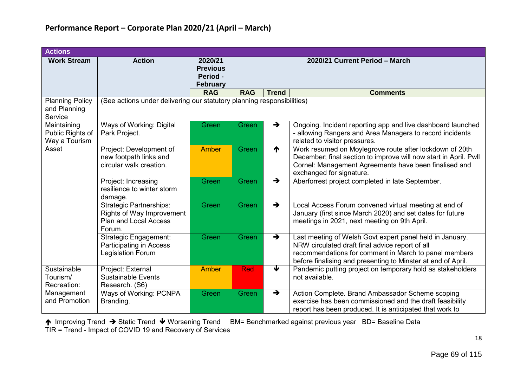| <b>Actions</b>                                    |                                                                                                       |                                                           |            |               |                                                                                                                                                                                                                                      |
|---------------------------------------------------|-------------------------------------------------------------------------------------------------------|-----------------------------------------------------------|------------|---------------|--------------------------------------------------------------------------------------------------------------------------------------------------------------------------------------------------------------------------------------|
| <b>Work Stream</b>                                | <b>Action</b>                                                                                         | 2020/21<br><b>Previous</b><br>Period -<br><b>February</b> |            |               | 2020/21 Current Period - March                                                                                                                                                                                                       |
|                                                   |                                                                                                       | <b>RAG</b>                                                | <b>RAG</b> | <b>Trend</b>  | <b>Comments</b>                                                                                                                                                                                                                      |
| <b>Planning Policy</b><br>and Planning<br>Service | (See actions under delivering our statutory planning responsibilities)                                |                                                           |            |               |                                                                                                                                                                                                                                      |
| Maintaining<br>Public Rights of<br>Way a Tourism  | Ways of Working: Digital<br>Park Project.                                                             | Green                                                     | Green      | →             | Ongoing. Incident reporting app and live dashboard launched<br>- allowing Rangers and Area Managers to record incidents<br>related to visitor pressures.                                                                             |
| Asset                                             | Project: Development of<br>new footpath links and<br>circular walk creation.                          | Amber                                                     | Green      | ₼             | Work resumed on Moylegrove route after lockdown of 20th<br>December; final section to improve will now start in April. Pwll<br>Cornel: Management Agreements have been finalised and<br>exchanged for signature.                     |
|                                                   | Project: Increasing<br>resilience to winter storm<br>damage.                                          | Green                                                     | Green      | $\rightarrow$ | Aberforrest project completed in late September.                                                                                                                                                                                     |
|                                                   | <b>Strategic Partnerships:</b><br>Rights of Way Improvement<br><b>Plan and Local Access</b><br>Forum. | Green                                                     | Green      | $\rightarrow$ | Local Access Forum convened virtual meeting at end of<br>January (first since March 2020) and set dates for future<br>meetings in 2021, next meeting on 9th April.                                                                   |
|                                                   | Strategic Engagement:<br>Participating in Access<br><b>Legislation Forum</b>                          | Green                                                     | Green      | $\rightarrow$ | Last meeting of Welsh Govt expert panel held in January.<br>NRW circulated draft final advice report of all<br>recommendations for comment in March to panel members<br>before finalising and presenting to Minster at end of April. |
| Sustainable<br>Tourism/<br>Recreation:            | Project: External<br><b>Sustainable Events</b><br>Research. (S6)                                      | <b>Amber</b>                                              | <b>Red</b> | ↓             | Pandemic putting project on temporary hold as stakeholders<br>not available.                                                                                                                                                         |
| Management<br>and Promotion                       | Ways of Working: PCNPA<br>Branding.                                                                   | Green                                                     | Green      | $\rightarrow$ | Action Complete. Brand Ambassador Scheme scoping<br>exercise has been commissioned and the draft feasibility<br>report has been produced. It is anticipated that work to                                                             |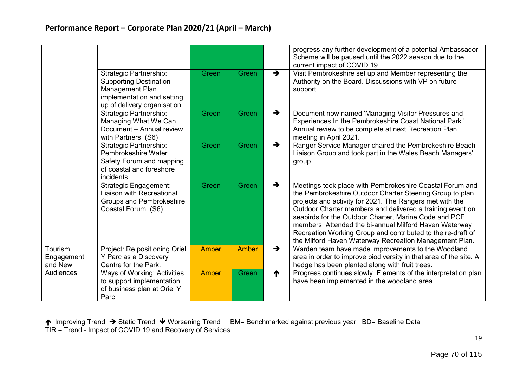|                                  |                                                                                                                                                 |              |              |               | progress any further development of a potential Ambassador<br>Scheme will be paused until the 2022 season due to the<br>current impact of COVID 19.                                                                                                                                                                                                                                                                                                                                       |
|----------------------------------|-------------------------------------------------------------------------------------------------------------------------------------------------|--------------|--------------|---------------|-------------------------------------------------------------------------------------------------------------------------------------------------------------------------------------------------------------------------------------------------------------------------------------------------------------------------------------------------------------------------------------------------------------------------------------------------------------------------------------------|
|                                  | <b>Strategic Partnership:</b><br><b>Supporting Destination</b><br>Management Plan<br>implementation and setting<br>up of delivery organisation. | Green        | Green        | $\rightarrow$ | Visit Pembrokeshire set up and Member representing the<br>Authority on the Board. Discussions with VP on future<br>support.                                                                                                                                                                                                                                                                                                                                                               |
|                                  | <b>Strategic Partnership:</b><br>Managing What We Can<br>Document - Annual review<br>with Partners. (S6)                                        | Green        | Green        | $\rightarrow$ | Document now named 'Managing Visitor Pressures and<br>Experiences In the Pembrokeshire Coast National Park.'<br>Annual review to be complete at next Recreation Plan<br>meeting in April 2021.                                                                                                                                                                                                                                                                                            |
|                                  | <b>Strategic Partnership:</b><br>Pembrokeshire Water<br>Safety Forum and mapping<br>of coastal and foreshore<br>incidents.                      | Green        | Green        | $\rightarrow$ | Ranger Service Manager chaired the Pembrokeshire Beach<br>Liaison Group and took part in the Wales Beach Managers'<br>group.                                                                                                                                                                                                                                                                                                                                                              |
|                                  | <b>Strategic Engagement:</b><br><b>Liaison with Recreational</b><br><b>Groups and Pembrokeshire</b><br>Coastal Forum. (S6)                      | Green        | Green        | $\rightarrow$ | Meetings took place with Pembrokeshire Coastal Forum and<br>the Pembrokeshire Outdoor Charter Steering Group to plan<br>projects and activity for 2021. The Rangers met with the<br>Outdoor Charter members and delivered a training event on<br>seabirds for the Outdoor Charter, Marine Code and PCF<br>members. Attended the bi-annual Milford Haven Waterway<br>Recreation Working Group and contributed to the re-draft of<br>the Milford Haven Waterway Recreation Management Plan. |
| Tourism<br>Engagement<br>and New | Project: Re positioning Oriel<br>Y Parc as a Discovery<br>Centre for the Park.                                                                  | <b>Amber</b> | <b>Amber</b> | $\rightarrow$ | Warden team have made improvements to the Woodland<br>area in order to improve biodiversity in that area of the site. A<br>hedge has been planted along with fruit trees.                                                                                                                                                                                                                                                                                                                 |
| Audiences                        | Ways of Working: Activities<br>to support implementation<br>of business plan at Oriel Y<br>Parc.                                                | Amber        | Green        | ₼             | Progress continues slowly. Elements of the interpretation plan<br>have been implemented in the woodland area.                                                                                                                                                                                                                                                                                                                                                                             |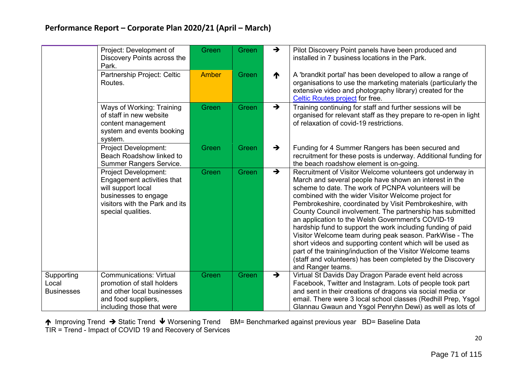|                                          | Project: Development of<br>Discovery Points across the<br>Park.                                                                                                 | Green        | Green | $\rightarrow$   | Pilot Discovery Point panels have been produced and<br>installed in 7 business locations in the Park.                                                                                                                                                                                                                                                                                                                                                                                                                                                                                                                                                                                                                                                    |
|------------------------------------------|-----------------------------------------------------------------------------------------------------------------------------------------------------------------|--------------|-------|-----------------|----------------------------------------------------------------------------------------------------------------------------------------------------------------------------------------------------------------------------------------------------------------------------------------------------------------------------------------------------------------------------------------------------------------------------------------------------------------------------------------------------------------------------------------------------------------------------------------------------------------------------------------------------------------------------------------------------------------------------------------------------------|
|                                          | Partnership Project: Celtic<br>Routes.                                                                                                                          | <b>Amber</b> | Green | $\blacklozenge$ | A 'brandkit portal' has been developed to allow a range of<br>organisations to use the marketing materials (particularly the<br>extensive video and photography library) created for the<br>Celtic Routes project for free.                                                                                                                                                                                                                                                                                                                                                                                                                                                                                                                              |
|                                          | Ways of Working: Training<br>of staff in new website<br>content management<br>system and events booking<br>system.                                              | Green        | Green | $\rightarrow$   | Training continuing for staff and further sessions will be<br>organised for relevant staff as they prepare to re-open in light<br>of relaxation of covid-19 restrictions.                                                                                                                                                                                                                                                                                                                                                                                                                                                                                                                                                                                |
|                                          | <b>Project Development:</b><br>Beach Roadshow linked to<br><b>Summer Rangers Service.</b>                                                                       | Green        | Green | $\rightarrow$   | Funding for 4 Summer Rangers has been secured and<br>recruitment for these posts is underway. Additional funding for<br>the beach roadshow element is on-going.                                                                                                                                                                                                                                                                                                                                                                                                                                                                                                                                                                                          |
|                                          | <b>Project Development:</b><br>Engagement activities that<br>will support local<br>businesses to engage<br>visitors with the Park and its<br>special qualities. | Green        | Green | $\rightarrow$   | Recruitment of Visitor Welcome volunteers got underway in<br>March and several people have shown an interest in the<br>scheme to date. The work of PCNPA volunteers will be<br>combined with the wider Visitor Welcome project for<br>Pembrokeshire, coordinated by Visit Pembrokeshire, with<br>County Council involvement. The partnership has submitted<br>an application to the Welsh Government's COVID-19<br>hardship fund to support the work including funding of paid<br>Visitor Welcome team during peak season. ParkWise - The<br>short videos and supporting content which will be used as<br>part of the training/induction of the Visitor Welcome teams<br>(staff and volunteers) has been completed by the Discovery<br>and Ranger teams. |
| Supporting<br>Local<br><b>Businesses</b> | <b>Communications: Virtual</b><br>promotion of stall holders<br>and other local businesses<br>and food suppliers,<br>including those that were                  | Green        | Green | $\rightarrow$   | Virtual St Davids Day Dragon Parade event held across<br>Facebook, Twitter and Instagram. Lots of people took part<br>and sent in their creations of dragons via social media or<br>email. There were 3 local school classes (Redhill Prep, Ysgol<br>Glannau Gwaun and Ysgol Penryhn Dewi) as well as lots of                                                                                                                                                                                                                                                                                                                                                                                                                                            |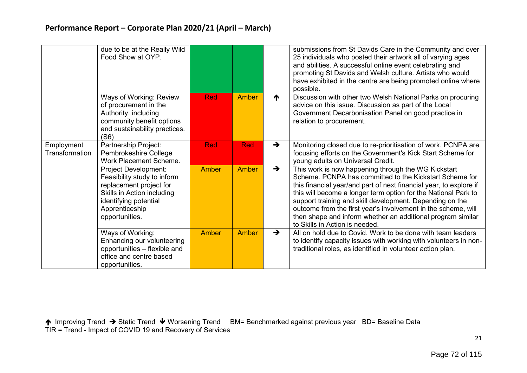|                                     | due to be at the Really Wild<br>Food Show at OYP.                                                                                                                         |              |              |               | submissions from St Davids Care in the Community and over<br>25 individuals who posted their artwork all of varying ages<br>and abilities. A successful online event celebrating and<br>promoting St Davids and Welsh culture. Artists who would<br>have exhibited in the centre are being promoted online where<br>possible.                                                                                                                                                        |
|-------------------------------------|---------------------------------------------------------------------------------------------------------------------------------------------------------------------------|--------------|--------------|---------------|--------------------------------------------------------------------------------------------------------------------------------------------------------------------------------------------------------------------------------------------------------------------------------------------------------------------------------------------------------------------------------------------------------------------------------------------------------------------------------------|
|                                     | Ways of Working: Review<br>of procurement in the<br>Authority, including<br>community benefit options<br>and sustainability practices.<br>(S6)                            | <b>Red</b>   | Amber        | ₼             | Discussion with other two Welsh National Parks on procuring<br>advice on this issue. Discussion as part of the Local<br>Government Decarbonisation Panel on good practice in<br>relation to procurement.                                                                                                                                                                                                                                                                             |
| Employment<br><b>Transformation</b> | Partnership Project:<br>Pembrokeshire College<br><b>Work Placement Scheme.</b>                                                                                            | <b>Red</b>   | <b>Red</b>   | $\rightarrow$ | Monitoring closed due to re-prioritisation of work. PCNPA are<br>focusing efforts on the Government's Kick Start Scheme for<br>young adults on Universal Credit.                                                                                                                                                                                                                                                                                                                     |
|                                     | Project Development:<br>Feasibility study to inform<br>replacement project for<br>Skills in Action including<br>identifying potential<br>Apprenticeship<br>opportunities. | <b>Amber</b> | Amber        | $\rightarrow$ | This work is now happening through the WG Kickstart<br>Scheme. PCNPA has committed to the Kickstart Scheme for<br>this financial year/and part of next financial year, to explore if<br>this will become a longer term option for the National Park to<br>support training and skill development. Depending on the<br>outcome from the first year's involvement in the scheme, will<br>then shape and inform whether an additional program similar<br>to Skills in Action is needed. |
|                                     | Ways of Working:<br>Enhancing our volunteering<br>opportunities - flexible and<br>office and centre based<br>opportunities.                                               | <b>Amber</b> | <b>Amber</b> | $\rightarrow$ | All on hold due to Covid. Work to be done with team leaders<br>to identify capacity issues with working with volunteers in non-<br>traditional roles, as identified in volunteer action plan.                                                                                                                                                                                                                                                                                        |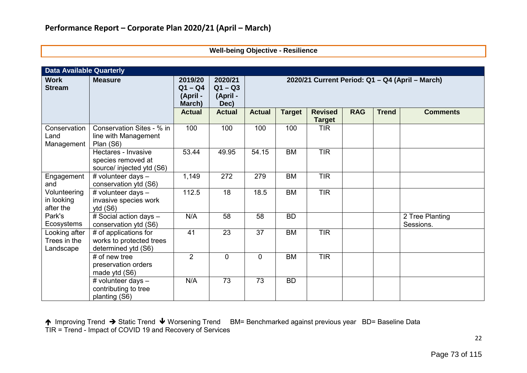|  | Well-being Objective - Resilience |  |
|--|-----------------------------------|--|
|--|-----------------------------------|--|

| <b>Data Available Quarterly</b>            |                                                                          |                                            |                                          |                                                 |               |                                 |            |              |                              |  |
|--------------------------------------------|--------------------------------------------------------------------------|--------------------------------------------|------------------------------------------|-------------------------------------------------|---------------|---------------------------------|------------|--------------|------------------------------|--|
| <b>Work</b><br><b>Stream</b>               | <b>Measure</b>                                                           | 2019/20<br>$Q1 - Q4$<br>(April -<br>March) | 2020/21<br>$Q1 - Q3$<br>(April -<br>Dec) | 2020/21 Current Period: Q1 - Q4 (April - March) |               |                                 |            |              |                              |  |
|                                            |                                                                          | <b>Actual</b>                              | <b>Actual</b>                            | <b>Actual</b>                                   | <b>Target</b> | <b>Revised</b><br><b>Target</b> | <b>RAG</b> | <b>Trend</b> | <b>Comments</b>              |  |
| Conservation<br>Land<br>Management         | Conservation Sites - % in<br>line with Management<br>Plan (S6)           | 100                                        | 100                                      | 100                                             | 100           | <b>TIR</b>                      |            |              |                              |  |
|                                            | Hectares - Invasive<br>species removed at<br>source/ injected ytd (S6)   | 53.44                                      | 49.95                                    | 54.15                                           | <b>BM</b>     | <b>TIR</b>                      |            |              |                              |  |
| Engagement<br>and                          | # volunteer days -<br>conservation ytd (S6)                              | 1,149                                      | 272                                      | 279                                             | <b>BM</b>     | <b>TIR</b>                      |            |              |                              |  |
| Volunteering<br>in looking<br>after the    | # volunteer days -<br>invasive species work<br>ytd $(S6)$                | 112.5                                      | 18                                       | 18.5                                            | <b>BM</b>     | <b>TIR</b>                      |            |              |                              |  |
| Park's<br>Ecosystems                       | # Social action days -<br>conservation ytd (S6)                          | N/A                                        | 58                                       | 58                                              | <b>BD</b>     |                                 |            |              | 2 Tree Planting<br>Sessions. |  |
| Looking after<br>Trees in the<br>Landscape | # of applications for<br>works to protected trees<br>determined ytd (S6) | 41                                         | 23                                       | 37                                              | <b>BM</b>     | <b>TIR</b>                      |            |              |                              |  |
|                                            | $#$ of new tree<br>preservation orders<br>made ytd (S6)                  | $\overline{2}$                             | $\overline{0}$                           | $\Omega$                                        | <b>BM</b>     | <b>TIR</b>                      |            |              |                              |  |
|                                            | # volunteer days -<br>contributing to tree<br>planting (S6)              | N/A                                        | 73                                       | 73                                              | <b>BD</b>     |                                 |            |              |                              |  |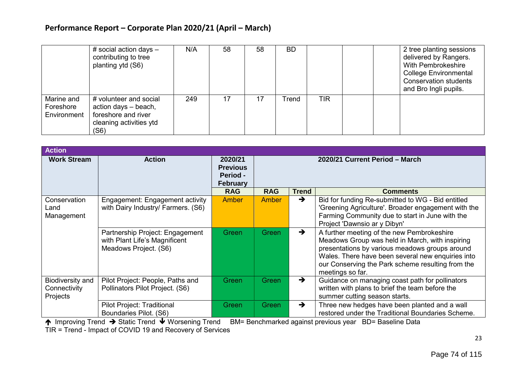|                                        | # social action days $-$<br>contributing to tree<br>planting ytd (S6)                                    | N/A | 58 | 58 | <b>BD</b> |            |  | 2 tree planting sessions<br>delivered by Rangers.<br>With Pembrokeshire<br><b>College Environmental</b><br><b>Conservation students</b><br>and Bro Ingli pupils. |
|----------------------------------------|----------------------------------------------------------------------------------------------------------|-----|----|----|-----------|------------|--|------------------------------------------------------------------------------------------------------------------------------------------------------------------|
| Marine and<br>Foreshore<br>Environment | # volunteer and social<br>action days - beach,<br>foreshore and river<br>cleaning activities ytd<br>(S6) | 249 | 17 |    | Trend     | <b>TIR</b> |  |                                                                                                                                                                  |

| <b>Action</b>                                       |                                                                                           |                                                                  |                                |               |                                                                                                                                                                                                                                                                               |  |  |  |
|-----------------------------------------------------|-------------------------------------------------------------------------------------------|------------------------------------------------------------------|--------------------------------|---------------|-------------------------------------------------------------------------------------------------------------------------------------------------------------------------------------------------------------------------------------------------------------------------------|--|--|--|
| <b>Work Stream</b>                                  | <b>Action</b>                                                                             | 2020/21<br><b>Previous</b><br><b>Period -</b><br><b>February</b> | 2020/21 Current Period - March |               |                                                                                                                                                                                                                                                                               |  |  |  |
|                                                     |                                                                                           | <b>RAG</b>                                                       | <b>RAG</b>                     | <b>Trend</b>  | <b>Comments</b>                                                                                                                                                                                                                                                               |  |  |  |
| Conservation<br>Land<br>Management                  | Engagement: Engagement activity<br>with Dairy Industry/ Farmers. (S6)                     | <b>Amber</b>                                                     | <b>Amber</b>                   | $\rightarrow$ | Bid for funding Re-submitted to WG - Bid entitled<br>'Greening Agriculture'. Broader engagement with the<br>Farming Community due to start in June with the<br>Project 'Dawnsio ar y Dibyn'                                                                                   |  |  |  |
|                                                     | Partnership Project: Engagement<br>with Plant Life's Magnificent<br>Meadows Project. (S6) | <b>Green</b>                                                     | Green                          | $\rightarrow$ | A further meeting of the new Pembrokeshire<br>Meadows Group was held in March, with inspiring<br>presentations by various meadows groups around<br>Wales. There have been several new enquiries into<br>our Conserving the Park scheme resulting from the<br>meetings so far. |  |  |  |
| <b>Biodiversity and</b><br>Connectivity<br>Projects | Pilot Project: People, Paths and<br>Pollinators Pilot Project. (S6)                       | Green                                                            | Green                          | $\rightarrow$ | Guidance on managing coast path for pollinators<br>written with plans to brief the team before the<br>summer cutting season starts.                                                                                                                                           |  |  |  |
|                                                     | Pilot Project: Traditional<br>Boundaries Pilot. (S6)                                      | Green                                                            | Green                          | $\rightarrow$ | Three new hedges have been planted and a wall<br>restored under the Traditional Boundaries Scheme.                                                                                                                                                                            |  |  |  |

↑ Improving Trend → Static Trend ↓ Worsening Trend BM= Benchmarked against previous year BD= Baseline Data TIR = Trend - Impact of COVID 19 and Recovery of Services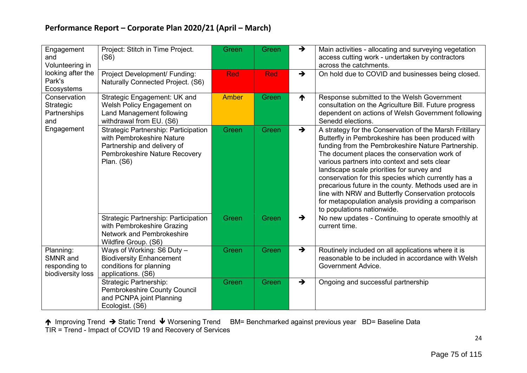| Engagement<br>and<br>Volunteering in                        | Project: Stitch in Time Project.<br>(S6)                                                                                                               | Green          | <b>Green</b> | $\rightarrow$   | Main activities - allocating and surveying vegetation<br>access cutting work - undertaken by contractors<br>across the catchments.                                                                                                                                                                                                                                                                                                                                                                                                                                       |
|-------------------------------------------------------------|--------------------------------------------------------------------------------------------------------------------------------------------------------|----------------|--------------|-----------------|--------------------------------------------------------------------------------------------------------------------------------------------------------------------------------------------------------------------------------------------------------------------------------------------------------------------------------------------------------------------------------------------------------------------------------------------------------------------------------------------------------------------------------------------------------------------------|
| looking after the<br>Park's<br>Ecosystems                   | Project Development/ Funding:<br>Naturally Connected Project. (S6)                                                                                     | <b>Red</b>     | <b>Red</b>   | $\rightarrow$   | On hold due to COVID and businesses being closed.                                                                                                                                                                                                                                                                                                                                                                                                                                                                                                                        |
| Conservation<br>Strategic<br>Partnerships<br>and            | Strategic Engagement: UK and<br>Welsh Policy Engagement on<br>Land Management following<br>withdrawal from EU. (S6)                                    | <b>Amber</b>   | Green        | $\blacklozenge$ | Response submitted to the Welsh Government<br>consultation on the Agriculture Bill. Future progress<br>dependent on actions of Welsh Government following<br>Senedd elections.                                                                                                                                                                                                                                                                                                                                                                                           |
| Engagement                                                  | Strategic Partnership: Participation<br>with Pembrokeshire Nature<br>Partnership and delivery of<br>Pembrokeshire Nature Recovery<br><b>Plan.</b> (S6) | Green<br>Green |              | $\rightarrow$   | A strategy for the Conservation of the Marsh Fritillary<br>Butterfly in Pembrokeshire has been produced with<br>funding from the Pembrokeshire Nature Partnership.<br>The document places the conservation work of<br>various partners into context and sets clear<br>landscape scale priorities for survey and<br>conservation for this species which currently has a<br>precarious future in the county. Methods used are in<br>line with NRW and Butterfly Conservation protocols<br>for metapopulation analysis providing a comparison<br>to populations nationwide. |
|                                                             | <b>Strategic Partnership: Participation</b><br>with Pembrokeshire Grazing<br>Network and Pembrokeshire<br>Wildfire Group. (S6)                         | Green          | Green        | $\rightarrow$   | No new updates - Continuing to operate smoothly at<br>current time.                                                                                                                                                                                                                                                                                                                                                                                                                                                                                                      |
| Planning:<br>SMNR and<br>responding to<br>biodiversity loss | Ways of Working: S6 Duty -<br><b>Biodiversity Enhancement</b><br>conditions for planning<br>applications. (S6)                                         | Green          | Green        | $\rightarrow$   | Routinely included on all applications where it is<br>reasonable to be included in accordance with Welsh<br>Government Advice.                                                                                                                                                                                                                                                                                                                                                                                                                                           |
|                                                             | <b>Strategic Partnership:</b><br><b>Pembrokeshire County Council</b><br>and PCNPA joint Planning<br>Ecologist. (S6)                                    | Green          | Green        | $\rightarrow$   | Ongoing and successful partnership                                                                                                                                                                                                                                                                                                                                                                                                                                                                                                                                       |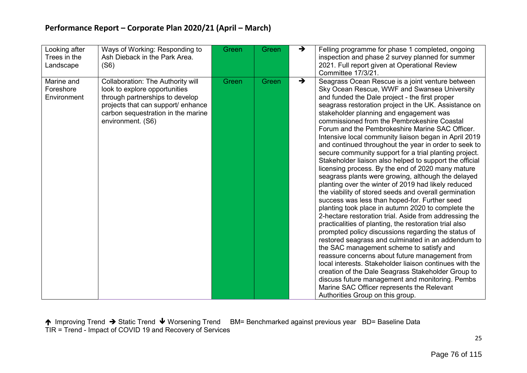| Looking after<br>Trees in the<br>Landscape | Ways of Working: Responding to<br>Ash Dieback in the Park Area.<br>(S6)                                                                                                                                       | Green | Green | $\rightarrow$ | Felling programme for phase 1 completed, ongoing<br>inspection and phase 2 survey planned for summer<br>2021. Full report given at Operational Review<br>Committee 17/3/21.                                                                                                                                                                                                                                                                                                                                                                                                                                                                                                                                                                                                                                                                                                                                                                                                                                                                                                                                                                                                                                                                                                                                                                                                                                                                                                                                            |
|--------------------------------------------|---------------------------------------------------------------------------------------------------------------------------------------------------------------------------------------------------------------|-------|-------|---------------|------------------------------------------------------------------------------------------------------------------------------------------------------------------------------------------------------------------------------------------------------------------------------------------------------------------------------------------------------------------------------------------------------------------------------------------------------------------------------------------------------------------------------------------------------------------------------------------------------------------------------------------------------------------------------------------------------------------------------------------------------------------------------------------------------------------------------------------------------------------------------------------------------------------------------------------------------------------------------------------------------------------------------------------------------------------------------------------------------------------------------------------------------------------------------------------------------------------------------------------------------------------------------------------------------------------------------------------------------------------------------------------------------------------------------------------------------------------------------------------------------------------------|
| Marine and<br>Foreshore<br>Environment     | <b>Collaboration: The Authority will</b><br>look to explore opportunities<br>through partnerships to develop<br>projects that can support/ enhance<br>carbon sequestration in the marine<br>environment. (S6) | Green | Green | $\rightarrow$ | Seagrass Ocean Rescue is a joint venture between<br>Sky Ocean Rescue, WWF and Swansea University<br>and funded the Dale project - the first proper<br>seagrass restoration project in the UK. Assistance on<br>stakeholder planning and engagement was<br>commissioned from the Pembrokeshire Coastal<br>Forum and the Pembrokeshire Marine SAC Officer.<br>Intensive local community liaison began in April 2019<br>and continued throughout the year in order to seek to<br>secure community support for a trial planting project.<br>Stakeholder liaison also helped to support the official<br>licensing process. By the end of 2020 many mature<br>seagrass plants were growing, although the delayed<br>planting over the winter of 2019 had likely reduced<br>the viability of stored seeds and overall germination<br>success was less than hoped-for. Further seed<br>planting took place in autumn 2020 to complete the<br>2-hectare restoration trial. Aside from addressing the<br>practicalities of planting, the restoration trial also<br>prompted policy discussions regarding the status of<br>restored seagrass and culminated in an addendum to<br>the SAC management scheme to satisfy and<br>reassure concerns about future management from<br>local interests. Stakeholder liaison continues with the<br>creation of the Dale Seagrass Stakeholder Group to<br>discuss future management and monitoring. Pembs<br>Marine SAC Officer represents the Relevant<br>Authorities Group on this group. |

↑ Improving Trend → Static Trend ↓ Worsening Trend BM= Benchmarked against previous year BD= Baseline Data TIR = Trend - Impact of COVID 19 and Recovery of Services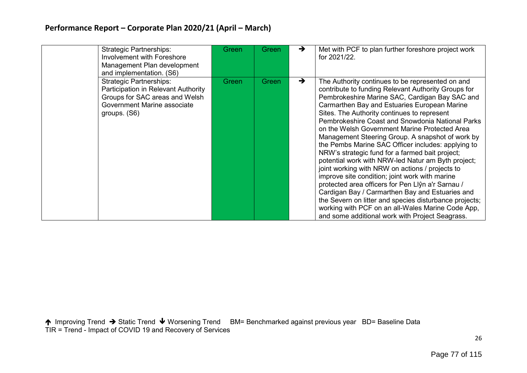| <b>Strategic Partnerships:</b><br>Involvement with Foreshore<br>Management Plan development<br>and implementation. (S6)                                | Green | Green | →             | Met with PCF to plan further foreshore project work<br>for 2021/22.                                                                                                                                                                                                                                                                                                                                                                                                                                                                                                                                                                                                                                                                                                                                                                                                                                                                                             |
|--------------------------------------------------------------------------------------------------------------------------------------------------------|-------|-------|---------------|-----------------------------------------------------------------------------------------------------------------------------------------------------------------------------------------------------------------------------------------------------------------------------------------------------------------------------------------------------------------------------------------------------------------------------------------------------------------------------------------------------------------------------------------------------------------------------------------------------------------------------------------------------------------------------------------------------------------------------------------------------------------------------------------------------------------------------------------------------------------------------------------------------------------------------------------------------------------|
| <b>Strategic Partnerships:</b><br>Participation in Relevant Authority<br>Groups for SAC areas and Welsh<br>Government Marine associate<br>groups. (S6) | Green | Green | $\rightarrow$ | The Authority continues to be represented on and<br>contribute to funding Relevant Authority Groups for<br>Pembrokeshire Marine SAC, Cardigan Bay SAC and<br>Carmarthen Bay and Estuaries European Marine<br>Sites. The Authority continues to represent<br>Pembrokeshire Coast and Snowdonia National Parks<br>on the Welsh Government Marine Protected Area<br>Management Steering Group. A snapshot of work by<br>the Pembs Marine SAC Officer includes: applying to<br>NRW's strategic fund for a farmed bait project;<br>potential work with NRW-led Natur am Byth project;<br>joint working with NRW on actions / projects to<br>improve site condition; joint work with marine<br>protected area officers for Pen Llŷn a'r Sarnau /<br>Cardigan Bay / Carmarthen Bay and Estuaries and<br>the Severn on litter and species disturbance projects;<br>working with PCF on an all-Wales Marine Code App,<br>and some additional work with Project Seagrass. |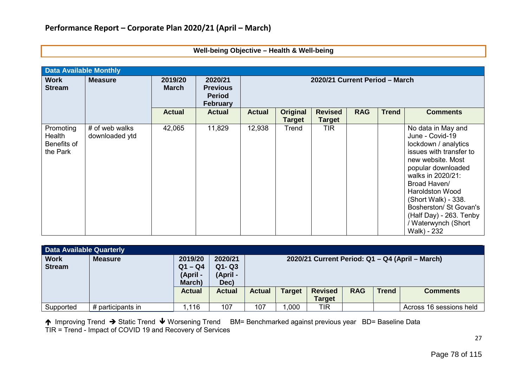| <b>Data Available Monthly</b>                  |                                  |                         |                                                                |                                |                                  |                                 |            |              |                                                                                                                                                                                                                                                                                                                      |  |
|------------------------------------------------|----------------------------------|-------------------------|----------------------------------------------------------------|--------------------------------|----------------------------------|---------------------------------|------------|--------------|----------------------------------------------------------------------------------------------------------------------------------------------------------------------------------------------------------------------------------------------------------------------------------------------------------------------|--|
| <b>Work</b><br><b>Stream</b>                   | <b>Measure</b>                   | 2019/20<br><b>March</b> | 2020/21<br><b>Previous</b><br><b>Period</b><br><b>February</b> | 2020/21 Current Period - March |                                  |                                 |            |              |                                                                                                                                                                                                                                                                                                                      |  |
|                                                |                                  | <b>Actual</b>           | <b>Actual</b>                                                  | <b>Actual</b>                  | <b>Original</b><br><b>Target</b> | <b>Revised</b><br><b>Target</b> | <b>RAG</b> | <b>Trend</b> | <b>Comments</b>                                                                                                                                                                                                                                                                                                      |  |
| Promoting<br>Health<br>Benefits of<br>the Park | # of web walks<br>downloaded ytd | 42,065                  | 11,829                                                         | 12,938                         | Trend                            | <b>TIR</b>                      |            |              | No data in May and<br>June - Covid-19<br>lockdown / analytics<br>issues with transfer to<br>new website. Most<br>popular downloaded<br>walks in 2020/21:<br>Broad Haven/<br><b>Haroldston Wood</b><br>(Short Walk) - 338.<br>Bosherston/ St Govan's<br>(Half Day) - 263. Tenby<br>/ Waterwynch (Short<br>Walk) - 232 |  |

#### **Well-being Objective – Health & Well-being**

| <b>Data Available Quarterly</b> |                   |                                            |                                          |                                                 |               |                                 |            |              |                         |
|---------------------------------|-------------------|--------------------------------------------|------------------------------------------|-------------------------------------------------|---------------|---------------------------------|------------|--------------|-------------------------|
| <b>Work</b><br><b>Stream</b>    | <b>Measure</b>    | 2019/20<br>$Q1 - Q4$<br>(April -<br>March) | 2020/21<br>$Q1 - Q3$<br>(April -<br>Dec) | 2020/21 Current Period: Q1 - Q4 (April - March) |               |                                 |            |              |                         |
|                                 |                   | <b>Actual</b>                              | <b>Actual</b>                            | <b>Actual</b>                                   | <b>Target</b> | <b>Revised</b><br><b>Target</b> | <b>RAG</b> | <b>Trend</b> | <b>Comments</b>         |
| Supported                       | # participants in | .116                                       | 107                                      | 107                                             | 1,000         | TIR                             |            |              | Across 16 sessions held |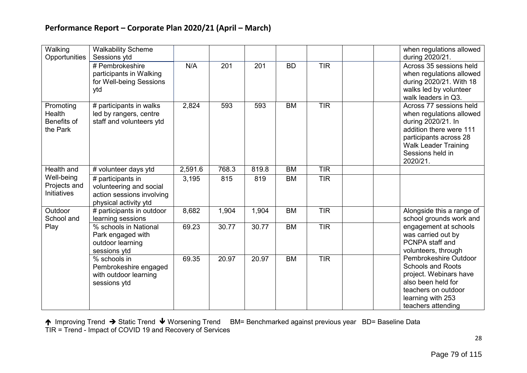| Walking<br>Opportunities                       | <b>Walkability Scheme</b><br>Sessions ytd<br># Pembrokeshire<br>participants in Walking<br>for Well-being Sessions<br>ytd | N/A     | 201   | 201   | <b>BD</b> | <b>TIR</b> | when regulations allowed<br>during 2020/21.<br>Across 35 sessions held<br>when regulations allowed<br>during 2020/21. With 18<br>walks led by volunteer<br>walk leaders in Q3.                |
|------------------------------------------------|---------------------------------------------------------------------------------------------------------------------------|---------|-------|-------|-----------|------------|-----------------------------------------------------------------------------------------------------------------------------------------------------------------------------------------------|
| Promoting<br>Health<br>Benefits of<br>the Park | # participants in walks<br>led by rangers, centre<br>staff and volunteers ytd                                             | 2,824   | 593   | 593   | <b>BM</b> | <b>TIR</b> | Across 77 sessions held<br>when regulations allowed<br>during 2020/21. In<br>addition there were 111<br>participants across 28<br><b>Walk Leader Training</b><br>Sessions held in<br>2020/21. |
| Health and                                     | # volunteer days ytd                                                                                                      | 2,591.6 | 768.3 | 819.8 | <b>BM</b> | <b>TIR</b> |                                                                                                                                                                                               |
| Well-being<br>Projects and<br>Initiatives      | # participants in<br>volunteering and social<br>action sessions involving<br>physical activity ytd                        | 3,195   | 815   | 819   | <b>BM</b> | <b>TIR</b> |                                                                                                                                                                                               |
| Outdoor<br>School and                          | # participants in outdoor<br>learning sessions                                                                            | 8,682   | 1,904 | 1,904 | <b>BM</b> | <b>TIR</b> | Alongside this a range of<br>school grounds work and                                                                                                                                          |
| Play                                           | % schools in National<br>Park engaged with<br>outdoor learning<br>sessions ytd                                            | 69.23   | 30.77 | 30.77 | <b>BM</b> | <b>TIR</b> | engagement at schools<br>was carried out by<br>PCNPA staff and<br>volunteers, through                                                                                                         |
|                                                | % schools in<br>Pembrokeshire engaged<br>with outdoor learning<br>sessions ytd                                            | 69.35   | 20.97 | 20.97 | <b>BM</b> | TIR        | Pembrokeshire Outdoor<br><b>Schools and Roots</b><br>project. Webinars have<br>also been held for<br>teachers on outdoor<br>learning with 253<br>teachers attending                           |

↑ Improving Trend → Static Trend ↓ Worsening Trend BM= Benchmarked against previous year BD= Baseline Data TIR = Trend - Impact of COVID 19 and Recovery of Services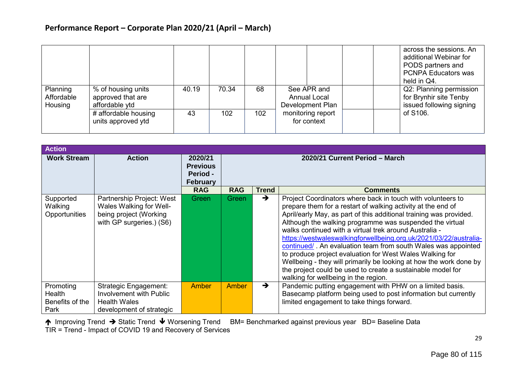|                                   |                                                           |       |       |     |                                                        | across the sessions. An<br>additional Webinar for<br>PODS partners and<br><b>PCNPA Educators was</b><br>held in Q4. |
|-----------------------------------|-----------------------------------------------------------|-------|-------|-----|--------------------------------------------------------|---------------------------------------------------------------------------------------------------------------------|
| Planning<br>Affordable<br>Housing | % of housing units<br>approved that are<br>affordable ytd | 40.19 | 70.34 | 68  | See APR and<br><b>Annual Local</b><br>Development Plan | Q2: Planning permission<br>for Brynhir site Tenby<br>issued following signing                                       |
|                                   | # affordable housing<br>units approved ytd                | 43    | 102   | 102 | monitoring report<br>for context                       | of S106.                                                                                                            |

| <b>Action</b>                                  |                                                                                                            |                                                           |                                |                               |                                                                                                                                                                                                                                                                                                                                                                                                                                                                                                                                                                                                                                                                                                        |  |  |  |  |
|------------------------------------------------|------------------------------------------------------------------------------------------------------------|-----------------------------------------------------------|--------------------------------|-------------------------------|--------------------------------------------------------------------------------------------------------------------------------------------------------------------------------------------------------------------------------------------------------------------------------------------------------------------------------------------------------------------------------------------------------------------------------------------------------------------------------------------------------------------------------------------------------------------------------------------------------------------------------------------------------------------------------------------------------|--|--|--|--|
| <b>Work Stream</b>                             | <b>Action</b>                                                                                              | 2020/21<br><b>Previous</b><br>Period -<br><b>February</b> | 2020/21 Current Period - March |                               |                                                                                                                                                                                                                                                                                                                                                                                                                                                                                                                                                                                                                                                                                                        |  |  |  |  |
|                                                |                                                                                                            | <b>RAG</b>                                                | <b>RAG</b>                     | <b>Trend</b><br>$\rightarrow$ | <b>Comments</b>                                                                                                                                                                                                                                                                                                                                                                                                                                                                                                                                                                                                                                                                                        |  |  |  |  |
| Supported<br>Walking<br>Opportunities          | Partnership Project: West<br>Wales Walking for Well-<br>being project (Working<br>with GP surgeries.) (S6) | Green                                                     | Green                          |                               | Project Coordinators where back in touch with volunteers to<br>prepare them for a restart of walking activity at the end of<br>April/early May, as part of this additional training was provided.<br>Although the walking programme was suspended the virtual<br>walks continued with a virtual trek around Australia -<br>https://westwaleswalkingforwellbeing.org.uk/2021/03/22/australia-<br>continued/. An evaluation team from south Wales was appointed<br>to produce project evaluation for West Wales Walking for<br>Wellbeing - they will primarily be looking at how the work done by<br>the project could be used to create a sustainable model for<br>walking for wellbeing in the region. |  |  |  |  |
| Promoting<br>Health<br>Benefits of the<br>Park | <b>Strategic Engagement:</b><br>Involvement with Public<br><b>Health Wales</b><br>development of strategic | Amber                                                     | Amber                          | $\rightarrow$                 | Pandemic putting engagement with PHW on a limited basis.<br>Basecamp platform being used to post information but currently<br>limited engagement to take things forward.                                                                                                                                                                                                                                                                                                                                                                                                                                                                                                                               |  |  |  |  |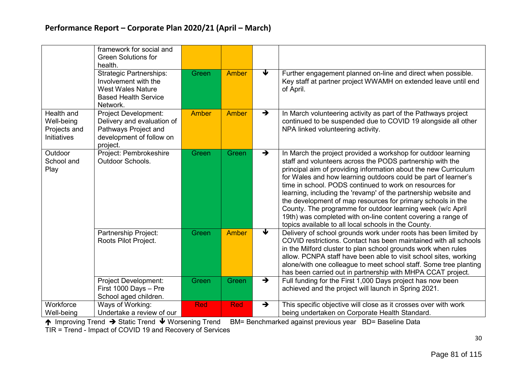|                                                         | framework for social and<br><b>Green Solutions for</b><br>health.<br><b>Strategic Partnerships:</b>                | Green        | Amber        | ↓                    | Further engagement planned on-line and direct when possible.                                                                                                                                                                                                                                                                                                                                                                                                                                                                                                                                                                                       |
|---------------------------------------------------------|--------------------------------------------------------------------------------------------------------------------|--------------|--------------|----------------------|----------------------------------------------------------------------------------------------------------------------------------------------------------------------------------------------------------------------------------------------------------------------------------------------------------------------------------------------------------------------------------------------------------------------------------------------------------------------------------------------------------------------------------------------------------------------------------------------------------------------------------------------------|
|                                                         | Involvement with the<br><b>West Wales Nature</b><br><b>Based Health Service</b><br>Network.                        |              |              |                      | Key staff at partner project WWAMH on extended leave until end<br>of April.                                                                                                                                                                                                                                                                                                                                                                                                                                                                                                                                                                        |
| Health and<br>Well-being<br>Projects and<br>Initiatives | Project Development:<br>Delivery and evaluation of<br>Pathways Project and<br>development of follow on<br>project. | <b>Amber</b> | Amber        | $\rightarrow$        | In March volunteering activity as part of the Pathways project<br>continued to be suspended due to COVID 19 alongside all other<br>NPA linked volunteering activity.                                                                                                                                                                                                                                                                                                                                                                                                                                                                               |
| Outdoor<br>School and<br>Play                           | Project: Pembrokeshire<br><b>Outdoor Schools.</b>                                                                  | Green        | Green        | $\rightarrow$        | In March the project provided a workshop for outdoor learning<br>staff and volunteers across the PODS partnership with the<br>principal aim of providing information about the new Curriculum<br>for Wales and how learning outdoors could be part of learner's<br>time in school. PODS continued to work on resources for<br>learning, including the 'revamp' of the partnership website and<br>the development of map resources for primary schools in the<br>County. The programme for outdoor learning week (w/c April<br>19th) was completed with on-line content covering a range of<br>topics available to all local schools in the County. |
|                                                         | Partnership Project:<br>Roots Pilot Project.                                                                       | Green        | <b>Amber</b> | $\blacktriangledown$ | Delivery of school grounds work under roots has been limited by<br>COVID restrictions. Contact has been maintained with all schools<br>in the Milford cluster to plan school grounds work when rules<br>allow. PCNPA staff have been able to visit school sites, working<br>alone/with one colleague to meet school staff. Some tree planting<br>has been carried out in partnership with MHPA CCAT project.                                                                                                                                                                                                                                       |
|                                                         | <b>Project Development:</b><br>First 1000 Days - Pre<br>School aged children.                                      | Green        | Green        | $\rightarrow$        | Full funding for the First 1,000 Days project has now been<br>achieved and the project will launch in Spring 2021.                                                                                                                                                                                                                                                                                                                                                                                                                                                                                                                                 |
| Workforce<br>Well-being                                 | Ways of Working:<br>Undertake a review of our                                                                      | <b>Red</b>   | <b>Red</b>   | $\rightarrow$        | This specific objective will close as it crosses over with work<br>being undertaken on Corporate Health Standard.                                                                                                                                                                                                                                                                                                                                                                                                                                                                                                                                  |

↑ Improving Trend → Static Trend ↓ Worsening Trend BM= Benchmarked against previous year BD= Baseline Data

TIR = Trend - Impact of COVID 19 and Recovery of Services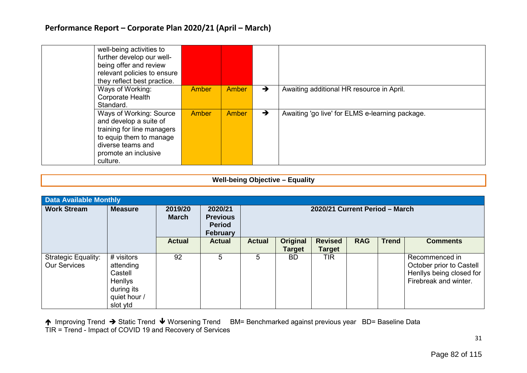| well-being activities to<br>further develop our well-<br>being offer and review<br>relevant policies to ensure<br>they reflect best practice.                       |       |              |               |                                                 |
|---------------------------------------------------------------------------------------------------------------------------------------------------------------------|-------|--------------|---------------|-------------------------------------------------|
| Ways of Working:<br>Corporate Health<br>Standard.                                                                                                                   | Amber | <b>Amber</b> | →             | Awaiting additional HR resource in April.       |
| Ways of Working: Source<br>and develop a suite of<br>training for line managers<br>to equip them to manage<br>diverse teams and<br>promote an inclusive<br>culture. | Amber | <b>Amber</b> | $\rightarrow$ | Awaiting 'go live' for ELMS e-learning package. |

#### **Well-being Objective – Equality**

| <b>Data Available Monthly</b>                     |                                                                                         |                         |                                                                |                                |                           |                                 |            |              |                                                                                                 |  |
|---------------------------------------------------|-----------------------------------------------------------------------------------------|-------------------------|----------------------------------------------------------------|--------------------------------|---------------------------|---------------------------------|------------|--------------|-------------------------------------------------------------------------------------------------|--|
| <b>Work Stream</b>                                | <b>Measure</b>                                                                          | 2019/20<br><b>March</b> | 2020/21<br><b>Previous</b><br><b>Period</b><br><b>February</b> | 2020/21 Current Period - March |                           |                                 |            |              |                                                                                                 |  |
|                                                   |                                                                                         | <b>Actual</b>           | <b>Actual</b>                                                  | <b>Actual</b>                  | Original<br><b>Target</b> | <b>Revised</b><br><b>Target</b> | <b>RAG</b> | <b>Trend</b> | <b>Comments</b>                                                                                 |  |
| <b>Strategic Equality:</b><br><b>Our Services</b> | # visitors<br>attending<br>Castell<br>Henllys<br>during its<br>quiet hour /<br>slot ytd | 92                      | 5                                                              | 5                              | <b>BD</b>                 | <b>TIR</b>                      |            |              | Recommenced in<br>October prior to Castell<br>Henllys being closed for<br>Firebreak and winter. |  |

↑ Improving Trend → Static Trend ↓ Worsening Trend BM= Benchmarked against previous year BD= Baseline Data TIR = Trend - Impact of COVID 19 and Recovery of Services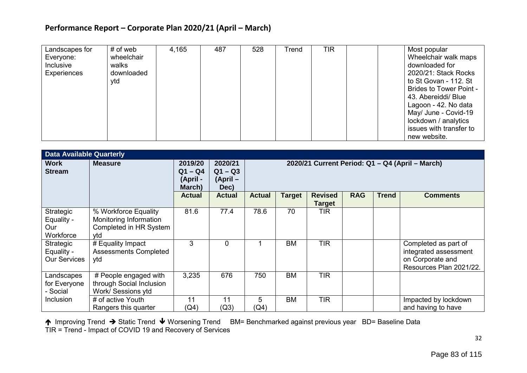| Landscapes for<br>Everyone:<br>Inclusive<br>Experiences | # of web<br>wheelchair<br>walks<br>downloaded<br>ytd | 4,165 | 487 | 528 | Trend | TIR | Most popular<br>Wheelchair walk maps<br>downloaded for<br>2020/21: Stack Rocks<br>to St Govan - 112. St<br><b>Brides to Tower Point -</b><br>43. Abereiddi/ Blue<br>Lagoon - 42. No data<br>May/ June - Covid-19<br>lockdown / analytics |
|---------------------------------------------------------|------------------------------------------------------|-------|-----|-----|-------|-----|------------------------------------------------------------------------------------------------------------------------------------------------------------------------------------------------------------------------------------------|
|                                                         |                                                      |       |     |     |       |     | issues with transfer to<br>new website.                                                                                                                                                                                                  |

|                                                | <b>Data Available Quarterly</b>                                                 |                                                             |                                                          |                                                                                                                                               |           |               |  |  |                                                                                              |
|------------------------------------------------|---------------------------------------------------------------------------------|-------------------------------------------------------------|----------------------------------------------------------|-----------------------------------------------------------------------------------------------------------------------------------------------|-----------|---------------|--|--|----------------------------------------------------------------------------------------------|
| <b>Work</b><br><b>Stream</b>                   | <b>Measure</b>                                                                  | 2019/20<br>$Q1 - Q4$<br>(April -<br>March)<br><b>Actual</b> | 2020/21<br>$Q1 - Q3$<br>(April-<br>Dec)<br><b>Actual</b> | 2020/21 Current Period: Q1 - Q4 (April - March)<br><b>RAG</b><br><b>Trend</b><br><b>Actual</b><br><b>Revised</b><br>Target<br><b>Comments</b> |           |               |  |  |                                                                                              |
|                                                |                                                                                 |                                                             |                                                          |                                                                                                                                               |           | <b>Target</b> |  |  |                                                                                              |
| Strategic<br>Equality -<br>Our<br>Workforce    | % Workforce Equality<br>Monitoring Information<br>Completed in HR System<br>ytd | 81.6                                                        | 77.4                                                     | 78.6                                                                                                                                          | 70        | TIR           |  |  |                                                                                              |
| Strategic<br>Equality -<br><b>Our Services</b> | # Equality Impact<br><b>Assessments Completed</b><br>vtd                        | 3                                                           | $\mathbf{0}$                                             |                                                                                                                                               | <b>BM</b> | <b>TIR</b>    |  |  | Completed as part of<br>integrated assessment<br>on Corporate and<br>Resources Plan 2021/22. |
| Landscapes<br>for Everyone<br>- Social         | # People engaged with<br>through Social Inclusion<br>Work/ Sessions ytd         | 3,235                                                       | 676                                                      | 750                                                                                                                                           | <b>BM</b> | <b>TIR</b>    |  |  |                                                                                              |
| Inclusion                                      | # of active Youth<br>Rangers this quarter                                       | 11<br>(Q4)                                                  | 11<br>(Q3)                                               | 5<br>(Q4)                                                                                                                                     | <b>BM</b> | <b>TIR</b>    |  |  | Impacted by lockdown<br>and having to have                                                   |

↑ Improving Trend → Static Trend ↓ Worsening Trend BM= Benchmarked against previous year BD= Baseline Data TIR = Trend - Impact of COVID 19 and Recovery of Services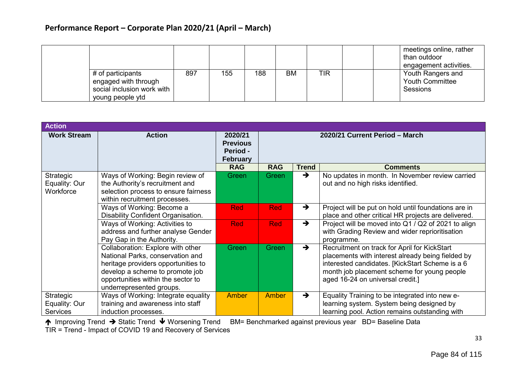|                                                |     |     |     |    |            | meetings online, rather<br>than outdoor<br>engagement activities. |
|------------------------------------------------|-----|-----|-----|----|------------|-------------------------------------------------------------------|
| # of participants<br>engaged with through      | 897 | 155 | 188 | ВM | <b>TIR</b> | Youth Rangers and<br><b>Youth Committee</b>                       |
| social inclusion work with<br>young people ytd |     |     |     |    |            | <b>Sessions</b>                                                   |

| <b>Action</b>                                 |                                                                                                                                                                                                                   |                                                           |                                |               |                                                                                                                                                                                                                                         |  |  |
|-----------------------------------------------|-------------------------------------------------------------------------------------------------------------------------------------------------------------------------------------------------------------------|-----------------------------------------------------------|--------------------------------|---------------|-----------------------------------------------------------------------------------------------------------------------------------------------------------------------------------------------------------------------------------------|--|--|
| <b>Work Stream</b>                            | <b>Action</b>                                                                                                                                                                                                     | 2020/21<br><b>Previous</b><br>Period -<br><b>February</b> | 2020/21 Current Period - March |               |                                                                                                                                                                                                                                         |  |  |
|                                               |                                                                                                                                                                                                                   | <b>RAG</b>                                                | <b>RAG</b>                     | <b>Trend</b>  | <b>Comments</b>                                                                                                                                                                                                                         |  |  |
| Strategic<br>Equality: Our<br>Workforce       | Ways of Working: Begin review of<br>the Authority's recruitment and<br>selection process to ensure fairness<br>within recruitment processes.                                                                      | Green                                                     | Green                          | $\rightarrow$ | No updates in month. In November review carried<br>out and no high risks identified.                                                                                                                                                    |  |  |
|                                               | Ways of Working: Become a<br>Disability Confident Organisation.                                                                                                                                                   | <b>Red</b>                                                | <b>Red</b>                     | $\rightarrow$ | Project will be put on hold until foundations are in<br>place and other critical HR projects are delivered.                                                                                                                             |  |  |
|                                               | Ways of Working: Activities to<br>address and further analyse Gender<br>Pay Gap in the Authority.                                                                                                                 | <b>Red</b>                                                | <b>Red</b>                     | $\rightarrow$ | Project will be moved into Q1 / Q2 of 2021 to align<br>with Grading Review and wider reprioritisation<br>programme.                                                                                                                     |  |  |
|                                               | Collaboration: Explore with other<br>National Parks, conservation and<br>heritage providers opportunities to<br>develop a scheme to promote job<br>opportunities within the sector to<br>underrepresented groups. | Green                                                     | Green                          | $\rightarrow$ | Recruitment on track for April for KickStart<br>placements with interest already being fielded by<br>interested candidates. [KickStart Scheme is a 6<br>month job placement scheme for young people<br>aged 16-24 on universal credit.] |  |  |
| Strategic<br>Equality: Our<br><b>Services</b> | Ways of Working: Integrate equality<br>training and awareness into staff<br>induction processes.                                                                                                                  | Amber                                                     | <b>Amber</b>                   | $\rightarrow$ | Equality Training to be integrated into new e-<br>learning system. System being designed by<br>learning pool. Action remains outstanding with                                                                                           |  |  |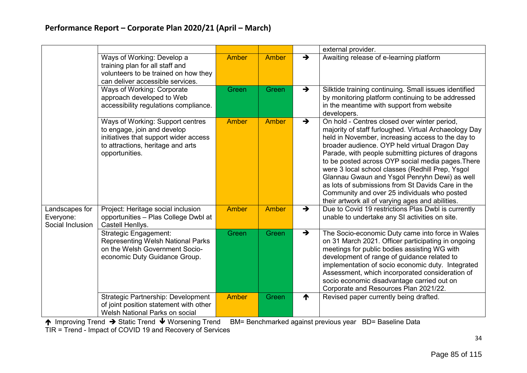|                                                 |                                                                                                                                                                 |              |       |               | external provider.                                                                                                                                                                                                                                                                                                                                                                                                                                                                                                                                                                   |
|-------------------------------------------------|-----------------------------------------------------------------------------------------------------------------------------------------------------------------|--------------|-------|---------------|--------------------------------------------------------------------------------------------------------------------------------------------------------------------------------------------------------------------------------------------------------------------------------------------------------------------------------------------------------------------------------------------------------------------------------------------------------------------------------------------------------------------------------------------------------------------------------------|
|                                                 | Ways of Working: Develop a<br>training plan for all staff and<br>volunteers to be trained on how they<br>can deliver accessible services.                       | <b>Amber</b> | Amber | $\rightarrow$ | Awaiting release of e-learning platform                                                                                                                                                                                                                                                                                                                                                                                                                                                                                                                                              |
|                                                 | Ways of Working: Corporate<br>approach developed to Web<br>accessibility regulations compliance.                                                                | Green        | Green | $\rightarrow$ | Silktide training continuing. Small issues identified<br>by monitoring platform continuing to be addressed<br>in the meantime with support from website<br>developers.                                                                                                                                                                                                                                                                                                                                                                                                               |
|                                                 | Ways of Working: Support centres<br>to engage, join and develop<br>initiatives that support wider access<br>to attractions, heritage and arts<br>opportunities. | <b>Amber</b> | Amber | $\rightarrow$ | On hold - Centres closed over winter period,<br>majority of staff furloughed. Virtual Archaeology Day<br>held in November, increasing access to the day to<br>broader audience. OYP held virtual Dragon Day<br>Parade, with people submitting pictures of dragons<br>to be posted across OYP social media pages. There<br>were 3 local school classes (Redhill Prep, Ysgol<br>Glannau Gwaun and Ysgol Penryhn Dewi) as well<br>as lots of submissions from St Davids Care in the<br>Community and over 25 individuals who posted<br>their artwork all of varying ages and abilities. |
| Landscapes for<br>Everyone:<br>Social Inclusion | Project: Heritage social inclusion<br>opportunities - Plas College Dwbl at<br>Castell Henllys.                                                                  | Amber        | Amber | $\rightarrow$ | Due to Covid 19 restrictions Plas Dwbl is currently<br>unable to undertake any SI activities on site.                                                                                                                                                                                                                                                                                                                                                                                                                                                                                |
|                                                 | <b>Strategic Engagement:</b><br><b>Representing Welsh National Parks</b><br>on the Welsh Government Socio-<br>economic Duty Guidance Group.                     | <b>Green</b> | Green | $\rightarrow$ | The Socio-economic Duty came into force in Wales<br>on 31 March 2021. Officer participating in ongoing<br>meetings for public bodies assisting WG with<br>development of range of guidance related to<br>implementation of socio economic duty. Integrated<br>Assessment, which incorporated consideration of<br>socio economic disadvantage carried out on<br>Corporate and Resources Plan 2021/22.                                                                                                                                                                                 |
|                                                 | Strategic Partnership: Development<br>of joint position statement with other<br>Welsh National Parks on social                                                  | <b>Amber</b> | Green | ↑             | Revised paper currently being drafted.                                                                                                                                                                                                                                                                                                                                                                                                                                                                                                                                               |

↑ Improving Trend → Static Trend ↓ Worsening Trend BM= Benchmarked against previous year BD= Baseline Data

TIR = Trend - Impact of COVID 19 and Recovery of Services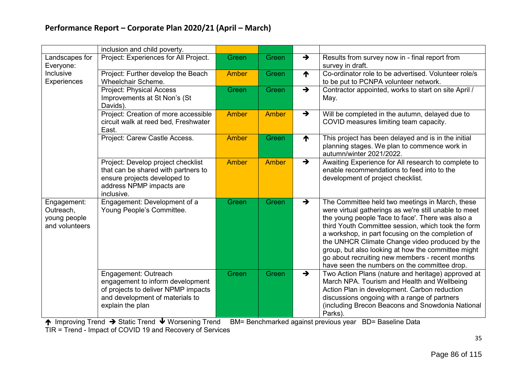|                                                            | inclusion and child poverty.                                                                                                                           |              |              |               |                                                                                                                                                                                                                                                                                                                                                                                                                                                                                     |
|------------------------------------------------------------|--------------------------------------------------------------------------------------------------------------------------------------------------------|--------------|--------------|---------------|-------------------------------------------------------------------------------------------------------------------------------------------------------------------------------------------------------------------------------------------------------------------------------------------------------------------------------------------------------------------------------------------------------------------------------------------------------------------------------------|
| Landscapes for<br>Everyone:                                | Project: Experiences for All Project.                                                                                                                  | Green        | Green        | $\rightarrow$ | Results from survey now in - final report from<br>survey in draft.                                                                                                                                                                                                                                                                                                                                                                                                                  |
| Inclusive<br>Experiences                                   | Project: Further develop the Beach<br><b>Wheelchair Scheme.</b>                                                                                        | <b>Amber</b> | Green        | ↑             | Co-ordinator role to be advertised. Volunteer role/s<br>to be put to PCNPA volunteer network.                                                                                                                                                                                                                                                                                                                                                                                       |
|                                                            | <b>Project: Physical Access</b><br>Improvements at St Non's (St<br>Davids).                                                                            | Green        | <b>Green</b> | $\rightarrow$ | Contractor appointed, works to start on site April /<br>May.                                                                                                                                                                                                                                                                                                                                                                                                                        |
|                                                            | Project: Creation of more accessible<br>circuit walk at reed bed, Freshwater<br>East.                                                                  | <b>Amber</b> | Amber        | $\rightarrow$ | Will be completed in the autumn, delayed due to<br>COVID measures limiting team capacity.                                                                                                                                                                                                                                                                                                                                                                                           |
|                                                            | Project: Carew Castle Access.                                                                                                                          | <b>Amber</b> | Green        | ↑             | This project has been delayed and is in the initial<br>planning stages. We plan to commence work in<br>autumn/winter 2021/2022.                                                                                                                                                                                                                                                                                                                                                     |
|                                                            | Project: Develop project checklist<br>that can be shared with partners to<br>ensure projects developed to<br>address NPMP impacts are<br>inclusive.    | <b>Amber</b> | Amber        | $\rightarrow$ | Awaiting Experience for All research to complete to<br>enable recommendations to feed into to the<br>development of project checklist.                                                                                                                                                                                                                                                                                                                                              |
| Engagement:<br>Outreach,<br>young people<br>and volunteers | Engagement: Development of a<br>Young People's Committee.                                                                                              | Green        | <b>Green</b> | $\rightarrow$ | The Committee held two meetings in March, these<br>were virtual gatherings as we're still unable to meet<br>the young people 'face to face'. There was also a<br>third Youth Committee session, which took the form<br>a workshop, in part focusing on the completion of<br>the UNHCR Climate Change video produced by the<br>group, but also looking at how the committee might<br>go about recruiting new members - recent months<br>have seen the numbers on the committee drop. |
|                                                            | Engagement: Outreach<br>engagement to inform development<br>of projects to deliver NPMP impacts<br>and development of materials to<br>explain the plan | Green        | Green        | $\rightarrow$ | Two Action Plans (nature and heritage) approved at<br>March NPA. Tourism and Health and Wellbeing<br>Action Plan in development. Carbon reduction<br>discussions ongoing with a range of partners<br>(including Brecon Beacons and Snowdonia National<br>Parks).                                                                                                                                                                                                                    |

↑ Improving Trend → Static Trend ↓ Worsening Trend BM= Benchmarked against previous year BD= Baseline Data

TIR = Trend - Impact of COVID 19 and Recovery of Services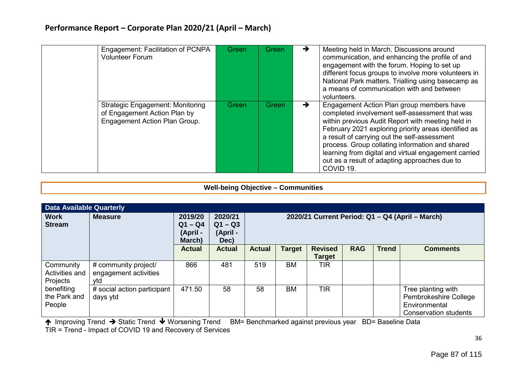| Engagement: Facilitation of PCNPA<br><b>Volunteer Forum</b>                                              | Green | Green        | →             | Meeting held in March. Discussions around<br>communication, and enhancing the profile of and<br>engagement with the forum. Hoping to set up<br>different focus groups to involve more volunteers in<br>National Park matters. Trialling using basecamp as<br>a means of communication with and between<br>volunteers.                                                                                                                       |
|----------------------------------------------------------------------------------------------------------|-------|--------------|---------------|---------------------------------------------------------------------------------------------------------------------------------------------------------------------------------------------------------------------------------------------------------------------------------------------------------------------------------------------------------------------------------------------------------------------------------------------|
| <b>Strategic Engagement: Monitoring</b><br>of Engagement Action Plan by<br>Engagement Action Plan Group. | Green | <b>Green</b> | $\rightarrow$ | Engagement Action Plan group members have<br>completed involvement self-assessment that was<br>within previous Audit Report with meeting held in<br>February 2021 exploring priority areas identified as<br>a result of carrying out the self-assessment<br>process. Group collating information and shared<br>learning from digital and virtual engagement carried<br>out as a result of adapting approaches due to<br>COVID <sub>19</sub> |

#### **Well-being Objective – Communities**

| Data Available Quarterly                |                                                      |                                            |                                          |                                                                                                                               |               |                                 |            |              |                 |  |
|-----------------------------------------|------------------------------------------------------|--------------------------------------------|------------------------------------------|-------------------------------------------------------------------------------------------------------------------------------|---------------|---------------------------------|------------|--------------|-----------------|--|
| <b>Work</b><br><b>Stream</b>            | <b>Measure</b>                                       | 2019/20<br>$Q1 - Q4$<br>(April -<br>March) | 2020/21<br>$Q1 - Q3$<br>(April -<br>Dec) | 2020/21 Current Period: Q1 - Q4 (April - March)                                                                               |               |                                 |            |              |                 |  |
|                                         |                                                      | <b>Actual</b>                              | <b>Actual</b>                            | <b>Actual</b>                                                                                                                 | <b>Target</b> | <b>Revised</b><br><b>Target</b> | <b>RAG</b> | <b>Trend</b> | <b>Comments</b> |  |
| Community<br>Activities and<br>Projects | # community project/<br>engagement activities<br>vtd | 866                                        | 481                                      | 519                                                                                                                           | <b>BM</b>     | <b>TIR</b>                      |            |              |                 |  |
| benefiting<br>the Park and<br>People    | # social action participant<br>days ytd              | 471.50                                     | 58                                       | <b>BM</b><br><b>TIR</b><br>58<br>Tree planting with<br>Pembrokeshire College<br>Environmental<br><b>Conservation students</b> |               |                                 |            |              |                 |  |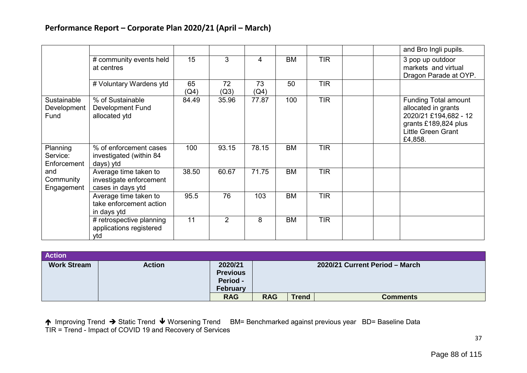|                                     |                                                                       |            |                |            |           |            | and Bro Ingli pupils.                                                                                                                       |
|-------------------------------------|-----------------------------------------------------------------------|------------|----------------|------------|-----------|------------|---------------------------------------------------------------------------------------------------------------------------------------------|
|                                     | # community events held<br>at centres                                 | 15         | 3              | 4          | <b>BM</b> | <b>TIR</b> | 3 pop up outdoor<br>markets and virtual<br>Dragon Parade at OYP.                                                                            |
|                                     | # Voluntary Wardens ytd                                               | 65<br>(Q4) | 72<br>(Q3)     | 73<br>(Q4) | 50        | <b>TIR</b> |                                                                                                                                             |
| Sustainable<br>Development<br>Fund  | % of Sustainable<br>Development Fund<br>allocated ytd                 | 84.49      | 35.96          | 77.87      | 100       | <b>TIR</b> | <b>Funding Total amount</b><br>allocated in grants<br>2020/21 £194,682 - 12<br>grants £189,824 plus<br><b>Little Green Grant</b><br>£4,858. |
| Planning<br>Service:<br>Enforcement | % of enforcement cases<br>investigated (within 84<br>days) ytd        | 100        | 93.15          | 78.15      | <b>BM</b> | <b>TIR</b> |                                                                                                                                             |
| and<br>Community<br>Engagement      | Average time taken to<br>investigate enforcement<br>cases in days ytd | 38.50      | 60.67          | 71.75      | <b>BM</b> | <b>TIR</b> |                                                                                                                                             |
|                                     | Average time taken to<br>take enforcement action<br>in days ytd       | 95.5       | 76             | 103        | <b>BM</b> | <b>TIR</b> |                                                                                                                                             |
|                                     | # retrospective planning<br>applications registered<br>ytd            | 11         | $\overline{2}$ | 8          | <b>BM</b> | <b>TIR</b> |                                                                                                                                             |

| <b>Action</b>      |               |                                                           |            |              |                                |
|--------------------|---------------|-----------------------------------------------------------|------------|--------------|--------------------------------|
| <b>Work Stream</b> | <b>Action</b> | 2020/21<br><b>Previous</b><br>Period -<br><b>February</b> |            |              | 2020/21 Current Period - March |
|                    |               | <b>RAG</b>                                                | <b>RAG</b> | <b>Trend</b> | <b>Comments</b>                |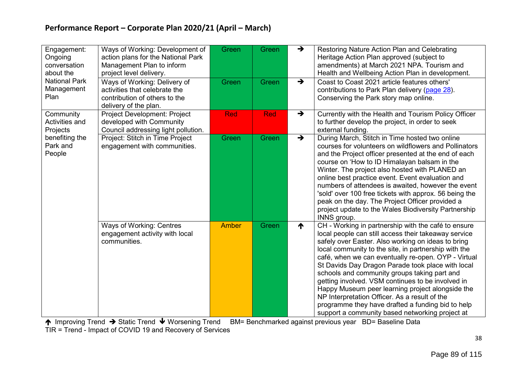| Engagement:<br>Ongoing<br>conversation<br>about the | Ways of Working: Development of<br>action plans for the National Park<br>Management Plan to inform<br>project level delivery. | Green        | Green | $\rightarrow$ | Restoring Nature Action Plan and Celebrating<br>Heritage Action Plan approved (subject to<br>amendments) at March 2021 NPA. Tourism and<br>Health and Wellbeing Action Plan in development.                                                                                                                                                                                                                                                                                                                                                                                                                                                             |
|-----------------------------------------------------|-------------------------------------------------------------------------------------------------------------------------------|--------------|-------|---------------|---------------------------------------------------------------------------------------------------------------------------------------------------------------------------------------------------------------------------------------------------------------------------------------------------------------------------------------------------------------------------------------------------------------------------------------------------------------------------------------------------------------------------------------------------------------------------------------------------------------------------------------------------------|
| <b>National Park</b><br>Management<br>Plan          | Ways of Working: Delivery of<br>activities that celebrate the<br>contribution of others to the<br>delivery of the plan.       | Green        | Green | $\rightarrow$ | Coast to Coast 2021 article features others'<br>contributions to Park Plan delivery (page 28).<br>Conserving the Park story map online.                                                                                                                                                                                                                                                                                                                                                                                                                                                                                                                 |
| Community<br>Activities and<br>Projects             | Project Development: Project<br>developed with Community<br>Council addressing light pollution.                               | <b>Red</b>   | Red   | $\rightarrow$ | Currently with the Health and Tourism Policy Officer<br>to further develop the project, in order to seek<br>external funding.                                                                                                                                                                                                                                                                                                                                                                                                                                                                                                                           |
| benefiting the<br>Park and<br>People                | Project: Stitch in Time Project<br>engagement with communities.                                                               | Green        | Green | $\rightarrow$ | During March, Stitch in Time hosted two online<br>courses for volunteers on wildflowers and Pollinators<br>and the Project officer presented at the end of each<br>course on 'How to ID Himalayan balsam in the<br>Winter. The project also hosted with PLANED an<br>online best practice event. Event evaluation and<br>numbers of attendees is awaited, however the event<br>'sold' over 100 free tickets with approx. 56 being the<br>peak on the day. The Project Officer provided a<br>project update to the Wales Biodiversity Partnership<br>INNS group.                                                                                         |
|                                                     | Ways of Working: Centres<br>engagement activity with local<br>communities.                                                    | <b>Amber</b> | Green | ↑             | CH - Working in partnership with the café to ensure<br>local people can still access their takeaway service<br>safely over Easter. Also working on ideas to bring<br>local community to the site, in partnership with the<br>café, when we can eventually re-open. OYP - Virtual<br>St Davids Day Dragon Parade took place with local<br>schools and community groups taking part and<br>getting involved. VSM continues to be involved in<br>Happy Museum peer learning project alongside the<br>NP Interpretation Officer. As a result of the<br>programme they have drafted a funding bid to help<br>support a community based networking project at |

↑ Improving Trend → Static Trend ↓ Worsening Trend BM= Benchmarked against previous year BD= Baseline Data

TIR = Trend - Impact of COVID 19 and Recovery of Services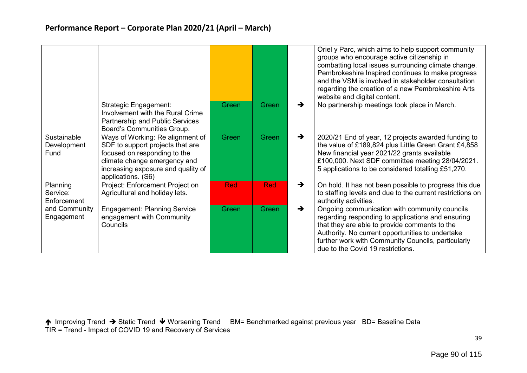|                                     |                                                                                                                                                                                                  |            |       |               | Oriel y Parc, which aims to help support community<br>groups who encourage active citizenship in<br>combatting local issues surrounding climate change.<br>Pembrokeshire Inspired continues to make progress<br>and the VSM is involved in stakeholder consultation<br>regarding the creation of a new Pembrokeshire Arts<br>website and digital content. |
|-------------------------------------|--------------------------------------------------------------------------------------------------------------------------------------------------------------------------------------------------|------------|-------|---------------|-----------------------------------------------------------------------------------------------------------------------------------------------------------------------------------------------------------------------------------------------------------------------------------------------------------------------------------------------------------|
|                                     | Strategic Engagement:<br>Involvement with the Rural Crime<br>Partnership and Public Services<br>Board's Communities Group.                                                                       | Green      | Green | $\rightarrow$ | No partnership meetings took place in March.                                                                                                                                                                                                                                                                                                              |
| Sustainable<br>Development<br>Fund  | Ways of Working: Re alignment of<br>SDF to support projects that are<br>focused on responding to the<br>climate change emergency and<br>increasing exposure and quality of<br>applications. (S6) | Green      | Green | $\rightarrow$ | 2020/21 End of year, 12 projects awarded funding to<br>the value of £189,824 plus Little Green Grant £4,858<br>New financial year 2021/22 grants available<br>£100,000. Next SDF committee meeting 28/04/2021.<br>5 applications to be considered totalling £51,270.                                                                                      |
| Planning<br>Service:<br>Enforcement | Project: Enforcement Project on<br>Agricultural and holiday lets.                                                                                                                                | <b>Red</b> | Red   | $\rightarrow$ | On hold. It has not been possible to progress this due<br>to staffing levels and due to the current restrictions on<br>authority activities.                                                                                                                                                                                                              |
| and Community<br>Engagement         | <b>Engagement: Planning Service</b><br>engagement with Community<br>Councils                                                                                                                     | Green      | Green | $\rightarrow$ | Ongoing communication with community councils<br>regarding responding to applications and ensuring<br>that they are able to provide comments to the<br>Authority. No current opportunities to undertake<br>further work with Community Councils, particularly<br>due to the Covid 19 restrictions.                                                        |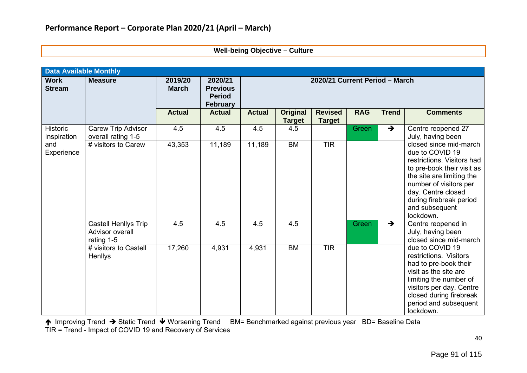#### **Well-being Objective – Culture**

|                              | <b>Data Available Monthly</b>                         |                         |                                                                |                                |                                  |                                 |              |               |                                                                                                                                                                                                                                              |  |  |  |
|------------------------------|-------------------------------------------------------|-------------------------|----------------------------------------------------------------|--------------------------------|----------------------------------|---------------------------------|--------------|---------------|----------------------------------------------------------------------------------------------------------------------------------------------------------------------------------------------------------------------------------------------|--|--|--|
| <b>Work</b><br><b>Stream</b> | <b>Measure</b>                                        | 2019/20<br><b>March</b> | 2020/21<br><b>Previous</b><br><b>Period</b><br><b>February</b> | 2020/21 Current Period - March |                                  |                                 |              |               |                                                                                                                                                                                                                                              |  |  |  |
|                              |                                                       | <b>Actual</b>           | <b>Actual</b>                                                  | <b>Actual</b>                  | <b>Original</b><br><b>Target</b> | <b>Revised</b><br><b>Target</b> | <b>RAG</b>   | <b>Trend</b>  | <b>Comments</b>                                                                                                                                                                                                                              |  |  |  |
| Historic<br>Inspiration      | <b>Carew Trip Advisor</b><br>overall rating 1-5       | 4.5                     | 4.5                                                            | 4.5                            | 4.5                              |                                 | <b>Green</b> | $\rightarrow$ | Centre reopened 27<br>July, having been                                                                                                                                                                                                      |  |  |  |
| and<br>Experience            | # visitors to Carew                                   | 43,353                  | 11,189                                                         | 11,189                         | <b>BM</b>                        | <b>TIR</b>                      |              |               | closed since mid-march<br>due to COVID 19<br>restrictions. Visitors had<br>to pre-book their visit as<br>the site are limiting the<br>number of visitors per<br>day. Centre closed<br>during firebreak period<br>and subsequent<br>lockdown. |  |  |  |
|                              | Castell Henllys Trip<br>Advisor overall<br>rating 1-5 | 4.5                     | 4.5                                                            | 4.5                            | 4.5                              |                                 | Green        | $\rightarrow$ | Centre reopened in<br>July, having been<br>closed since mid-march                                                                                                                                                                            |  |  |  |
|                              | # visitors to Castell<br>Henllys                      | 17,260                  | 4,931                                                          | 4,931                          | <b>BM</b>                        | <b>TIR</b>                      |              |               | due to COVID 19<br>restrictions. Visitors<br>had to pre-book their<br>visit as the site are<br>limiting the number of<br>visitors per day. Centre<br>closed during firebreak<br>period and subsequent<br>lockdown.                           |  |  |  |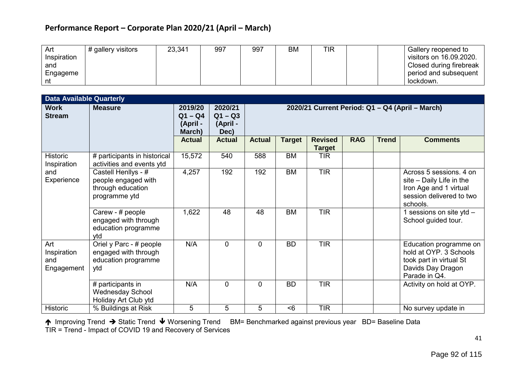| Art         | # gallery visitors | 23,341 | 997 | 997 | <b>BM</b> | TIR | Gallery reopened to     |
|-------------|--------------------|--------|-----|-----|-----------|-----|-------------------------|
| Inspiration |                    |        |     |     |           |     | visitors on 16.09.2020. |
| and         |                    |        |     |     |           |     | Closed during firebreak |
| Engageme    |                    |        |     |     |           |     | period and subsequent   |
|             |                    |        |     |     |           |     | lockdown.               |

| <b>Data Available Quarterly</b>         |                                                                                  |                                            |                                          |                                                 |               |                                 |            |              |                                                                                                                       |  |  |
|-----------------------------------------|----------------------------------------------------------------------------------|--------------------------------------------|------------------------------------------|-------------------------------------------------|---------------|---------------------------------|------------|--------------|-----------------------------------------------------------------------------------------------------------------------|--|--|
| <b>Work</b><br><b>Stream</b>            | <b>Measure</b>                                                                   | 2019/20<br>$Q1 - Q4$<br>(April -<br>March) | 2020/21<br>$Q1 - Q3$<br>(April -<br>Dec) | 2020/21 Current Period: Q1 - Q4 (April - March) |               |                                 |            |              |                                                                                                                       |  |  |
|                                         |                                                                                  | <b>Actual</b>                              | <b>Actual</b>                            | <b>Actual</b>                                   | <b>Target</b> | <b>Revised</b><br><b>Target</b> | <b>RAG</b> | <b>Trend</b> | <b>Comments</b>                                                                                                       |  |  |
| <b>Historic</b><br>Inspiration          | # participants in historical<br>activities and events ytd                        | 15,572                                     | 540                                      | 588                                             | <b>BM</b>     | <b>TIR</b>                      |            |              |                                                                                                                       |  |  |
| and<br>Experience                       | Castell Henllys - #<br>people engaged with<br>through education<br>programme ytd | 4,257                                      | 192                                      | 192                                             | <b>BM</b>     | <b>TIR</b>                      |            |              | Across 5 sessions. 4 on<br>site - Daily Life in the<br>Iron Age and 1 virtual<br>session delivered to two<br>schools. |  |  |
|                                         | Carew - # people<br>engaged with through<br>education programme<br>vtd           | 1,622                                      | 48                                       | 48                                              | <b>BM</b>     | <b>TIR</b>                      |            |              | 1 sessions on site ytd $-$<br>School guided tour.                                                                     |  |  |
| Art<br>Inspiration<br>and<br>Engagement | Oriel y Parc - # people<br>engaged with through<br>education programme<br>ytd    | N/A                                        | $\mathbf 0$                              | $\mathbf{0}$                                    | <b>BD</b>     | <b>TIR</b>                      |            |              | Education programme on<br>hold at OYP. 3 Schools<br>took part in virtual St<br>Davids Day Dragon<br>Parade in Q4.     |  |  |
|                                         | # participants in<br><b>Wednesday School</b><br>Holiday Art Club ytd             | N/A                                        | $\mathbf 0$                              | 0                                               | <b>BD</b>     | <b>TIR</b>                      |            |              | Activity on hold at OYP.                                                                                              |  |  |
| <b>Historic</b>                         | % Buildings at Risk                                                              | 5                                          | 5                                        | 5                                               | < 6           | <b>TIR</b>                      |            |              | No survey update in                                                                                                   |  |  |

↑ Improving Trend → Static Trend ↓ Worsening Trend BM= Benchmarked against previous year BD= Baseline Data TIR = Trend - Impact of COVID 19 and Recovery of Services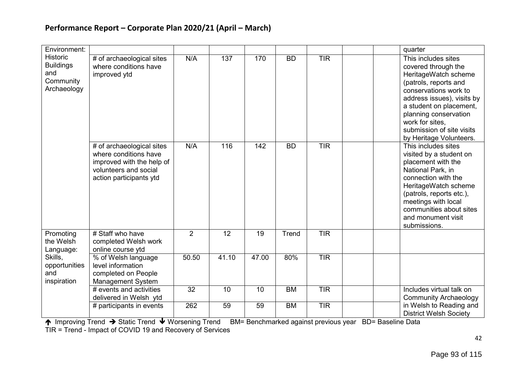| Environment:                                                           |                                                                                                                                     |                |       |                    |           |            | quarter                                                                                                                                                                                                                                                                           |
|------------------------------------------------------------------------|-------------------------------------------------------------------------------------------------------------------------------------|----------------|-------|--------------------|-----------|------------|-----------------------------------------------------------------------------------------------------------------------------------------------------------------------------------------------------------------------------------------------------------------------------------|
| <b>Historic</b><br><b>Buildings</b><br>and<br>Community<br>Archaeology | # of archaeological sites<br>where conditions have<br>improved ytd                                                                  | N/A            | 137   | 170                | <b>BD</b> | <b>TIR</b> | This includes sites<br>covered through the<br>HeritageWatch scheme<br>(patrols, reports and<br>conservations work to<br>address issues), visits by<br>a student on placement,<br>planning conservation<br>work for sites,<br>submission of site visits<br>by Heritage Volunteers. |
|                                                                        | # of archaeological sites<br>where conditions have<br>improved with the help of<br>volunteers and social<br>action participants ytd | N/A            | 116   | 142                | <b>BD</b> | <b>TIR</b> | This includes sites<br>visited by a student on<br>placement with the<br>National Park, in<br>connection with the<br>HeritageWatch scheme<br>(patrols, reports etc.),<br>meetings with local<br>communities about sites<br>and monument visit<br>submissions.                      |
| Promoting<br>the Welsh<br>Language:                                    | # Staff who have<br>completed Welsh work<br>online course ytd                                                                       | $\overline{2}$ | 12    | 19                 | Trend     | <b>TIR</b> |                                                                                                                                                                                                                                                                                   |
| Skills,<br>opportunities<br>and<br>inspiration                         | % of Welsh language<br>level information<br>completed on People<br><b>Management System</b>                                         | 50.50          | 41.10 | $\overline{47.00}$ | 80%       | <b>TIR</b> |                                                                                                                                                                                                                                                                                   |
|                                                                        | # events and activities<br>delivered in Welsh ytd                                                                                   | 32             | 10    | 10                 | <b>BM</b> | <b>TIR</b> | Includes virtual talk on<br><b>Community Archaeology</b>                                                                                                                                                                                                                          |
|                                                                        | # participants in events                                                                                                            | 262            | 59    | 59                 | <b>BM</b> | <b>TIR</b> | in Welsh to Reading and<br><b>District Welsh Society</b>                                                                                                                                                                                                                          |

↑ Improving Trend → Static Trend ↓ Worsening Trend BM= Benchmarked against previous year BD= Baseline Data

TIR = Trend - Impact of COVID 19 and Recovery of Services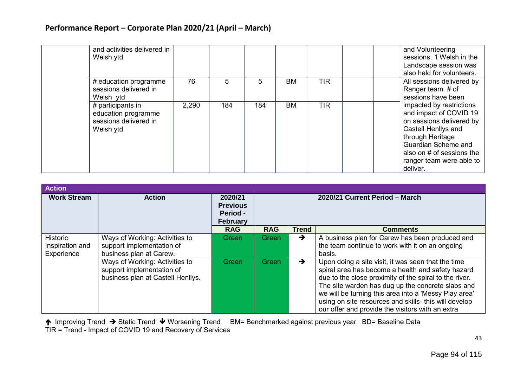| and activities delivered in<br>Welsh ytd                                       |       |     |     |           |            | and Volunteering<br>sessions. 1 Welsh in the<br>Landscape session was<br>also held for volunteers.                                                                                                                    |
|--------------------------------------------------------------------------------|-------|-----|-----|-----------|------------|-----------------------------------------------------------------------------------------------------------------------------------------------------------------------------------------------------------------------|
| # education programme<br>sessions delivered in<br>Welsh ytd                    | 76    | 5   | 5   | <b>BM</b> | <b>TIR</b> | All sessions delivered by<br>Ranger team. # of<br>sessions have been                                                                                                                                                  |
| # participants in<br>education programme<br>sessions delivered in<br>Welsh ytd | 2,290 | 184 | 184 | <b>BM</b> | <b>TIR</b> | impacted by restrictions<br>and impact of COVID 19<br>on sessions delivered by<br>Castell Henllys and<br>through Heritage<br>Guardian Scheme and<br>also on # of sessions the<br>ranger team were able to<br>deliver. |

| <b>Action</b>                                    |                                                                                                  |                                                           |                                |               |                                                                                                                                                                                                                                                                                                                                                                                              |  |  |
|--------------------------------------------------|--------------------------------------------------------------------------------------------------|-----------------------------------------------------------|--------------------------------|---------------|----------------------------------------------------------------------------------------------------------------------------------------------------------------------------------------------------------------------------------------------------------------------------------------------------------------------------------------------------------------------------------------------|--|--|
| <b>Work Stream</b>                               | <b>Action</b>                                                                                    | 2020/21<br><b>Previous</b><br>Period -<br><b>February</b> | 2020/21 Current Period - March |               |                                                                                                                                                                                                                                                                                                                                                                                              |  |  |
|                                                  |                                                                                                  | <b>RAG</b>                                                | <b>RAG</b>                     | <b>Trend</b>  | <b>Comments</b>                                                                                                                                                                                                                                                                                                                                                                              |  |  |
| <b>Historic</b><br>Inspiration and<br>Experience | Ways of Working: Activities to<br>support implementation of<br>business plan at Carew.           | Green                                                     | Green                          | $\rightarrow$ | A business plan for Carew has been produced and<br>the team continue to work with it on an ongoing<br>basis.                                                                                                                                                                                                                                                                                 |  |  |
|                                                  | Ways of Working: Activities to<br>support implementation of<br>business plan at Castell Henllys. | <b>Green</b>                                              | <b>Green</b>                   | $\rightarrow$ | Upon doing a site visit, it was seen that the time<br>spiral area has become a health and safety hazard<br>due to the close proximity of the spiral to the river.<br>The site warden has dug up the concrete slabs and<br>we will be turning this area into a 'Messy Play area'<br>using on site resources and skills- this will develop<br>our offer and provide the visitors with an extra |  |  |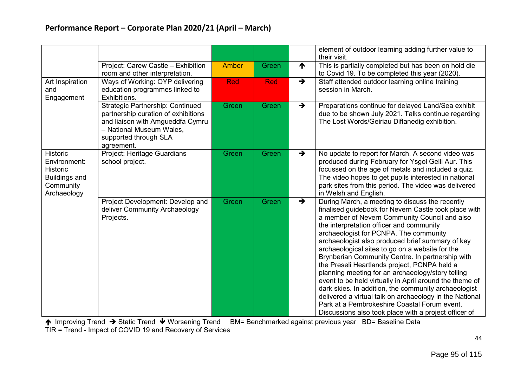|                                                                                                        |                                                                                                                                                                                       |              |              |               | element of outdoor learning adding further value to<br>their visit.                                                                                                                                                                                                                                                                                                                                                                                                                                                                                                                                                                                                                                                                                                                                    |
|--------------------------------------------------------------------------------------------------------|---------------------------------------------------------------------------------------------------------------------------------------------------------------------------------------|--------------|--------------|---------------|--------------------------------------------------------------------------------------------------------------------------------------------------------------------------------------------------------------------------------------------------------------------------------------------------------------------------------------------------------------------------------------------------------------------------------------------------------------------------------------------------------------------------------------------------------------------------------------------------------------------------------------------------------------------------------------------------------------------------------------------------------------------------------------------------------|
|                                                                                                        | Project: Carew Castle - Exhibition<br>room and other interpretation.                                                                                                                  | <b>Amber</b> | Green        | ↑             | This is partially completed but has been on hold die<br>to Covid 19. To be completed this year (2020).                                                                                                                                                                                                                                                                                                                                                                                                                                                                                                                                                                                                                                                                                                 |
| Art Inspiration<br>and<br>Engagement                                                                   | Ways of Working: OYP delivering<br>education programmes linked to<br>Exhibitions.                                                                                                     | Red          | <b>Red</b>   | $\rightarrow$ | Staff attended outdoor learning online training<br>session in March.                                                                                                                                                                                                                                                                                                                                                                                                                                                                                                                                                                                                                                                                                                                                   |
|                                                                                                        | <b>Strategic Partnership: Continued</b><br>partnership curation of exhibitions<br>and liaison with Amgueddfa Cymru<br>- National Museum Wales,<br>supported through SLA<br>agreement. | Green        | <b>Green</b> | $\rightarrow$ | Preparations continue for delayed Land/Sea exhibit<br>due to be shown July 2021. Talks continue regarding<br>The Lost Words/Geiriau Diflanedig exhibition.                                                                                                                                                                                                                                                                                                                                                                                                                                                                                                                                                                                                                                             |
| <b>Historic</b><br>Environment:<br><b>Historic</b><br><b>Buildings and</b><br>Community<br>Archaeology | Project: Heritage Guardians<br>school project.                                                                                                                                        | Green        | Green        | $\rightarrow$ | No update to report for March. A second video was<br>produced during February for Ysgol Gelli Aur. This<br>focussed on the age of metals and included a quiz.<br>The video hopes to get pupils interested in national<br>park sites from this period. The video was delivered<br>in Welsh and English.                                                                                                                                                                                                                                                                                                                                                                                                                                                                                                 |
|                                                                                                        | Project Development: Develop and<br>deliver Community Archaeology<br>Projects.                                                                                                        | Green        | Green        | $\rightarrow$ | During March, a meeting to discuss the recently<br>finalised guidebook for Nevern Castle took place with<br>a member of Nevern Community Council and also<br>the interpretation officer and community<br>archaeologist for PCNPA. The community<br>archaeologist also produced brief summary of key<br>archaeological sites to go on a website for the<br>Brynberian Community Centre. In partnership with<br>the Preseli Heartlands project, PCNPA held a<br>planning meeting for an archaeology/story telling<br>event to be held virtually in April around the theme of<br>dark skies. In addition, the community archaeologist<br>delivered a virtual talk on archaeology in the National<br>Park at a Pembrokeshire Coastal Forum event.<br>Discussions also took place with a project officer of |

↑ Improving Trend → Static Trend ↓ Worsening Trend BM= Benchmarked against previous year BD= Baseline Data

TIR = Trend - Impact of COVID 19 and Recovery of Services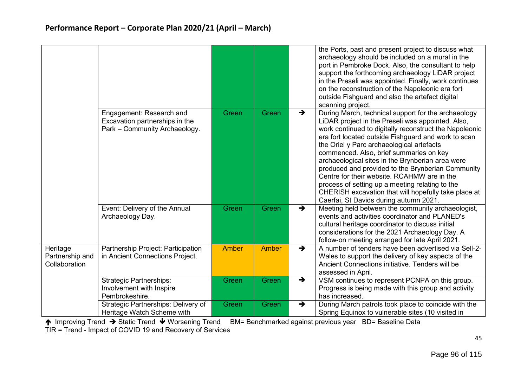|                                              |                                                                                             |              |       |               | the Ports, past and present project to discuss what<br>archaeology should be included on a mural in the<br>port in Pembroke Dock. Also, the consultant to help<br>support the forthcoming archaeology LiDAR project<br>in the Preseli was appointed. Finally, work continues<br>on the reconstruction of the Napoleonic era fort<br>outside Fishguard and also the artefact digital<br>scanning project.                                                                                                                                                                                                                       |
|----------------------------------------------|---------------------------------------------------------------------------------------------|--------------|-------|---------------|--------------------------------------------------------------------------------------------------------------------------------------------------------------------------------------------------------------------------------------------------------------------------------------------------------------------------------------------------------------------------------------------------------------------------------------------------------------------------------------------------------------------------------------------------------------------------------------------------------------------------------|
|                                              | Engagement: Research and<br>Excavation partnerships in the<br>Park - Community Archaeology. | Green        | Green | $\rightarrow$ | During March, technical support for the archaeology<br>LIDAR project in the Preseli was appointed. Also,<br>work continued to digitally reconstruct the Napoleonic<br>era fort located outside Fishguard and work to scan<br>the Oriel y Parc archaeological artefacts<br>commenced. Also, brief summaries on key<br>archaeological sites in the Brynberian area were<br>produced and provided to the Brynberian Community<br>Centre for their website. RCAHMW are in the<br>process of setting up a meeting relating to the<br>CHERISH excavation that will hopefully take place at<br>Caerfai, St Davids during autumn 2021. |
|                                              | Event: Delivery of the Annual<br>Archaeology Day.                                           | Green        | Green | $\rightarrow$ | Meeting held between the community archaeologist,<br>events and activities coordinator and PLANED's<br>cultural heritage coordinator to discuss initial<br>considerations for the 2021 Archaeology Day. A<br>follow-on meeting arranged for late April 2021.                                                                                                                                                                                                                                                                                                                                                                   |
| Heritage<br>Partnership and<br>Collaboration | Partnership Project: Participation<br>in Ancient Connections Project.                       | <b>Amber</b> | Amber | $\rightarrow$ | A number of tenders have been advertised via Sell-2-<br>Wales to support the delivery of key aspects of the<br>Ancient Connections initiative. Tenders will be<br>assessed in April.                                                                                                                                                                                                                                                                                                                                                                                                                                           |
|                                              | <b>Strategic Partnerships:</b><br>Involvement with Inspire<br>Pembrokeshire.                | Green        | Green | $\rightarrow$ | VSM continues to represent PCNPA on this group.<br>Progress is being made with this group and activity<br>has increased.                                                                                                                                                                                                                                                                                                                                                                                                                                                                                                       |
|                                              | Strategic Partnerships: Delivery of<br>Heritage Watch Scheme with                           | Green        | Green | $\rightarrow$ | During March patrols took place to coincide with the<br>Spring Equinox to vulnerable sites (10 visited in                                                                                                                                                                                                                                                                                                                                                                                                                                                                                                                      |

↑ Improving Trend → Static Trend ↓ Worsening Trend BM= Benchmarked against previous year BD= Baseline Data

TIR = Trend - Impact of COVID 19 and Recovery of Services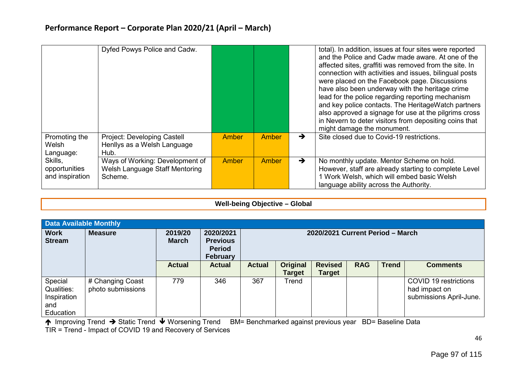|                                             | Dyfed Powys Police and Cadw.                                                 |              |              |               | total). In addition, issues at four sites were reported<br>and the Police and Cadw made aware. At one of the<br>affected sites, graffiti was removed from the site. In<br>connection with activities and issues, bilingual posts<br>were placed on the Facebook page. Discussions<br>have also been underway with the heritage crime<br>lead for the police regarding reporting mechanism<br>and key police contacts. The HeritageWatch partners<br>also approved a signage for use at the pilgrims cross<br>in Nevern to deter visitors from depositing coins that<br>might damage the monument. |
|---------------------------------------------|------------------------------------------------------------------------------|--------------|--------------|---------------|---------------------------------------------------------------------------------------------------------------------------------------------------------------------------------------------------------------------------------------------------------------------------------------------------------------------------------------------------------------------------------------------------------------------------------------------------------------------------------------------------------------------------------------------------------------------------------------------------|
| Promoting the<br>Welsh<br>Language:         | Project: Developing Castell<br>Henllys as a Welsh Language<br>Hub.           | <b>Amber</b> | <b>Amber</b> | →             | Site closed due to Covid-19 restrictions.                                                                                                                                                                                                                                                                                                                                                                                                                                                                                                                                                         |
| Skills,<br>opportunities<br>and inspiration | Ways of Working: Development of<br>Welsh Language Staff Mentoring<br>Scheme. | Amber        | <b>Amber</b> | $\rightarrow$ | No monthly update. Mentor Scheme on hold.<br>However, staff are already starting to complete Level<br>l Work Welsh, which will embed basic Welsh<br>language ability across the Authority.                                                                                                                                                                                                                                                                                                                                                                                                        |

#### **Well-being Objective – Global**

| <b>Data Available Monthly</b>                            |                                       |                         |                                                                  |                                  |                                  |                                 |            |              |                                                                   |  |  |
|----------------------------------------------------------|---------------------------------------|-------------------------|------------------------------------------------------------------|----------------------------------|----------------------------------|---------------------------------|------------|--------------|-------------------------------------------------------------------|--|--|
| <b>Work</b><br><b>Stream</b>                             | <b>Measure</b>                        | 2019/20<br><b>March</b> | 2020/2021<br><b>Previous</b><br><b>Period</b><br><b>February</b> | 2020/2021 Current Period - March |                                  |                                 |            |              |                                                                   |  |  |
|                                                          |                                       | <b>Actual</b>           | <b>Actual</b>                                                    | <b>Actual</b>                    | <b>Original</b><br><b>Target</b> | <b>Revised</b><br><b>Target</b> | <b>RAG</b> | <b>Trend</b> | <b>Comments</b>                                                   |  |  |
| Special<br>Qualities:<br>Inspiration<br>and<br>Education | # Changing Coast<br>photo submissions | 779                     | 346                                                              | 367                              | Trend                            |                                 |            |              | COVID 19 restrictions<br>had impact on<br>submissions April-June. |  |  |

↑ Improving Trend → Static Trend ↓ Worsening Trend BM= Benchmarked against previous year BD= Baseline Data TIR = Trend - Impact of COVID 19 and Recovery of Services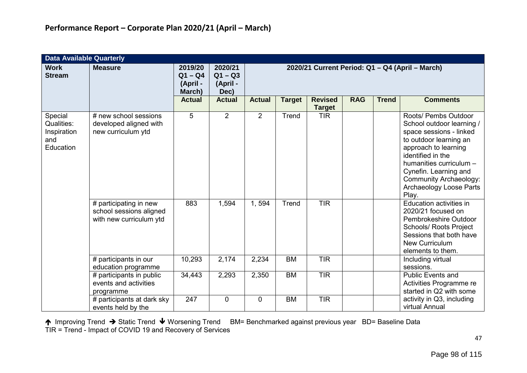|                                                          | <b>Data Available Quarterly</b>                                              |                                            |                                          |                |               |                                 |            |              |                                                                                                                                                                                                                                                                              |  |  |  |
|----------------------------------------------------------|------------------------------------------------------------------------------|--------------------------------------------|------------------------------------------|----------------|---------------|---------------------------------|------------|--------------|------------------------------------------------------------------------------------------------------------------------------------------------------------------------------------------------------------------------------------------------------------------------------|--|--|--|
| <b>Work</b><br><b>Stream</b>                             | <b>Measure</b>                                                               | 2019/20<br>$Q1 - Q4$<br>(April -<br>March) | 2020/21<br>$Q1 - Q3$<br>(April -<br>Dec) |                |               |                                 |            |              | 2020/21 Current Period: Q1 - Q4 (April - March)                                                                                                                                                                                                                              |  |  |  |
|                                                          |                                                                              | <b>Actual</b>                              | <b>Actual</b>                            | <b>Actual</b>  | <b>Target</b> | <b>Revised</b><br><b>Target</b> | <b>RAG</b> | <b>Trend</b> | <b>Comments</b>                                                                                                                                                                                                                                                              |  |  |  |
| Special<br>Qualities:<br>Inspiration<br>and<br>Education | # new school sessions<br>developed aligned with<br>new curriculum ytd        | 5                                          | $\overline{2}$                           | 2              | Trend         | <b>TIR</b>                      |            |              | Roots/ Pembs Outdoor<br>School outdoor learning /<br>space sessions - linked<br>to outdoor learning an<br>approach to learning<br>identified in the<br>humanities curriculum -<br>Cynefin. Learning and<br><b>Community Archaeology:</b><br>Archaeology Loose Parts<br>Play. |  |  |  |
|                                                          | # participating in new<br>school sessions aligned<br>with new curriculum ytd | 883                                        | 1,594                                    | 1,594          | Trend         | <b>TIR</b>                      |            |              | Education activities in<br>2020/21 focused on<br>Pembrokeshire Outdoor<br><b>Schools/ Roots Project</b><br>Sessions that both have<br><b>New Curriculum</b><br>elements to them.                                                                                             |  |  |  |
|                                                          | # participants in our<br>education programme                                 | 10,293                                     | 2,174                                    | 2,234          | <b>BM</b>     | <b>TIR</b>                      |            |              | Including virtual<br>sessions.                                                                                                                                                                                                                                               |  |  |  |
|                                                          | # participants in public<br>events and activities<br>programme               | 34,443                                     | 2,293                                    | 2,350          | <b>BM</b>     | <b>TIR</b>                      |            |              | <b>Public Events and</b><br>Activities Programme re<br>started in Q2 with some                                                                                                                                                                                               |  |  |  |
|                                                          | # participants at dark sky<br>events held by the                             | 247                                        | $\overline{0}$                           | $\overline{0}$ | <b>BM</b>     | <b>TIR</b>                      |            |              | activity in Q3, including<br>virtual Annual                                                                                                                                                                                                                                  |  |  |  |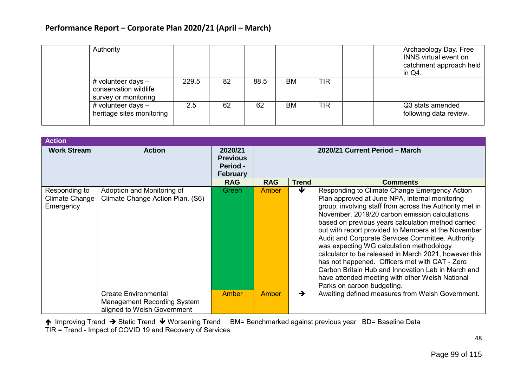| Authority                                                           |       |    |      |           |            | Archaeology Day. Free<br>INNS virtual event on<br>catchment approach held<br>in Q4. |
|---------------------------------------------------------------------|-------|----|------|-----------|------------|-------------------------------------------------------------------------------------|
| # volunteer days -<br>conservation wildlife<br>survey or monitoring | 229.5 | 82 | 88.5 | ВM        | <b>TIR</b> |                                                                                     |
| # volunteer days $-$<br>heritage sites monitoring                   | 2.5   | 62 | 62   | <b>BM</b> | <b>TIR</b> | Q3 stats amended<br>following data review.                                          |

| <b>Action</b>                                |                                                                |                                                           |                                |               |                                                                                                                                                                                                                                                                                                                                                                                                                                                                                                                                                                                                                                                                              |  |  |
|----------------------------------------------|----------------------------------------------------------------|-----------------------------------------------------------|--------------------------------|---------------|------------------------------------------------------------------------------------------------------------------------------------------------------------------------------------------------------------------------------------------------------------------------------------------------------------------------------------------------------------------------------------------------------------------------------------------------------------------------------------------------------------------------------------------------------------------------------------------------------------------------------------------------------------------------------|--|--|
| <b>Work Stream</b>                           | <b>Action</b>                                                  | 2020/21<br><b>Previous</b><br>Period -<br><b>February</b> | 2020/21 Current Period - March |               |                                                                                                                                                                                                                                                                                                                                                                                                                                                                                                                                                                                                                                                                              |  |  |
|                                              |                                                                | <b>RAG</b>                                                | <b>RAG</b>                     | Trend         | <b>Comments</b>                                                                                                                                                                                                                                                                                                                                                                                                                                                                                                                                                                                                                                                              |  |  |
| Responding to<br>Climate Change<br>Emergency | Adoption and Monitoring of<br>Climate Change Action Plan. (S6) | Green                                                     | Amber                          | ₩             | Responding to Climate Change Emergency Action<br>Plan approved at June NPA, internal monitoring<br>group, involving staff from across the Authority met in<br>November, 2019/20 carbon emission calculations<br>based on previous years calculation method carried<br>out with report provided to Members at the November<br>Audit and Corporate Services Committee. Authority<br>was expecting WG calculation methodology<br>calculator to be released in March 2021, however this<br>has not happened. Officers met with CAT - Zero<br>Carbon Britain Hub and Innovation Lab in March and<br>have attended meeting with other Welsh National<br>Parks on carbon budgeting. |  |  |
|                                              | <b>Create Environmental</b>                                    | Amber                                                     | Amber                          | $\rightarrow$ | Awaiting defined measures from Welsh Government.                                                                                                                                                                                                                                                                                                                                                                                                                                                                                                                                                                                                                             |  |  |
|                                              | <b>Management Recording System</b>                             |                                                           |                                |               |                                                                                                                                                                                                                                                                                                                                                                                                                                                                                                                                                                                                                                                                              |  |  |
|                                              | aligned to Welsh Government                                    |                                                           |                                |               |                                                                                                                                                                                                                                                                                                                                                                                                                                                                                                                                                                                                                                                                              |  |  |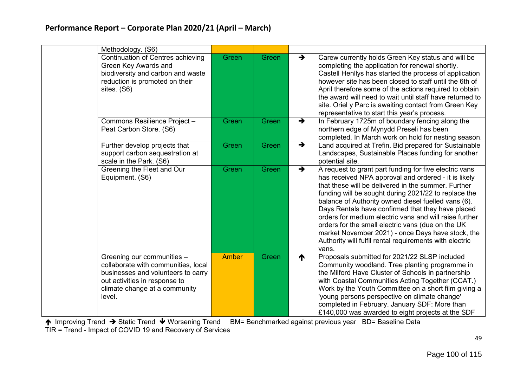| Methodology. (S6)                                                                                      |                                                                                    |       |               |                                                                                                                                                                                                                                                                                                                                                                                                                                                                                                                                                                                   |
|--------------------------------------------------------------------------------------------------------|------------------------------------------------------------------------------------|-------|---------------|-----------------------------------------------------------------------------------------------------------------------------------------------------------------------------------------------------------------------------------------------------------------------------------------------------------------------------------------------------------------------------------------------------------------------------------------------------------------------------------------------------------------------------------------------------------------------------------|
| Green Key Awards and<br>reduction is promoted on their<br>sites. (S6)                                  | Continuation of Centres achieving<br>Green<br>biodiversity and carbon and waste    | Green | $\rightarrow$ | Carew currently holds Green Key status and will be<br>completing the application for renewal shortly.<br>Castell Henllys has started the process of application<br>however site has been closed to staff until the 6th of<br>April therefore some of the actions required to obtain<br>the award will need to wait until staff have returned to<br>site. Oriel y Parc is awaiting contact from Green Key<br>representative to start this year's process.                                                                                                                          |
| Commons Resilience Project-<br>Peat Carbon Store. (S6)                                                 | Green                                                                              | Green | $\rightarrow$ | In February 1725m of boundary fencing along the<br>northern edge of Mynydd Preseli has been<br>completed. In March work on hold for nesting season.                                                                                                                                                                                                                                                                                                                                                                                                                               |
| Further develop projects that<br>support carbon sequestration at<br>scale in the Park. (S6)            | Green                                                                              | Green | $\rightarrow$ | Land acquired at Trefin. Bid prepared for Sustainable<br>Landscapes, Sustainable Places funding for another<br>potential site.                                                                                                                                                                                                                                                                                                                                                                                                                                                    |
| Greening the Fleet and Our<br>Equipment. (S6)                                                          | Green                                                                              | Green | $\rightarrow$ | A request to grant part funding for five electric vans<br>has received NPA approval and ordered - it is likely<br>that these will be delivered in the summer. Further<br>funding will be sought during 2021/22 to replace the<br>balance of Authority owned diesel fuelled vans (6).<br>Days Rentals have confirmed that they have placed<br>orders for medium electric vans and will raise further<br>orders for the small electric vans (due on the UK<br>market November 2021) - once Days have stock, the<br>Authority will fulfil rental requirements with electric<br>vans. |
| Greening our communities -<br>out activities in response to<br>climate change at a community<br>level. | Amber<br>collaborate with communities, local<br>businesses and volunteers to carry | Green | ↑             | Proposals submitted for 2021/22 SLSP included<br>Community woodland. Tree planting programme in<br>the Milford Have Cluster of Schools in partnership<br>with Coastal Communities Acting Together (CCAT.)<br>Work by the Youth Committee on a short film giving a<br>'young persons perspective on climate change'<br>completed in February. January SDF: More than<br>£140,000 was awarded to eight projects at the SDF                                                                                                                                                          |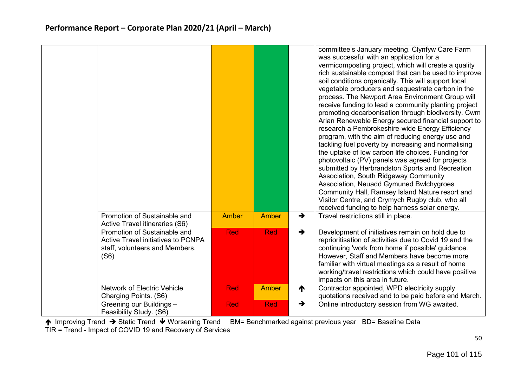|                                                                                                                     |              |              |               | committee's January meeting. Clynfyw Care Farm<br>was successful with an application for a<br>vermicomposting project, which will create a quality<br>rich sustainable compost that can be used to improve<br>soil conditions organically. This will support local<br>vegetable producers and sequestrate carbon in the<br>process. The Newport Area Environment Group will<br>receive funding to lead a community planting project<br>promoting decarbonisation through biodiversity. Cwm<br>Arian Renewable Energy secured financial support to<br>research a Pembrokeshire-wide Energy Efficiency<br>program, with the aim of reducing energy use and<br>tackling fuel poverty by increasing and normalising<br>the uptake of low carbon life choices. Funding for<br>photovoltaic (PV) panels was agreed for projects<br>submitted by Herbrandston Sports and Recreation<br>Association, South Ridgeway Community<br>Association, Neuadd Gymuned Bwlchygroes<br>Community Hall, Ramsey Island Nature resort and<br>Visitor Centre, and Crymych Rugby club, who all<br>received funding to help harness solar energy. |
|---------------------------------------------------------------------------------------------------------------------|--------------|--------------|---------------|--------------------------------------------------------------------------------------------------------------------------------------------------------------------------------------------------------------------------------------------------------------------------------------------------------------------------------------------------------------------------------------------------------------------------------------------------------------------------------------------------------------------------------------------------------------------------------------------------------------------------------------------------------------------------------------------------------------------------------------------------------------------------------------------------------------------------------------------------------------------------------------------------------------------------------------------------------------------------------------------------------------------------------------------------------------------------------------------------------------------------|
| Promotion of Sustainable and<br>Active Travel itineraries (S6)                                                      | <b>Amber</b> | Amber        | $\rightarrow$ | Travel restrictions still in place.                                                                                                                                                                                                                                                                                                                                                                                                                                                                                                                                                                                                                                                                                                                                                                                                                                                                                                                                                                                                                                                                                      |
| Promotion of Sustainable and<br><b>Active Travel initiatives to PCNPA</b><br>staff, volunteers and Members.<br>(S6) | <b>Red</b>   | Red          | $\rightarrow$ | Development of initiatives remain on hold due to<br>reprioritisation of activities due to Covid 19 and the<br>continuing 'work from home if possible' guidance.<br>However, Staff and Members have become more<br>familiar with virtual meetings as a result of home<br>working/travel restrictions which could have positive<br>impacts on this area in future.                                                                                                                                                                                                                                                                                                                                                                                                                                                                                                                                                                                                                                                                                                                                                         |
| <b>Network of Electric Vehicle</b><br>Charging Points. (S6)                                                         | <b>Red</b>   | <b>Amber</b> | ↑             | Contractor appointed, WPD electricity supply<br>quotations received and to be paid before end March.                                                                                                                                                                                                                                                                                                                                                                                                                                                                                                                                                                                                                                                                                                                                                                                                                                                                                                                                                                                                                     |
| Greening our Buildings -<br>Feasibility Study. (S6)                                                                 | <b>Red</b>   | Red          | $\rightarrow$ | Online introductory session from WG awaited.                                                                                                                                                                                                                                                                                                                                                                                                                                                                                                                                                                                                                                                                                                                                                                                                                                                                                                                                                                                                                                                                             |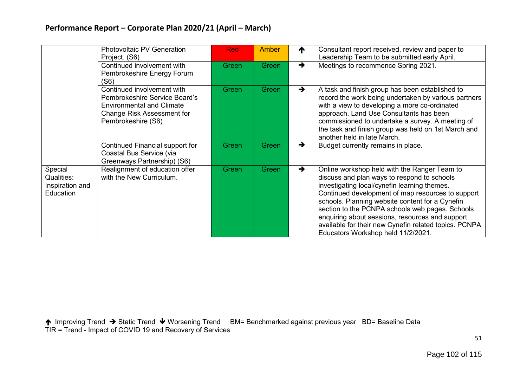|                                                       | <b>Photovoltaic PV Generation</b><br>Project. (S6)                                                                                                         | <b>Red</b> | Amber | ↑             | Consultant report received, review and paper to<br>Leadership Team to be submitted early April.                                                                                                                                                                                                                                                                                                                                                          |
|-------------------------------------------------------|------------------------------------------------------------------------------------------------------------------------------------------------------------|------------|-------|---------------|----------------------------------------------------------------------------------------------------------------------------------------------------------------------------------------------------------------------------------------------------------------------------------------------------------------------------------------------------------------------------------------------------------------------------------------------------------|
|                                                       | Continued involvement with<br>Pembrokeshire Energy Forum<br>(S6)                                                                                           | Green      | Green | $\rightarrow$ | Meetings to recommence Spring 2021.                                                                                                                                                                                                                                                                                                                                                                                                                      |
|                                                       | Continued involvement with<br>Pembrokeshire Service Board's<br><b>Environmental and Climate</b><br><b>Change Risk Assessment for</b><br>Pembrokeshire (S6) | Green      | Green | $\rightarrow$ | A task and finish group has been established to<br>record the work being undertaken by various partners<br>with a view to developing a more co-ordinated<br>approach. Land Use Consultants has been<br>commissioned to undertake a survey. A meeting of<br>the task and finish group was held on 1st March and<br>another held in late March.                                                                                                            |
|                                                       | Continued Financial support for<br>Coastal Bus Service (via<br>Greenways Partnership) (S6)                                                                 | Green      | Green | $\rightarrow$ | Budget currently remains in place.                                                                                                                                                                                                                                                                                                                                                                                                                       |
| Special<br>Qualities:<br>Inspiration and<br>Education | Realignment of education offer<br>with the New Curriculum.                                                                                                 | Green      | Green | $\rightarrow$ | Online workshop held with the Ranger Team to<br>discuss and plan ways to respond to schools<br>investigating local/cynefin learning themes.<br>Continued development of map resources to support<br>schools. Planning website content for a Cynefin<br>section to the PCNPA schools web pages. Schools<br>enquiring about sessions, resources and support<br>available for their new Cynefin related topics. PCNPA<br>Educators Workshop held 11/2/2021. |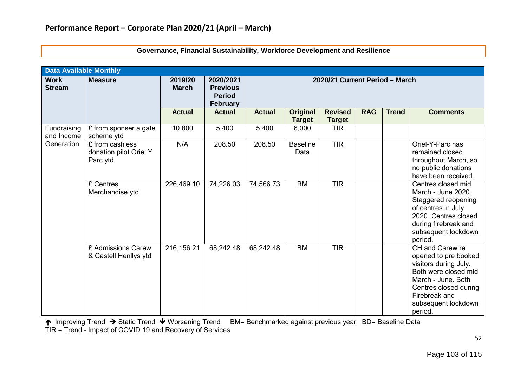|                              | <b>Data Available Monthly</b>                         |                         |                                                                  |                                |                           |                                 |            |              |                                                                                                                                                                                            |  |  |  |
|------------------------------|-------------------------------------------------------|-------------------------|------------------------------------------------------------------|--------------------------------|---------------------------|---------------------------------|------------|--------------|--------------------------------------------------------------------------------------------------------------------------------------------------------------------------------------------|--|--|--|
| <b>Work</b><br><b>Stream</b> | <b>Measure</b>                                        | 2019/20<br><b>March</b> | 2020/2021<br><b>Previous</b><br><b>Period</b><br><b>February</b> | 2020/21 Current Period - March |                           |                                 |            |              |                                                                                                                                                                                            |  |  |  |
|                              |                                                       | <b>Actual</b>           | <b>Actual</b>                                                    | <b>Actual</b>                  | Original<br><b>Target</b> | <b>Revised</b><br><b>Target</b> | <b>RAG</b> | <b>Trend</b> | <b>Comments</b>                                                                                                                                                                            |  |  |  |
| Fundraising<br>and Income    | £ from sponser a gate<br>scheme ytd                   | 10,800                  | 5,400                                                            | 5,400                          | 6,000                     | <b>TIR</b>                      |            |              |                                                                                                                                                                                            |  |  |  |
| Generation                   | £ from cashless<br>donation pilot Oriel Y<br>Parc ytd | N/A                     | 208.50                                                           | 208.50                         | <b>Baseline</b><br>Data   | <b>TIR</b>                      |            |              | Oriel-Y-Parc has<br>remained closed<br>throughout March, so<br>no public donations<br>have been received.                                                                                  |  |  |  |
|                              | £ Centres<br>Merchandise ytd                          | 226,469.10              | 74,226.03                                                        | 74,566.73                      | <b>BM</b>                 | <b>TIR</b>                      |            |              | Centres closed mid<br>March - June 2020.<br>Staggered reopening<br>of centres in July<br>2020. Centres closed<br>during firebreak and<br>subsequent lockdown<br>period.                    |  |  |  |
|                              | £ Admissions Carew<br>& Castell Henllys ytd           | 216,156.21              | 68,242.48                                                        | 68,242.48                      | <b>BM</b>                 | <b>TIR</b>                      |            |              | CH and Carew re<br>opened to pre booked<br>visitors during July.<br>Both were closed mid<br>March - June. Both<br>Centres closed during<br>Firebreak and<br>subsequent lockdown<br>period. |  |  |  |

**Governance, Financial Sustainability, Workforce Development and Resilience**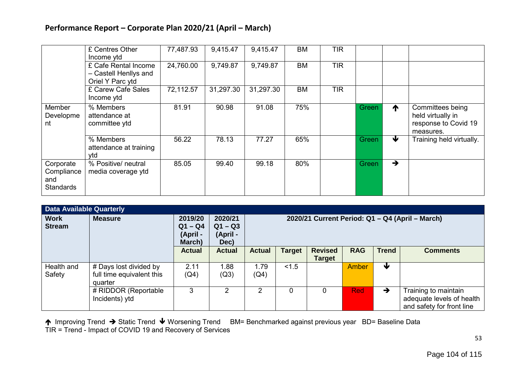|                                                    | £ Centres Other<br>Income ytd                                     | 77,487.93 | 9,415.47  | 9,415.47  | BM        | <b>TIR</b> |       |                 |                                                                            |
|----------------------------------------------------|-------------------------------------------------------------------|-----------|-----------|-----------|-----------|------------|-------|-----------------|----------------------------------------------------------------------------|
|                                                    | £ Cafe Rental Income<br>- Castell Henllys and<br>Oriel Y Parc ytd | 24,760.00 | 9,749.87  | 9,749.87  | <b>BM</b> | <b>TIR</b> |       |                 |                                                                            |
|                                                    | £ Carew Cafe Sales<br>Income ytd                                  | 72,112.57 | 31,297.30 | 31,297.30 | <b>BM</b> | <b>TIR</b> |       |                 |                                                                            |
| Member<br>Developme<br>nt                          | % Members<br>attendance at<br>committee ytd                       | 81.91     | 90.98     | 91.08     | 75%       |            | Green | $\blacklozenge$ | Committees being<br>held virtually in<br>response to Covid 19<br>measures. |
|                                                    | % Members<br>attendance at training<br>vtd                        | 56.22     | 78.13     | 77.27     | 65%       |            | Green | ₩               | Training held virtually.                                                   |
| Corporate<br>Compliance<br>and<br><b>Standards</b> | % Positive/ neutral<br>media coverage ytd                         | 85.05     | 99.40     | 99.18     | 80%       |            | Green | $\rightarrow$   |                                                                            |

| <b>Data Available Quarterly</b> |                                                                |                                            |                                          |                                                 |               |                                 |              |               |                                                                                |  |  |  |  |  |  |
|---------------------------------|----------------------------------------------------------------|--------------------------------------------|------------------------------------------|-------------------------------------------------|---------------|---------------------------------|--------------|---------------|--------------------------------------------------------------------------------|--|--|--|--|--|--|
| <b>Work</b><br><b>Stream</b>    | <b>Measure</b>                                                 | 2019/20<br>$Q1 - Q4$<br>(April -<br>March) | 2020/21<br>$Q1 - Q3$<br>(April -<br>Dec) | 2020/21 Current Period: Q1 - Q4 (April - March) |               |                                 |              |               |                                                                                |  |  |  |  |  |  |
|                                 |                                                                | <b>Actual</b>                              | <b>Actual</b>                            | <b>Actual</b>                                   | <b>Target</b> | <b>Revised</b><br><b>Target</b> | <b>RAG</b>   | <b>Trend</b>  | <b>Comments</b>                                                                |  |  |  |  |  |  |
| Health and<br>Safety            | # Days lost divided by<br>full time equivalent this<br>quarter | 2.11<br>(Q4)                               | 1.88<br>(Q3)                             | 1.79<br>(Q4)                                    | < 1.5         |                                 | <b>Amber</b> | Ψ             |                                                                                |  |  |  |  |  |  |
|                                 | # RIDDOR (Reportable<br>Incidents) ytd                         | 3                                          |                                          |                                                 | 0             | 0                               | <b>Red</b>   | $\rightarrow$ | Training to maintain<br>adequate levels of health<br>and safety for front line |  |  |  |  |  |  |

↑ Improving Trend → Static Trend ↓ Worsening Trend BM= Benchmarked against previous year BD= Baseline Data TIR = Trend - Impact of COVID 19 and Recovery of Services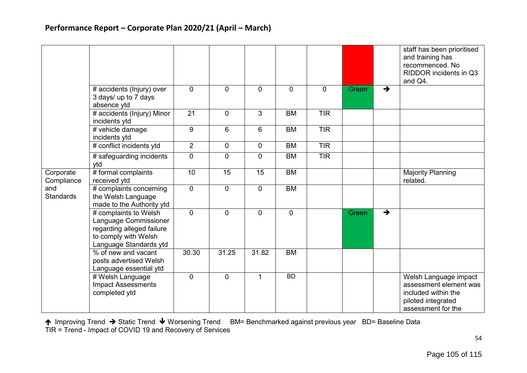|                         |                                                                                                                               |                 |                |             |             |             |       |                                  | staff has been prioritised<br>and training has<br>recommenced. No<br>RIDDOR incidents in Q3<br>and Q4.             |
|-------------------------|-------------------------------------------------------------------------------------------------------------------------------|-----------------|----------------|-------------|-------------|-------------|-------|----------------------------------|--------------------------------------------------------------------------------------------------------------------|
|                         | # accidents (lnjury) over<br>3 days/ up to 7 days<br>absence ytd                                                              | $\mathbf 0$     | $\mathbf{0}$   | $\mathbf 0$ | $\mathbf 0$ | $\mathbf 0$ | Green | →                                |                                                                                                                    |
|                         | # accidents (Injury) Minor<br>incidents ytd                                                                                   | $\overline{21}$ | $\overline{0}$ | 3           | <b>BM</b>   | <b>TIR</b>  |       |                                  |                                                                                                                    |
|                         | # vehicle damage<br>incidents ytd                                                                                             | 9               | 6              | 6           | <b>BM</b>   | TIR         |       |                                  |                                                                                                                    |
|                         | # conflict incidents ytd                                                                                                      | $\overline{2}$  | $\mathbf 0$    | $\mathbf 0$ | <b>BM</b>   | TIR         |       |                                  |                                                                                                                    |
|                         | # safeguarding incidents<br>vtd                                                                                               | $\mathbf 0$     | $\mathbf 0$    | $\mathbf 0$ | <b>BM</b>   | <b>TIR</b>  |       |                                  |                                                                                                                    |
| Corporate<br>Compliance | # formal complaints<br>received ytd                                                                                           | 10              | 15             | 15          | <b>BM</b>   |             |       |                                  | <b>Majority Planning</b><br>related.                                                                               |
| and<br><b>Standards</b> | # complaints concerning<br>the Welsh Language<br>made to the Authority ytd                                                    | $\mathbf 0$     | $\mathbf{0}$   | $\mathbf 0$ | <b>BM</b>   |             |       |                                  |                                                                                                                    |
|                         | # complaints to Welsh<br>Language Commissioner<br>regarding alleged failure<br>to comply with Welsh<br>Language Standards ytd | $\Omega$        | $\Omega$       | $\Omega$    | 0           |             | Green | $\overline{\blacktriangleright}$ |                                                                                                                    |
|                         | % of new and vacant<br>posts advertised Welsh<br>Language essential ytd                                                       | 30.30           | 31.25          | 31.82       | <b>BM</b>   |             |       |                                  |                                                                                                                    |
|                         | # Welsh Language<br><b>Impact Assessments</b><br>completed ytd                                                                | $\mathbf 0$     | $\Omega$       | $\mathbf 1$ | <b>BD</b>   |             |       |                                  | Welsh Language impact<br>assessment element was<br>included within the<br>piloted integrated<br>assessment for the |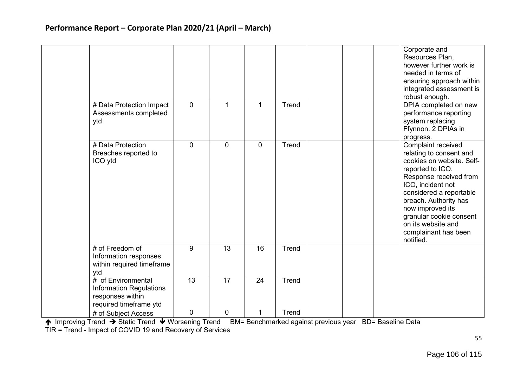|                                                                                             |              |             |             |       |  | Corporate and<br>Resources Plan,<br>however further work is<br>needed in terms of<br>ensuring approach within<br>integrated assessment is<br>robust enough.                                                                                                                                                 |
|---------------------------------------------------------------------------------------------|--------------|-------------|-------------|-------|--|-------------------------------------------------------------------------------------------------------------------------------------------------------------------------------------------------------------------------------------------------------------------------------------------------------------|
| # Data Protection Impact<br>Assessments completed<br>ytd                                    | $\mathbf{0}$ | 1           | 1           | Trend |  | DPIA completed on new<br>performance reporting<br>system replacing<br>Ffynnon. 2 DPIAs in<br>progress.                                                                                                                                                                                                      |
| # Data Protection<br>Breaches reported to<br>ICO ytd                                        | $\mathbf 0$  | $\mathbf 0$ | $\mathbf 0$ | Trend |  | Complaint received<br>relating to consent and<br>cookies on website. Self-<br>reported to ICO.<br>Response received from<br>ICO, incident not<br>considered a reportable<br>breach. Authority has<br>now improved its<br>granular cookie consent<br>on its website and<br>complainant has been<br>notified. |
| # of Freedom of<br>Information responses<br>within required timeframe<br>ytd                | 9            | 13          | 16          | Trend |  |                                                                                                                                                                                                                                                                                                             |
| # of Environmental<br>Information Regulations<br>responses within<br>required timeframe ytd | 13           | 17          | 24          | Trend |  |                                                                                                                                                                                                                                                                                                             |
| # of Subject Access                                                                         | 0            | 0           | 1           | Trend |  |                                                                                                                                                                                                                                                                                                             |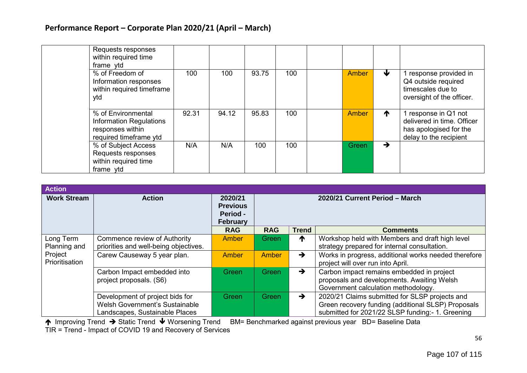| Requests responses<br>within required time<br>frame ytd                                            |       |       |       |     |              |               |                                                                                                        |
|----------------------------------------------------------------------------------------------------|-------|-------|-------|-----|--------------|---------------|--------------------------------------------------------------------------------------------------------|
| % of Freedom of<br>Information responses<br>within required timeframe<br>ytd                       | 100   | 100   | 93.75 | 100 | <b>Amber</b> | ₩             | 1 response provided in<br>Q4 outside required<br>timescales due to<br>oversight of the officer.        |
| % of Environmental<br><b>Information Regulations</b><br>responses within<br>required timeframe ytd | 92.31 | 94.12 | 95.83 | 100 | Amber        | ↑             | 1 response in Q1 not<br>delivered in time. Officer<br>has apologised for the<br>delay to the recipient |
| % of Subject Access<br>Requests responses<br>within required time<br>frame ytd                     | N/A   | N/A   | 100   | 100 | Green        | $\rightarrow$ |                                                                                                        |

| <b>Action</b>             |                                                                                                     |                                                           |                                |               |                                                                                                                                                          |
|---------------------------|-----------------------------------------------------------------------------------------------------|-----------------------------------------------------------|--------------------------------|---------------|----------------------------------------------------------------------------------------------------------------------------------------------------------|
| <b>Work Stream</b>        | <b>Action</b>                                                                                       | 2020/21<br><b>Previous</b><br>Period -<br><b>February</b> | 2020/21 Current Period - March |               |                                                                                                                                                          |
|                           |                                                                                                     | <b>RAG</b>                                                | <b>RAG</b>                     | <b>Trend</b>  | <b>Comments</b>                                                                                                                                          |
| Long Term<br>Planning and | Commence review of Authority<br>priorities and well-being objectives.                               | <b>Amber</b>                                              | Green/                         | ↑             | Workshop held with Members and draft high level<br>strategy prepared for internal consultation.                                                          |
| Project<br>Prioritisation | Carew Causeway 5 year plan.                                                                         | <b>Amber</b>                                              | <b>Amber</b>                   | $\rightarrow$ | Works in progress, additional works needed therefore<br>project will over run into April.                                                                |
|                           | Carbon Impact embedded into<br>project proposals. (S6)                                              | Green                                                     | <b>Green</b>                   | $\rightarrow$ | Carbon impact remains embedded in project<br>proposals and developments. Awaiting Welsh<br>Government calculation methodology.                           |
|                           | Development of project bids for<br>Welsh Government's Sustainable<br>Landscapes, Sustainable Places | Green                                                     | Green                          | $\rightarrow$ | 2020/21 Claims submitted for SLSP projects and<br>Green recovery funding (additional SLSP) Proposals<br>submitted for 2021/22 SLSP funding:- 1. Greening |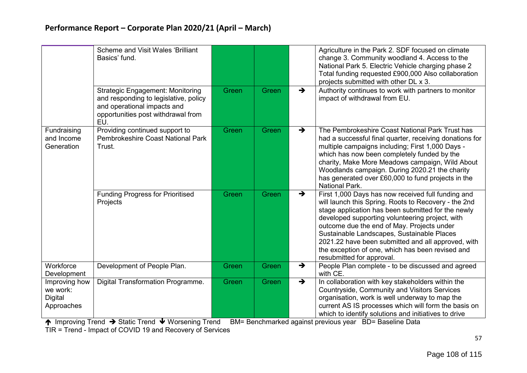|                                                    | <b>Scheme and Visit Wales 'Brilliant'</b><br>Basics' fund.                                                                                                   |       |       |               | Agriculture in the Park 2. SDF focused on climate<br>change 3. Community woodland 4. Access to the<br>National Park 5. Electric Vehicle charging phase 2<br>Total funding requested £900,000 Also collaboration<br>projects submitted with other DL x 3.                                                                                                                                                                                               |
|----------------------------------------------------|--------------------------------------------------------------------------------------------------------------------------------------------------------------|-------|-------|---------------|--------------------------------------------------------------------------------------------------------------------------------------------------------------------------------------------------------------------------------------------------------------------------------------------------------------------------------------------------------------------------------------------------------------------------------------------------------|
|                                                    | <b>Strategic Engagement: Monitoring</b><br>and responding to legislative, policy<br>and operational impacts and<br>opportunities post withdrawal from<br>EU. | Green | Green | $\rightarrow$ | Authority continues to work with partners to monitor<br>impact of withdrawal from EU.                                                                                                                                                                                                                                                                                                                                                                  |
| Fundraising<br>and Income<br>Generation            | Providing continued support to<br>Pembrokeshire Coast National Park<br>Trust.                                                                                | Green | Green | $\rightarrow$ | The Pembrokeshire Coast National Park Trust has<br>had a successful final quarter, receiving donations for<br>multiple campaigns including; First 1,000 Days -<br>which has now been completely funded by the<br>charity, Make More Meadows campaign, Wild About<br>Woodlands campaign. During 2020.21 the charity<br>has generated over £60,000 to fund projects in the<br>National Park.                                                             |
|                                                    | <b>Funding Progress for Prioritised</b><br>Projects                                                                                                          | Green | Green | $\rightarrow$ | First 1,000 Days has now received full funding and<br>will launch this Spring. Roots to Recovery - the 2nd<br>stage application has been submitted for the newly<br>developed supporting volunteering project, with<br>outcome due the end of May. Projects under<br>Sustainable Landscapes, Sustainable Places<br>2021.22 have been submitted and all approved, with<br>the exception of one, which has been revised and<br>resubmitted for approval. |
| Workforce<br>Development                           | Development of People Plan.                                                                                                                                  | Green | Green | $\rightarrow$ | People Plan complete - to be discussed and agreed<br>with CE.                                                                                                                                                                                                                                                                                                                                                                                          |
| Improving how<br>we work:<br>Digital<br>Approaches | Digital Transformation Programme.                                                                                                                            | Green | Green | $\rightarrow$ | In collaboration with key stakeholders within the<br>Countryside, Community and Visitors Services<br>organisation, work is well underway to map the<br>current AS IS processes which will form the basis on<br>which to identify solutions and initiatives to drive                                                                                                                                                                                    |

↑ Improving Trend → Static Trend ↓ Worsening Trend BM= Benchmarked against previous year BD= Baseline Data

TIR = Trend - Impact of COVID 19 and Recovery of Services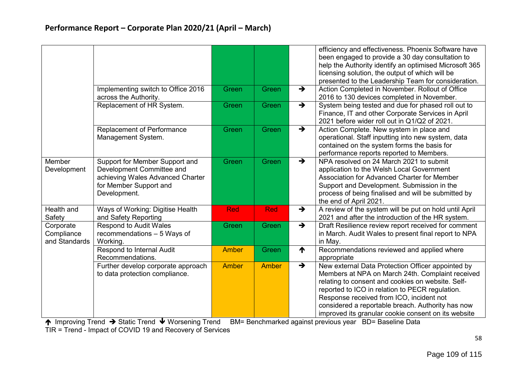|                                          |                                                                                                                                           |              |              |               | efficiency and effectiveness. Phoenix Software have<br>been engaged to provide a 30 day consultation to<br>help the Authority identify an optimised Microsoft 365<br>licensing solution, the output of which will be                                                                                                                                                  |
|------------------------------------------|-------------------------------------------------------------------------------------------------------------------------------------------|--------------|--------------|---------------|-----------------------------------------------------------------------------------------------------------------------------------------------------------------------------------------------------------------------------------------------------------------------------------------------------------------------------------------------------------------------|
|                                          | Implementing switch to Office 2016<br>across the Authority.                                                                               | Green        | Green        | $\rightarrow$ | presented to the Leadership Team for consideration.<br>Action Completed in November. Rollout of Office<br>2016 to 130 devices completed in November.                                                                                                                                                                                                                  |
|                                          | Replacement of HR System.                                                                                                                 | Green        | Green        | $\rightarrow$ | System being tested and due for phased roll out to<br>Finance, IT and other Corporate Services in April<br>2021 before wider roll out in Q1/Q2 of 2021.                                                                                                                                                                                                               |
|                                          | <b>Replacement of Performance</b><br>Management System.                                                                                   | Green        | Green        | $\rightarrow$ | Action Complete. New system in place and<br>operational. Staff inputting into new system, data<br>contained on the system forms the basis for<br>performance reports reported to Members.                                                                                                                                                                             |
| Member<br>Development                    | Support for Member Support and<br>Development Committee and<br>achieving Wales Advanced Charter<br>for Member Support and<br>Development. | Green        | Green        | $\rightarrow$ | NPA resolved on 24 March 2021 to submit<br>application to the Welsh Local Government<br>Association for Advanced Charter for Member<br>Support and Development. Submission in the<br>process of being finalised and will be submitted by<br>the end of April 2021.                                                                                                    |
| Health and<br>Safety                     | Ways of Working: Digitise Health<br>and Safety Reporting                                                                                  | <b>Red</b>   | <b>Red</b>   | $\rightarrow$ | A review of the system will be put on hold until April<br>2021 and after the introduction of the HR system.                                                                                                                                                                                                                                                           |
| Corporate<br>Compliance<br>and Standards | <b>Respond to Audit Wales</b><br>recommendations - 5 Ways of<br>Working.                                                                  | Green        | Green        | $\rightarrow$ | Draft Resilience review report received for comment<br>in March. Audit Wales to present final report to NPA<br>in May.                                                                                                                                                                                                                                                |
|                                          | Respond to Internal Audit<br>Recommendations.                                                                                             | <b>Amber</b> | Green        | ↑             | Recommendations reviewed and applied where<br>appropriate                                                                                                                                                                                                                                                                                                             |
|                                          | Further develop corporate approach<br>to data protection compliance.                                                                      | <b>Amber</b> | <b>Amber</b> | $\rightarrow$ | New external Data Protection Officer appointed by<br>Members at NPA on March 24th. Complaint received<br>relating to consent and cookies on website. Self-<br>reported to ICO in relation to PECR regulation.<br>Response received from ICO, incident not<br>considered a reportable breach. Authority has now<br>improved its granular cookie consent on its website |

↑ Improving Trend → Static Trend ↓ Worsening Trend BM= Benchmarked against previous year BD= Baseline Data

TIR = Trend - Impact of COVID 19 and Recovery of Services